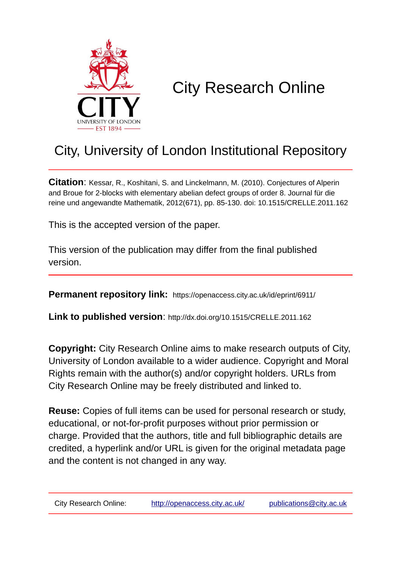

# City Research Online

# City, University of London Institutional Repository

**Citation**: Kessar, R., Koshitani, S. and Linckelmann, M. (2010). Conjectures of Alperin and Broue for 2-blocks with elementary abelian defect groups of order 8. Journal für die reine und angewandte Mathematik, 2012(671), pp. 85-130. doi: 10.1515/CRELLE.2011.162

This is the accepted version of the paper.

This version of the publication may differ from the final published version.

**Permanent repository link:** https://openaccess.city.ac.uk/id/eprint/6911/

**Link to published version**: http://dx.doi.org/10.1515/CRELLE.2011.162

**Copyright:** City Research Online aims to make research outputs of City, University of London available to a wider audience. Copyright and Moral Rights remain with the author(s) and/or copyright holders. URLs from City Research Online may be freely distributed and linked to.

**Reuse:** Copies of full items can be used for personal research or study, educational, or not-for-profit purposes without prior permission or charge. Provided that the authors, title and full bibliographic details are credited, a hyperlink and/or URL is given for the original metadata page and the content is not changed in any way.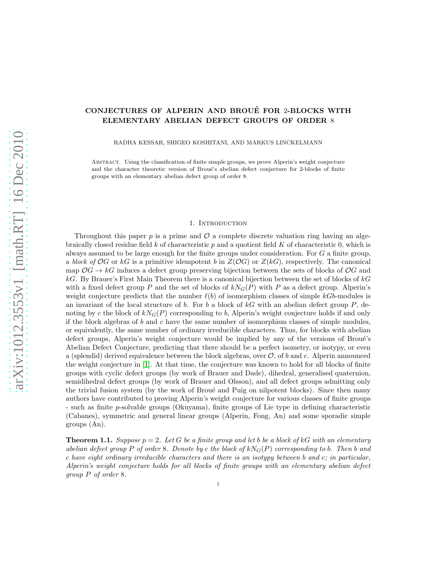# CONJECTURES OF ALPERIN AND BROUÉ FOR 2-BLOCKS WITH ELEMENTARY ABELIAN DEFECT GROUPS OF ORDER 8

RADHA KESSAR, SHIGEO KOSHITANI, AND MARKUS LINCKELMANN

Abstract. Using the classification of finite simple groups, we prove Alperin's weight conjecture and the character theoretic version of Broué's abelian defect conjecture for 2-blocks of finite groups with an elementary abelian defect group of order 8.

#### 1. INTRODUCTION

Throughout this paper p is a prime and  $\mathcal O$  a complete discrete valuation ring having an algebraically closed residue field k of characteristic p and a quotient field K of characteristic 0, which is always assumed to be large enough for the finite groups under consideration. For G a finite group, a *block of*  $OG$  or  $kG$  is a primitive idempotent b in  $Z(\mathcal{O}G)$  or  $Z(kG)$ , respectively. The canonical map  $OG \rightarrow kG$  induces a defect group preserving bijection between the sets of blocks of  $OG$  and  $kG$ . By Brauer's First Main Theorem there is a canonical bijection between the set of blocks of  $kG$ with a fixed defect group P and the set of blocks of  $kN_G(P)$  with P as a defect group. Alperin's weight conjecture predicts that the number  $\ell(b)$  of isomorphism classes of simple kGb-modules is an invariant of the local structure of b. For b a block of  $kG$  with an abelian defect group P, denoting by c the block of  $kN<sub>G</sub>(P)$  corresponding to b, Alperin's weight conjecture holds if and only if the block algebras of  $b$  and  $c$  have the same number of isomorphism classes of simple modules, or equivalently, the same number of ordinary irreducible characters. Thus, for blocks with abelian defect groups, Alperin's weight conjecture would be implied by any of the versions of Broué's Abelian Defect Conjecture, predicting that there should be a perfect isometry, or isotypy, or even a (splendid) derived equivalence between the block algebras, over  $\mathcal{O}$ , of b and c. Alperin announced the weight conjecture in [\[1\]](#page-37-0). At that time, the conjecture was known to hold for all blocks of finite groups with cyclic defect groups (by work of Brauer and Dade), dihedral, generalised quaternion, semidihedral defect groups (by work of Brauer and Olsson), and all defect groups admitting only the trivial fusion system (by the work of Broué and Puig on nilpotent blocks). Since then many authors have contributed to proving Alperin's weight conjecture for various classes of finite groups - such as finite p-solvable groups (Okuyama), finite groups of Lie type in defining characteristic (Cabanes), symmetric and general linear groups (Alperin, Fong, An) and some sporadic simple groups (An).

<span id="page-1-0"></span>**Theorem 1.1.** *Suppose*  $p = 2$ *. Let* G *be a finite group and let b be a block of kG with an elementary abelian defect group* P *of order* 8*. Denote by* c the block of  $kN<sub>G</sub>(P)$  corresponding to b. Then b and c *have eight ordinary irreducible characters and there is an isotypy between* b *and* c*; in particular, Alperin's weight conjecture holds for all blocks of finite groups with an elementary abelian defect group* P *of order* 8*.*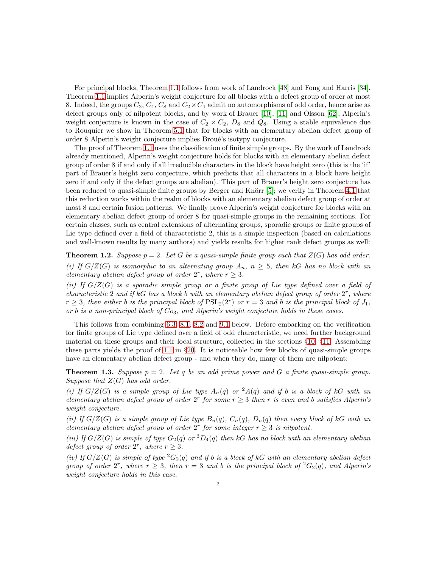For principal blocks, Theorem [1.1](#page-1-0) follows from work of Landrock [\[48\]](#page-39-0) and Fong and Harris [\[34\]](#page-38-0). Theorem [1.1](#page-1-0) implies Alperin's weight conjecture for all blocks with a defect group of order at most 8. Indeed, the groups  $C_2$ ,  $C_4$ ,  $C_8$  and  $C_2 \times C_4$  admit no automorphisms of odd order, hence arise as defect groups only of nilpotent blocks, and by work of Brauer [\[10\]](#page-38-1), [\[11\]](#page-38-2) and Olsson [\[62\]](#page-39-1), Alperin's weight conjecture is known in the case of  $C_2 \times C_2$ ,  $D_8$  and  $Q_8$ . Using a stable equivalence due to Rouquier we show in Theorem [5.1](#page-8-0) that for blocks with an elementary abelian defect group of order 8 Alperin's weight conjecture implies Broué's isotypy conjecture.

The proof of Theorem [1.1](#page-1-0) uses the classification of finite simple groups. By the work of Landrock already mentioned, Alperin's weight conjecture holds for blocks with an elementary abelian defect group of order 8 if and only if all irreducible characters in the block have height zero (this is the 'if' part of Brauer's height zero conjecture, which predicts that all characters in a block have height zero if and only if the defect groups are abelian). This part of Brauer's height zero conjecture has been reduced to quasi-simple finite groups by Berger and Knörr [\[5\]](#page-38-3); we verify in Theorem [4.1](#page-7-0) that this reduction works within the realm of blocks with an elementary abelian defect group of order at most 8 and certain fusion patterns. We finally prove Alperin's weight conjecture for blocks with an elementary abelian defect group of order 8 for quasi-simple groups in the remaining sections. For certain classes, such as central extensions of alternating groups, sporadic groups or finite groups of Lie type defined over a field of characteristic 2, this is a simple inspection (based on calculations and well-known results by many authors) and yields results for higher rank defect groups as well:

**Theorem 1.2.** *Suppose*  $p = 2$ *. Let* G *be a quasi-simple finite group such that*  $Z(G)$  *has odd order. (i)* If  $G/Z(G)$  is isomorphic to an alternating group  $A_n$ ,  $n \geq 5$ , then kG has no block with an *elementary abelian defect group of order*  $2^r$ *, where*  $r \geq 3$ *.* 

*(ii) If* G/Z(G) *is a sporadic simple group or a finite group of Lie type defined over a field of characteristic* 2 *and if* kG *has a block* b *with an elementary abelian defect group of order* 2 r *, where*  $r \geq 3$ , then either b is the principal block of  $PSL_2(2^r)$  or  $r = 3$  and b is the principal block of  $J_1$ , *or* b *is a non-principal block of* Co3*, and Alperin's weight conjecture holds in these cases.*

This follows from combining [6.3,](#page-10-0) [8.1,](#page-11-0) [8.2](#page-11-1) and [9.1](#page-11-2) below. Before embarking on the verification for finite groups of Lie type defined over a field of odd characteristic, we need further background material on these groups and their local structure, collected in the sections §[10,](#page-12-0) §[11.](#page-14-0) Assembling these parts yields the proof of [1.1](#page-1-0) in §[20.](#page-35-0) It is noticeable how few blocks of quasi-simple groups have an elementary abelian defect group - and when they do, many of them are nilpotent:

**Theorem 1.3.** *Suppose*  $p = 2$ *. Let*  $q$  *be an odd prime power and*  $G$  *a finite quasi-simple group. Suppose that* Z(G) *has odd order.*

*(i)* If  $G/Z(G)$  *is a simple group of Lie type*  $A_n(q)$  *or*  $^2A(q)$  *and if* b *is a block of* kG *with an elementary abelian defect group of order*  $2^r$  *for some*  $r \geq 3$  *then* r *is even and b satisfies Alperin's weight conjecture.*

*(ii)* If  $G/Z(G)$  *is a simple group of Lie type*  $B_n(q)$ *,*  $C_n(q)$ *,*  $D_n(q)$  *then every block of kG with an elementary abelian defect group of order*  $2^r$  *for some integer*  $r \geq 3$  *is nilpotent.* 

*(iii)* If  $G/Z(G)$  *is simple of type*  $G_2(q)$  *or*  ${}^3D_4(q)$  *then* kG *has no block with an elementary abelian defect group of order*  $2^r$ *, where*  $r \geq 3$ *.* 

*(iv)* If  $G/Z(G)$  *is simple of type*  ${}^2G_2(q)$  *and if* b *is a block of* kG *with an elementary abelian defect group of order*  $2^r$ *, where*  $r \geq 3$ *, then*  $r = 3$  *and b is the principal block of*  ${}^2G_2(q)$ *, and Alperin's weight conjecture holds in this case.*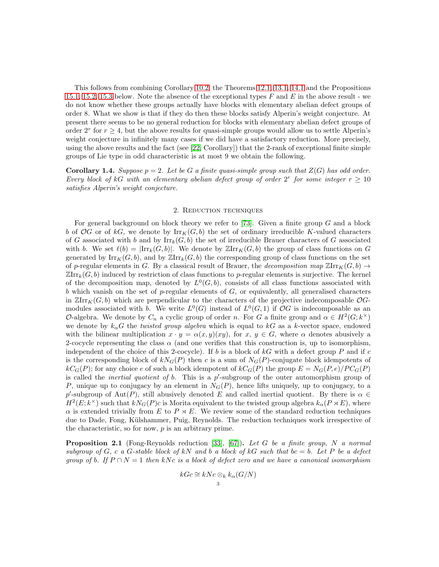This follows from combining Corollary [10.2,](#page-14-1) the Theorems [12.1,](#page-16-0) [13.1,](#page-18-0) [14.1](#page-21-0) and the Propositions [15.1,](#page-23-0) [15.2,](#page-24-0) [15.3](#page-24-1) below. Note the absence of the exceptional types  $F$  and  $E$  in the above result - we do not know whether these groups actually have blocks with elementary abelian defect groups of order 8. What we show is that if they do then these blocks satisfy Alperin's weight conjecture. At present there seems to be no general reduction for blocks with elementary abelian defect groups of order  $2^r$  for  $r \geq 4$ , but the above results for quasi-simple groups would allow us to settle Alperin's weight conjecture in infinitely many cases if we did have a satisfactory reduction. More precisely, using the above results and the fact (see [\[22,](#page-38-4) Corollary]) that the 2-rank of exceptional finite simple groups of Lie type in odd characteristic is at most 9 we obtain the following.

**Corollary 1.4.** Suppose  $p = 2$ . Let be G a finite quasi-simple group such that  $Z(G)$  has odd order. *Every block of*  $kG$  *with an elementary abelian defect group of order*  $2^r$  *for some integer*  $r \geq 10$ *satisfies Alperin's weight conjecture.*

#### 2. Reduction techniques

For general background on block theory we refer to [\[73\]](#page-40-0). Given a finite group  $G$  and a block b of OG or of kG, we denote by  $\text{Irr}_K(G, b)$  the set of ordinary irreducible K-valued characters of G associated with b and by  $\mathrm{Irr}_k(G, b)$  the set of irreducible Brauer characters of G associated with b. We set  $\ell(b) = |\mathrm{Irr}_k(G, b)|$ . We denote by  $\mathbb{Zirr}_k(G, b)$  the group of class functions on G generated by  $\text{Irr}_K(G, b)$ , and by  $\mathbb{Z}\text{Irr}_k(G, b)$  the corresponding group of class functions on the set of p-regular elements in G. By a classical result of Brauer, the *decomposition map*  $\mathbb{Z}$ Irr<sub>K</sub> $(G, b) \rightarrow$  $\mathbb{ZIrr}_k(G, b)$  induced by restriction of class functions to p-regular elements is surjective. The kernel of the decomposition map, denoted by  $L^0(G, b)$ , consists of all class functions associated with b which vanish on the set of  $p$ -regular elements of  $G$ , or equivalently, all generalised characters in  $\mathbb{Z}$ Irr $_K(G, b)$  which are perpendicular to the characters of the projective indecomposable  $\mathcal{O}G$ modules associated with b. We write  $L^0(G)$  instead of  $L^0(G, 1)$  if  $\mathcal{O}G$  is indecomposable as an O-algebra. We denote by  $C_n$  a cyclic group of order n. For G a finite group and  $\alpha \in H^2(G; k^{\times})$ we denote by  $k_{\alpha}G$  the *twisted group algebra* which is equal to kG as a k-vector space, endowed with the bilinear multiplication  $x \cdot y = \alpha(x, y)(xy)$ , for  $x, y \in G$ , where  $\alpha$  denotes abusively a 2-cocycle representing the class  $\alpha$  (and one verifies that this construction is, up to isomorphism, independent of the choice of this 2-cocycle). If  $b$  is a block of  $kG$  with a defect group  $P$  and if  $c$ is the corresponding block of  $kN_G(P)$  then c is a sum of  $N_G(P)$ -conjugate block idempotents of  $kC_G(P)$ ; for any choice e of such a block idempotent of  $kC_G(P)$  the group  $E = N_G(P, e)/PC_G(P)$ is called the *inertial quotient of b*. This is a p'-subgroup of the outer automorphism group of P, unique up to conjugacy by an element in  $N_G(P)$ , hence lifts uniquely, up to conjugacy, to a p'-subgroup of Aut(P), still abusively denoted E and called inertial quotient. By there is  $\alpha \in$  $H^2(E; k^{\times})$  such that  $kN_G(P)c$  is Morita equivalent to the twisted group algebra  $k_{\alpha}(P \rtimes E)$ , where  $\alpha$  is extended trivially from E to P  $\times$  E. We review some of the standard reduction techniques due to Dade, Fong, Külshammer, Puig, Reynolds. The reduction techniques work irrespective of the characteristic, so for now,  $p$  is an arbitrary prime.

<span id="page-3-0"></span>Proposition 2.1 (Fong-Reynolds reduction [\[33\]](#page-38-5), [\[67\]](#page-39-2)). *Let* G *be a finite group,* N *a normal subgroup of* G, c a G-stable block of kN and b a block of kG such that  $bc = b$ . Let P be a defect *group of b. If*  $P \cap N = 1$  *then* kNc *is a block of defect zero and we have a canonical isomorphism* 

$$
kGc \cong kNc \otimes_k k_{\alpha}(G/N)
$$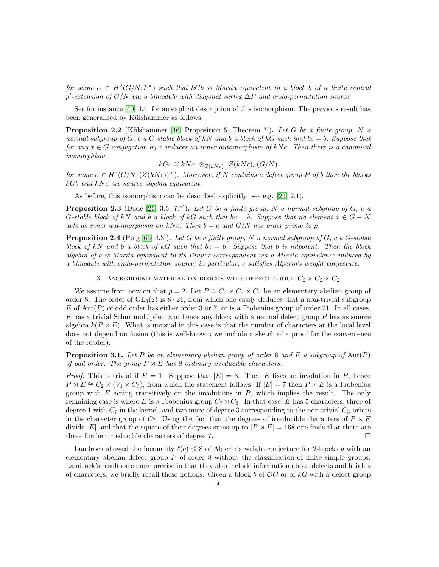$for~some~\alpha\,\in\, H^2(G/N;k^\times)$  such that kGb is Morita equivalent to a block  $\hat{b}$  of a finite central p ′ *-extension of* G/N *via a bimodule with diagonal vertex* ∆P *and endo-permutation source.*

See for instance [\[40,](#page-39-3) 4.4] for an explicit description of this isomorphism. The previous result has been generalised by Külshammer as follows:

<span id="page-4-0"></span>**Proposition 2.2** (Külshammer [\[46,](#page-39-4) Proposition 5, Theorem 7]). Let G be a finite group, N a *normal subgroup of*  $G$ *, c a*  $G$ -stable block of  $kN$  and b a block of  $kG$  such that  $bc = b$ . Suppose that *for any*  $x \in G$  *conjugation by* x *induces an inner automorphism of kNc. Then there is a canonical isomorphism*

$$
kGc \cong kNc \otimes_{Z(kNc)} Z(kNc)_{\alpha}(G/N)
$$

 $for some \alpha \in H^2(G/N; (Z(kNc))^{\times})$ . Moreover, if N contains a defect group P of b then the blocks kGb and kNc are source algebra equivalent.

As before, this isomorphism can be described explicitly; see e.g. [\[24,](#page-38-6) 2.1].

<span id="page-4-1"></span>**Proposition 2.3** (Dade [\[25,](#page-38-7) 3.5, 7.7]). Let G be a finite group, N a normal subgroup of G, c a G-stable block of kN and b a block of kG such that  $bc = b$ . Suppose that no element  $x \in G - N$ *acts as inner automorphism on* kNc. Then  $b = c$  and  $G/N$  has order prime to p.

<span id="page-4-2"></span>Proposition 2.4 (Puig [\[66,](#page-39-5) 4.3]). *Let* G *be a finite group,* N *a normal subgroup of* G*,* c *a* G*-stable block of* kN *and* b *a block of* kG *such that* bc = b*. Suppose that* b *is nilpotent. Then the block algebra of* c *is Morita equivalent to its Brauer correspondent via a Morita equivalence induced by a bimodule with endo-permutation source; in particular,* c *satisfies Alperin's weight conjecture.*

3. BACKGROUND MATERIAL ON BLOCKS WITH DEFECT GROUP  $C_2 \times C_2 \times C_2$ 

We assume from now on that  $p = 2$ . Let  $P \cong C_2 \times C_2 \times C_2$  be an elementary abelian group of order 8. The order of  $GL_3(2)$  is  $8 \cdot 21$ , from which one easily deduces that a non-trivial subgroup E of Aut(P) of odd order has either order 3 or 7, or is a Frobenius group of order 21. In all cases,  $E$  has a trivial Schur multiplier, and hence any block with a normal defect group  $P$  has as source algebra  $k(P \rtimes E)$ . What is unusual in this case is that the number of characters at the local level does not depend on fusion (this is well-known; we include a sketch of a proof for the convenience of the reader):

Proposition 3.1. *Let* P *be an elementary abelian group of order* 8 *and* E *a subgroup of* Aut(P) *of odd order. The group*  $P \rtimes E$  *has* 8 *ordinary irreducible characters.* 

*Proof.* This is trivial if  $E = 1$ . Suppose that  $|E| = 3$ . Then E fixes an involution in P, hence  $P \rtimes E \cong C_2 \times (V_4 \rtimes C_3)$ , from which the statement follows. If  $|E| = 7$  then  $P \rtimes E$  is a Frobenius group with  $E$  acting transitively on the involutions in  $P$ , which implies the result. The only remaining case is where E is a Frobenius group  $C_7 \rtimes C_3$ . In that case, E has 5 characters, three of degree 1 with  $C_7$  in the kernel, and two more of degree 3 corresponding to the non-trivial  $C_3$ -orbits in the character group of  $C_7$ . Using the fact that the degrees of irreducible characters of  $P \rtimes E$ divide |E| and that the square of their degrees sums up to  $|P \times E| = 168$  one finds that there are three further irreducible characters of degree 7.

Landrock showed the inequality  $\ell(b) \leq 8$  of Alperin's weight conjecture for 2-blocks b with an elementary abelian defect group  $P$  of order 8 without the classification of finite simple groups. Landrock's results are more precise in that they also include information about defects and heights of characters; we briefly recall these notions. Given a block b of  $OG$  or of kG with a defect group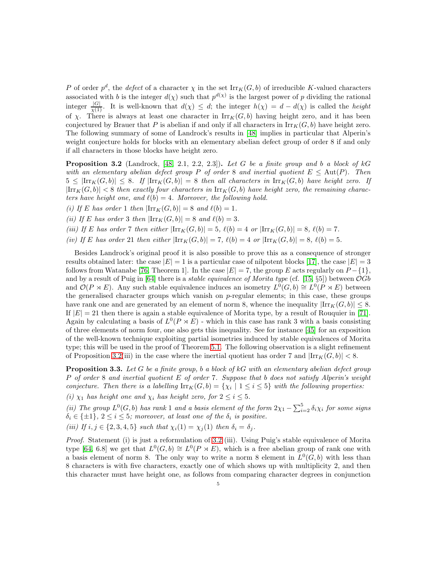P of order  $p^d$ , the *defect* of a character  $\chi$  in the set  $\text{Irr}_K(G, b)$  of irreducible K-valued characters associated with b is the integer  $d(\chi)$  such that  $p^{d(\chi)}$  is the largest power of p dividing the rational integer  $\frac{|G|}{\chi(1)}$ . It is well-known that  $d(\chi) \leq d$ ; the integer  $h(\chi) = d - d(\chi)$  is called the *height* of  $\chi$ . There is always at least one character in  $\text{Irr}_K(G, b)$  having height zero, and it has been conjectured by Brauer that P is abelian if and only if all characters in  $\text{Irr}_K(G, b)$  have height zero. The following summary of some of Landrock's results in [\[48\]](#page-39-0) implies in particular that Alperin's weight conjecture holds for blocks with an elementary abelian defect group of order 8 if and only if all characters in those blocks have height zero.

<span id="page-5-0"></span>Proposition 3.2 (Landrock, [\[48,](#page-39-0) 2.1, 2.2, 2.3]). *Let* G *be a finite group and* b *a block of* kG *with an elementary abelian defect group* P *of order* 8 *and inertial quotient*  $E \leq Aut(P)$ *. Then*  $5 \leq |\text{Irr}_K(G, b)| \leq 8$ . If  $|\text{Irr}_K(G, b)| = 8$  then all characters in  $\text{Irr}_K(G, b)$  have height zero. If  $|\text{Irr}_K(G, b)| < 8$  then exactly four characters in  $\text{Irr}_K(G, b)$  have height zero, the remaining charac*ters have height one, and*  $\ell(b) = 4$ *. Moreover, the following hold.* 

- *(i)* If E has order 1 then  $|\text{Irr}_K(G, b)| = 8$  and  $\ell(b) = 1$ .
- *(ii)* If E has order 3 then  $\left|\text{Irr}_K(G, b)\right| = 8$  and  $\ell(b) = 3$ .
- *(iii)* If E has order 7 then either  $\text{Iirr}_K(G, b) = 5$ ,  $\ell(b) = 4$  or  $\text{Iirr}_K(G, b) = 8$ ,  $\ell(b) = 7$ .
- *(iv)* If E has order 21 then either  $|\text{Irr}_K(G, b)| = 7$ ,  $\ell(b) = 4$  or  $|\text{Irr}_K(G, b)| = 8$ ,  $\ell(b) = 5$ .

Besides Landrock's original proof it is also possible to prove this as a consequence of stronger results obtained later: the case  $|E|=1$  is a particular case of nilpotent blocks [\[17\]](#page-38-8), the case  $|E|=3$ follows from Watanabe [\[76,](#page-40-1) Theorem 1]. In the case  $|E| = 7$ , the group E acts regularly on  $P - \{1\}$ , and by a result of Puig in [\[64\]](#page-39-6) there is a *stable equivalence of Morita type* (cf. [\[15,](#page-38-9) §5]) between OGb and  $\mathcal{O}(P \rtimes E)$ . Any such stable equivalence induces an isometry  $L^0(G, b) \cong L^0(P \rtimes E)$  between the generalised character groups which vanish on  $p$ -regular elements; in this case, these groups have rank one and are generated by an element of norm 8, whence the inequality  $\left|\text{Irr}_{K}(G, b)\right| \leq 8$ . If  $|E| = 21$  then there is again a stable equivalence of Morita type, by a result of Rouquier in [\[71\]](#page-40-2). Again by calculating a basis of  $L^0(P \rtimes E)$  - which in this case has rank 3 with a basis consisting of three elements of norm four, one also gets this inequality. See for instance [\[45\]](#page-39-7) for an exposition of the well-known technique exploiting partial isometries induced by stable equivalences of Morita type; this will be used in the proof of Theorem [5.1.](#page-8-0) The following observation is a slight refinement of Proposition [3.2\(](#page-5-0)iii) in the case where the inertial quotient has order 7 and  $\left|\text{Irr}_{K}(G, b)\right| < 8$ .

<span id="page-5-1"></span>Proposition 3.3. *Let* G *be a finite group,* b *a block of* kG *with an elementary abelian defect group* P *of order* 8 *and inertial quotient* E *of order* 7*. Suppose that* b *does not satisfy Alperin's weight conjecture. Then there is a labelling*  $\text{Irr}_K(G, b) = \{ \chi_i \mid 1 \leq i \leq 5 \}$  with the following properties: *(i)*  $\chi_1$  *has height one and*  $\chi_i$  *has height zero, for*  $2 \leq i \leq 5$ *.* 

(*ii*) The group  $L^0(G, b)$  has rank 1 and a basis element of the form  $2\chi_1 - \sum_{i=2}^5 \delta_i \chi_i$  for some signs  $\delta_i \in \{\pm 1\}, 2 \leq i \leq 5$ ; moreover, at least one of the  $\delta_i$  is positive.

*(iii)* If  $i, j \in \{2, 3, 4, 5\}$  *such that*  $\chi_i(1) = \chi_j(1)$  *then*  $\delta_i = \delta_j$ *.* 

*Proof.* Statement (i) is just a reformulation of [3.2](#page-5-0) (iii). Using Puig's stable equivalence of Morita type [\[64,](#page-39-6) 6.8] we get that  $L^0(G, b) \cong L^0(P \rtimes E)$ , which is a free abelian group of rank one with a basis element of norm 8. The only way to write a norm 8 element in  $L^0(G, b)$  with less than 8 characters is with five characters, exactly one of which shows up with multiplicity 2, and then this character must have height one, as follows from comparing character degrees in conjunction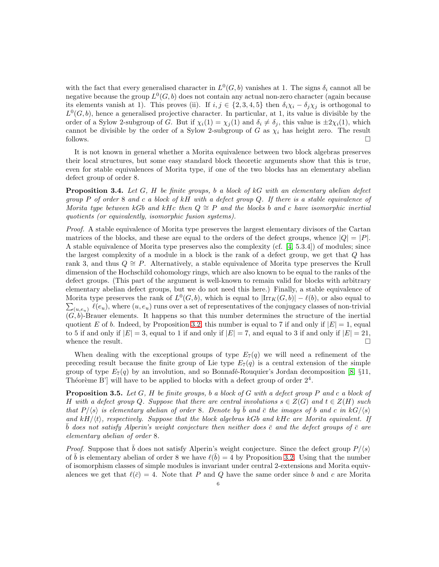with the fact that every generalised character in  $L^0(G, b)$  vanishes at 1. The signs  $\delta_i$  cannot all be negative because the group  $L^0(G, b)$  does not contain any actual non-zero character (again because its elements vanish at 1). This proves (ii). If  $i, j \in \{2, 3, 4, 5\}$  then  $\delta_i \chi_i - \delta_j \chi_j$  is orthogonal to  $L^0(G, b)$ , hence a generalised projective character. In particular, at 1, its value is divisible by the order of a Sylow 2-subgroup of G. But if  $\chi_i(1) = \chi_i(1)$  and  $\delta_i \neq \delta_j$ , this value is  $\pm 2\chi_i(1)$ , which cannot be divisible by the order of a Sylow 2-subgroup of G as  $\chi_i$  has height zero. The result follows.  $\Box$ 

It is not known in general whether a Morita equivalence between two block algebras preserves their local structures, but some easy standard block theoretic arguments show that this is true, even for stable equivalences of Morita type, if one of the two blocks has an elementary abelian defect group of order 8.

<span id="page-6-0"></span>Proposition 3.4. *Let* G*,* H *be finite groups,* b *a block of* kG *with an elementary abelian defect group* P *of order* 8 *and* c *a block of* kH *with a defect group* Q*. If there is a stable equivalence of Morita type between* kGb and kHc *then*  $Q \cong P$  *and the blocks* b and c *have isomorphic inertial quotients (or equivalently, isomorphic fusion systems).*

*Proof.* A stable equivalence of Morita type preserves the largest elementary divisors of the Cartan matrices of the blocks, and these are equal to the orders of the defect groups, whence  $|Q| = |P|$ . A stable equivalence of Morita type preserves also the complexity (cf. [\[4,](#page-38-10) 5.3.4]) of modules; since the largest complexity of a module in a block is the rank of a defect group, we get that Q has rank 3, and thus  $Q \cong P$ . Alternatively, a stable equivalence of Morita type preserves the Krull dimension of the Hochschild cohomology rings, which are also known to be equal to the ranks of the defect groups. (This part of the argument is well-known to remain valid for blocks with arbitrary elementary abelian defect groups, but we do not need this here.) Finally, a stable equivalence of Morita type preserves the rank of  $L^0(G, b)$ , which is equal to  $|\text{Irr}_K(G, b)| - \ell(b)$ , or also equal to  $\sum_{(u,e_u)} \ell(e_u)$ , where  $(u,e_u)$  runs over a set of representatives of the conjugacy classes of non-trivial  $(G, b)$ -Brauer elements. It happens so that this number determines the structure of the inertial quotient E of b. Indeed, by Proposition [3.2,](#page-5-0) this number is equal to 7 if and only if  $|E| = 1$ , equal to 5 if and only if  $|E| = 3$ , equal to 1 if and only if  $|E| = 7$ , and equal to 3 if and only if  $|E| = 21$ , whence the result.  $\Box$ 

When dealing with the exceptional groups of type  $E_7(q)$  we will need a refinement of the preceding result because the finite group of Lie type  $E_7(q)$  is a central extension of the simple group of type  $E_7(q)$  by an involution, and so Bonnafé-Rouquier's Jordan decomposition [\[8,](#page-38-11) §11, Théorème B'] will have to be applied to blocks with a defect group of order  $2<sup>4</sup>$ .

<span id="page-6-1"></span>Proposition 3.5. *Let* G*,* H *be finite groups,* b *a block of* G *with a defect group* P *and* c *a block of* H with a defect group Q. Suppose that there are central involutions  $s \in Z(G)$  and  $t \in Z(H)$  such *that*  $P/\langle s \rangle$  *is elementary abelian of order* 8*. Denote by*  $\bar{b}$  *and*  $\bar{c}$  *the images of b and*  $c$  *in*  $kG/\langle s \rangle$ and  $kH/\langle t \rangle$ , respectively. Suppose that the block algebras kGb and  $kHc$  are Morita equivalent. If  $\bar{b}$  *does not satisfy Alperin's weight conjecture then neither does*  $\bar{c}$  *and the defect groups of*  $\bar{c}$  *are elementary abelian of order* 8*.*

*Proof.* Suppose that  $\bar{b}$  does not satisfy Alperin's weight conjecture. Since the defect group  $P/\langle s \rangle$ of  $\bar{b}$  is elementary abelian of order 8 we have  $\ell(\bar{b}) = 4$  by Proposition [3.2.](#page-5-0) Using that the number of isomorphism classes of simple modules is invariant under central 2-extensions and Morita equivalences we get that  $\ell(\bar{c}) = 4$ . Note that P and Q have the same order since b and c are Morita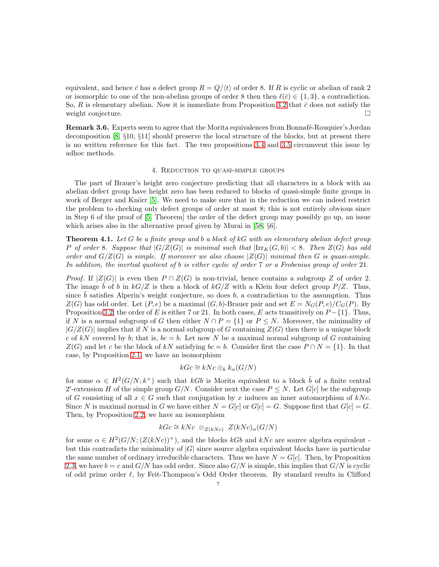equivalent, and hence  $\bar{c}$  has a defect group  $R = Q/\langle t \rangle$  of order 8. If R is cyclic or abelian of rank 2 or isomorphic to one of the non-abelian groups of order 8 then then  $\ell(\bar{c}) \in \{1,3\}$ , a contradiction. So, R is elementary abelian. Now it is immediate from Proposition [3.2](#page-5-0) that  $\bar{c}$  does not satisfy the weight conjecture.

**Remark 3.6.** Experts seem to agree that the Morita equivalences from Bonnafé-Rouquier's Jordan decomposition [\[8,](#page-38-11) §10, §11] should preserve the local structure of the blocks, but at present there is no written reference for this fact. The two propositions [3.4](#page-6-0) and [3.5](#page-6-1) circumvent this issue by adhoc methods.

#### 4. Reduction to quasi-simple groups

The part of Brauer's height zero conjecture predicting that all characters in a block with an abelian defect group have height zero has been reduced to blocks of quasi-simple finite groups in work of Berger and Knörr  $[5]$ . We need to make sure that in the reduction we can indeed restrict the problem to checking only defect groups of order at most 8; this is not entirely obvious since in Step 6 of the proof of [\[5,](#page-38-3) Theorem] the order of the defect group may possibly go up, an issue which arises also in the alternative proof given by Murai in [\[58,](#page-39-8) §6].

<span id="page-7-0"></span>Theorem 4.1. *Let* G *be a finite group and* b *a block of* kG *with an elementary abelian defect group* P of order 8*.* Suppose that  $|G/Z(G)|$  is minimal such that  $|\text{Irr}_{K}(G, b)| < 8$ . Then  $Z(G)$  has odd *order and*  $G/Z(G)$  *is simple. If moreover we also choose*  $|Z(G)|$  *minimal then* G *is quasi-simple. In addition, the inertial quotient of* b *is either cyclic of order* 7 *or a Frobenius group of order* 21*.*

*Proof.* If  $|Z(G)|$  is even then  $P \cap Z(G)$  is non-trivial, hence contains a subgroup Z of order 2. The image  $\bar{b}$  of b in  $k\bar{G}/Z$  is then a block of  $k\bar{G}/Z$  with a Klein four defect group  $P/Z$ . Thus, since  $\bar{b}$  satisfies Alperin's weight conjecture, so does  $b$ , a contradiction to the assumption. Thus  $Z(G)$  has odd order. Let  $(P, e)$  be a maximal  $(G, b)$ -Brauer pair and set  $E = N_G(P, e)/C_G(P)$ . By Proposition [3.2,](#page-5-0) the order of E is either 7 or 21. In both cases, E acts transitively on  $P - \{1\}$ . Thus, if N is a normal subgroup of G then either  $N \cap P = \{1\}$  or  $P \leq N$ . Moreover, the minimality of  $|G/Z(G)|$  implies that if N is a normal subgroup of G containing  $Z(G)$  then there is a unique block c of kN covered by b; that is,  $bc = b$ . Let now N be a maximal normal subgroup of G containing  $Z(G)$  and let c be the block of kN satisfying  $bc = b$ . Consider first the case  $P \cap N = \{1\}$ . In that case, by Proposition [2.1,](#page-3-0) we have an isomorphism

### $kGc \cong kNc \otimes_k k_{\alpha}(G/N)$

for some  $\alpha \in H^2(G/N; k^{\times})$  such that kGb is Morita equivalent to a block  $\hat{b}$  of a finite central 2'-extension H of the simple group  $G/N$ . Consider next the case  $P \leq N$ . Let  $G[c]$  be the subgroup of G consisting of all  $x \in G$  such that conjugation by x induces an inner automorphism of kNc. Since N is maximal normal in G we have either  $N = G[c]$  or  $G[c] = G$ . Suppose first that  $G[c] = G$ . Then, by Proposition [2.2,](#page-4-0) we have an isomorphism

$$
kGc \cong kNc \otimes_{Z(kNc)} Z(kNc)_{\alpha}(G/N)
$$

for some  $\alpha \in H^2(G/N; (Z(kNc))^{\times})$ , and the blocks kGb and kNc are source algebra equivalent but this contradicts the minimality of  $|G|$  since source algebra equivalent blocks have in particular the same number of ordinary irreducible characters. Thus we have  $N = G[c]$ . Then, by Proposition [2.3,](#page-4-1) we have  $b = c$  and  $G/N$  has odd order. Since also  $G/N$  is simple, this implies that  $G/N$  is cyclic of odd prime order ℓ, by Feit-Thompson's Odd Order theorem. By standard results in Clifford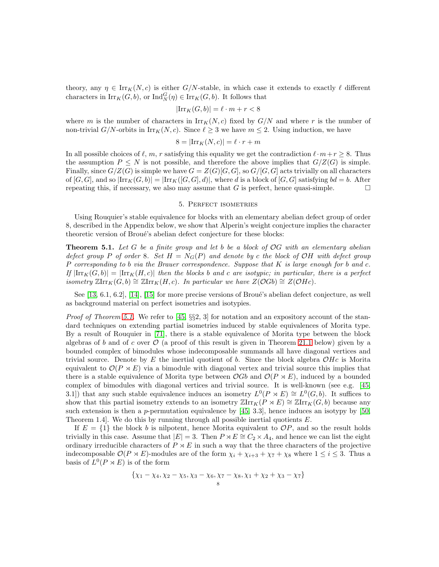theory, any  $\eta \in \text{Irr}_K(N, c)$  is either  $G/N$ -stable, in which case it extends to exactly  $\ell$  different characters in  $\mathrm{Irr}_K(G, b)$ , or  $\mathrm{Ind}_N^G(\eta) \in \mathrm{Irr}_K(G, b)$ . It follows that

$$
|\mathrm{Irr}_K(G,b)| = \ell \cdot m + r < 8
$$

where m is the number of characters in  $\text{Irr}_K(N, c)$  fixed by  $G/N$  and where r is the number of non-trivial  $G/N$ -orbits in  $\text{Irr}_K(N, c)$ . Since  $\ell \geq 3$  we have  $m \leq 2$ . Using induction, we have

$$
8 = |\mathrm{Irr}_K(N, c)| = \ell \cdot r + m
$$

In all possible choices of  $\ell, m, r$  satisfying this equality we get the contradiction  $\ell \cdot m + r \geq 8$ . Thus the assumption  $P \leq N$  is not possible, and therefore the above implies that  $G/Z(G)$  is simple. Finally, since  $G/Z(G)$  is simple we have  $G = Z(G)[G, G]$ , so  $G/[G, G]$  acts trivially on all characters of  $[G, G]$ , and so  $\text{Iirr}_K(G, b) = \text{Iirr}_K([G, G], d)]$ , where d is a block of  $[G, G]$  satisfying  $bd = b$ . After repeating this, if necessary, we also may assume that  $G$  is perfect, hence quasi-simple.  $\Box$ 

#### 5. Perfect isometries

Using Rouquier's stable equivalence for blocks with an elementary abelian defect group of order 8, described in the Appendix below, we show that Alperin's weight conjecture implies the character theoretic version of Broué's abelian defect conjecture for these blocks:

<span id="page-8-0"></span>Theorem 5.1. *Let* G *be a finite group and let* b *be a block of* OG *with an elementary abelian defect group* P *of order* 8*. Set*  $H = N_G(P)$  *and denote by* c the block of OH with defect group P *corresponding to* b *via the Brauer correspondence. Suppose that* K *is large enough for* b *and* c*.*  $I_f\left[\text{Irr}_K(G, b)\right] = \left[\text{Irr}_K(H, c)\right]$  *then the blocks* b and c are isotypic; in particular, there is a perfect *isometry*  $\mathbb{Z}Irr_K(G, b) \cong \mathbb{Z}Irr_K(H, c)$ *. In particular we have*  $Z(\mathcal{O}Gb) \cong Z(\mathcal{O}Hc)$ *.* 

See  $[13, 6.1, 6.2]$ ,  $[14]$ ,  $[15]$  for more precise versions of Broué's abelian defect conjecture, as well as background material on perfect isometries and isotypies.

*Proof of Theorem [5.1.](#page-8-0)* We refer to [\[45,](#page-39-7) §§2, 3] for notation and an expository account of the standard techniques on extending partial isometries induced by stable equivalences of Morita type. By a result of Rouquier in [\[71\]](#page-40-2), there is a stable equivalence of Morita type between the block algebras of b and of c over  $\mathcal O$  (a proof of this result is given in Theorem [21.1](#page-36-0) below) given by a bounded complex of bimodules whose indecomposable summands all have diagonal vertices and trivial source. Denote by E the inertial quotient of b. Since the block algebra  $OHe$  is Morita equivalent to  $\mathcal{O}(P \times E)$  via a bimodule with diagonal vertex and trivial source this implies that there is a stable equivalence of Morita type between  $\mathcal{O}Gb$  and  $\mathcal{O}(P \rtimes E)$ , induced by a bounded complex of bimodules with diagonal vertices and trivial source. It is well-known (see e.g. [\[45,](#page-39-7) 3.1) that any such stable equivalence induces an isometry  $L^0(P \rtimes E) \cong L^0(G, b)$ . It suffices to show that this partial isometry extends to an isometry  $\mathbb{Z}$ Irr $_K(P \rtimes E) \cong \mathbb{Z}$ Irr $_K(G, b)$  because any such extension is then a p-permutation equivalence by [\[45,](#page-39-7) 3.3], hence induces an isotypy by [\[50,](#page-39-9) Theorem 1.4. We do this by running through all possible inertial quotients  $E$ .

If  $E = \{1\}$  the block b is nilpotent, hence Morita equivalent to  $OP$ , and so the result holds trivially in this case. Assume that  $|E| = 3$ . Then  $P \rtimes E \cong C_2 \times A_4$ , and hence we can list the eight ordinary irreducible characters of  $P \rtimes E$  in such a way that the three characters of the projective indecomposable  $\mathcal{O}(P \rtimes E)$ -modules are of the form  $\chi_i + \chi_{i+3} + \chi_7 + \chi_8$  where  $1 \leq i \leq 3$ . Thus a basis of  $L^0(P \rtimes E)$  is of the form

$$
\{\chi_1 - \chi_4, \chi_2 - \chi_5, \chi_3 - \chi_6, \chi_7 - \chi_8, \chi_1 + \chi_2 + \chi_3 - \chi_7\}
$$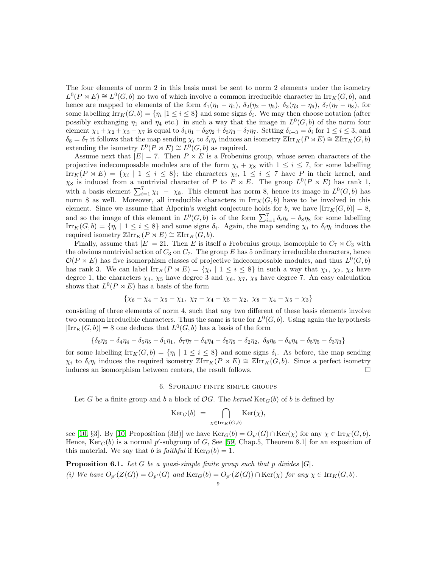The four elements of norm 2 in this basis must be sent to norm 2 elements under the isometry  $L^0(P \rtimes E) \cong L^0(G, b)$  no two of which involve a common irreducible character in  $\text{Irr}_K(G, b)$ , and hence are mapped to elements of the form  $\delta_1(\eta_1 - \eta_4)$ ,  $\delta_2(\eta_2 - \eta_5)$ ,  $\delta_3(\eta_3 - \eta_6)$ ,  $\delta_7(\eta_7 - \eta_8)$ , for some labelling  $\text{Irr}_K(G, b) = \{\eta_i \mid 1 \leq i \leq 8\}$  and some signs  $\delta_i$ . We may then choose notation (after possibly exchanging  $\eta_1$  and  $\eta_4$  etc.) in such a way that the image in  $L^0(G, b)$  of the norm four element  $\chi_1 + \chi_2 + \chi_3 - \chi_7$  is equal to  $\delta_1 \eta_1 + \delta_2 \eta_2 + \delta_3 \eta_3 - \delta_7 \eta_7$ . Setting  $\delta_{i+3} = \delta_i$  for  $1 \le i \le 3$ , and  $\delta_8 = \delta_7$  it follows that the map sending  $\chi_i$  to  $\delta_i \eta_i$  induces an isometry  $\mathbb{Z} \text{Irr}_K(P \rtimes E) \cong \mathbb{Z} \text{Irr}_K(G, b)$ extending the isometry  $L^0(P \rtimes E) \cong L^0(G, b)$  as required.

Assume next that  $|E| = 7$ . Then  $P \rtimes E$  is a Frobenius group, whose seven characters of the projective indecomposable modules are of the form  $\chi_i + \chi_8$  with  $1 \leq i \leq 7$ , for some labelling  $\text{Irr}_K(P \rtimes E) = \{\chi_i \mid 1 \leq i \leq 8\};\$ the characters  $\chi_i, 1 \leq i \leq 7$  have P in their kernel, and  $\chi_8$  is induced from a nontrivial character of P to P  $\rtimes E$ . The group  $L^0(P \rtimes E)$  has rank 1, with a basis element  $\sum_{i=1}^{7} \chi_i - \chi_8$ . This element has norm 8, hence its image in  $L^0(G, b)$  has norm 8 as well. Moreover, all irreducible characters in  $\text{Irr}_K(G, b)$  have to be involved in this element. Since we assume that Alperin's weight conjecture holds for b, we have  $|\text{Irr}_K(G, b)| = 8$ , and so the image of this element in  $L^0(G, b)$  is of the form  $\sum_{i=1}^7 \delta_i \eta_i - \delta_8 \eta_8$  for some labelling  $\text{Irr}_K(G, b) = \{\eta_i \mid 1 \leq i \leq 8\}$  and some signs  $\delta_i$ . Again, the map sending  $\chi_i$  to  $\delta_i \eta_i$  induces the required isometry  $\mathbb{Z} \text{Irr}_K(P \rtimes E) \cong \mathbb{Z} \text{Irr}_K(G, b).$ 

Finally, assume that  $|E| = 21$ . Then E is itself a Frobenius group, isomorphic to  $C_7 \rtimes C_3$  with the obvious nontrivial action of  $C_3$  on  $C_7$ . The group E has 5 ordinary irreducible characters, hence  $\mathcal{O}(P \rtimes E)$  has five isomorphism classes of projective indecomposable modules, and thus  $L^0(G, b)$ has rank 3. We can label  $\text{Irr}_K(P \rtimes E) = \{\chi_i \mid 1 \leq i \leq 8\}$  in such a way that  $\chi_1$ ,  $\chi_2$ ,  $\chi_3$  have degree 1, the characters  $\chi_4$ ,  $\chi_5$  have degree 3 and  $\chi_6$ ,  $\chi_7$ ,  $\chi_8$  have degree 7. An easy calculation shows that  $L^0(P \rtimes E)$  has a basis of the form

$$
\{\chi_6 - \chi_4 - \chi_5 - \chi_1, \ \chi_7 - \chi_4 - \chi_5 - \chi_2, \ \chi_8 - \chi_4 - \chi_5 - \chi_3\}
$$

consisting of three elements of norm 4, such that any two different of these basis elements involve two common irreducible characters. Thus the same is true for  $L^0(G, b)$ . Using again the hypothesis  $|\text{Irr}_K(G, b)| = 8$  one deduces that  $L^0(G, b)$  has a basis of the form

$$
\{\delta_6\eta_6 - \delta_4\eta_4 - \delta_5\eta_5 - \delta_1\eta_1, \ \delta_7\eta_7 - \delta_4\eta_4 - \delta_5\eta_5 - \delta_2\eta_2, \ \delta_8\eta_8 - \delta_4\eta_4 - \delta_5\eta_5 - \delta_3\eta_3\}
$$

for some labelling  $\text{Irr}_K(G, b) = \{\eta_i \mid 1 \leq i \leq 8\}$  and some signs  $\delta_i$ . As before, the map sending  $\chi_i$  to  $\delta_i \eta_i$  induces the required isometry  $\mathbb{Z} \text{Irr}_K(P \rtimes E) \cong \mathbb{Z} \text{Irr}_K(G, b)$ . Since a perfect isometry induces an isomorphism between centers, the result follows.

#### 6. Sporadic finite simple groups

Let G be a finite group and b a block of  $\mathcal{O}G$ . The kernel  $\text{Ker}_G(b)$  of b is defined by

$$
\mathrm{Ker}_G(b) = \bigcap_{\chi \in \mathrm{Irr}_K(G,b)} \mathrm{Ker}(\chi),
$$

see [\[10,](#page-38-1) §3]. By [10, Proposition (3B)] we have  $\text{Ker}_G(b) = O_{p'}(G) \cap \text{Ker}(\chi)$  for any  $\chi \in \text{Irr}_K(G, b)$ . Hence,  $\text{Ker}_G(b)$  is a normal p'-subgroup of G, See [\[59,](#page-39-10) Chap.5, Theorem 8.1] for an exposition of this material. We say that b is *faithful* if  $Ker_G(b) = 1$ .

<span id="page-9-0"></span>**Proposition 6.1.** Let G be a quasi-simple finite group such that p divides  $|G|$ . *(i) We have*  $O_{p'}(Z(G)) = O_{p'}(G)$  *and*  $\text{Ker}_G(b) = O_{p'}(Z(G)) \cap \text{Ker}(\chi)$  *for any*  $\chi \in \text{Irr}_K(G, b)$ *.*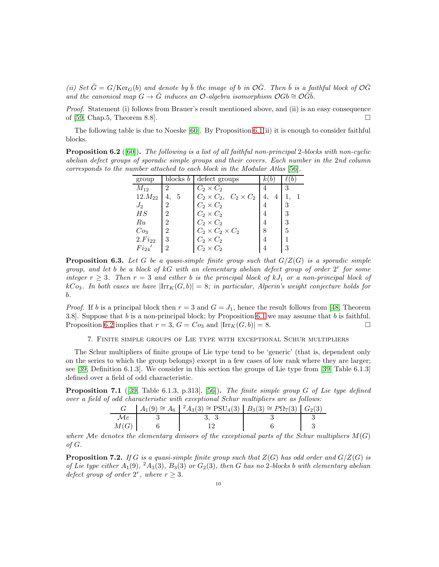*(ii)* Set  $\bar{G} = G/\text{Ker}_G(b)$  and denote by  $\bar{b}$  the image of b in  $\mathcal{O}\bar{G}$ . Then  $\bar{b}$  is a faithful block of  $\mathcal{O}\bar{G}$ and the canonical map  $G \to \overline{G}$  induces an  $\mathcal{O}$ -algebra isomorphism  $\mathcal{O}Gb \cong \mathcal{O}Gb$ .

*Proof.* Statement (i) follows from Brauer's result mentioned above, and (ii) is an easy consequence of [\[59,](#page-39-10) Chap.5, Theorem 8.8].  $\square$ 

The following table is due to Noeske  $[60]$ . By Proposition [6.1\(](#page-9-0)ii) it is enough to consider faithful blocks.

<span id="page-10-1"></span>Proposition 6.2 ([\[60\]](#page-39-11)). *The following is a list of all faithful non-principal* 2*-blocks with non-cyclic abelian defect groups of sporadic simple groups and their covers. Each number in the* 2*nd column corresponds to the number attached to each block in the Modular Atlas* [\[56\]](#page-39-12)*.*

| group           |                | blocks $b$ defect groups            |    |   |  |
|-----------------|----------------|-------------------------------------|----|---|--|
| $M_{12}$        | 2              | $C_2 \times C_2$                    |    | 3 |  |
| $12.M_{22}$     | 5<br>4.        | $C_2 \times C_2$ , $C_2 \times C_2$ | 4. |   |  |
| $J_2$           | 2              | $C_2 \times C_2$                    |    | 3 |  |
| HS              | 2              | $C_2 \times C_2$                    |    | 3 |  |
| Ru              | $\mathfrak{D}$ | $C_2 \times C_2$                    |    | 3 |  |
| Co <sub>3</sub> | 2              | $C_2 \times C_2 \times C_2$         | 8  | 5 |  |
| $2.Fi_{22}$     | 3              | $C_2 \times C_2$                    |    |   |  |
| $Fi_{24}$       | 2              | $C_2 \times C_2$                    |    | 3 |  |

<span id="page-10-0"></span>Proposition 6.3. *Let* G *be a quasi-simple finite group such that* G/Z(G) *is a sporadic simple group, and let* b *be a block of* kG *with an elementary abelian defect group of order* 2 r *for some integer*  $r \geq 3$ *. Then*  $r = 3$  *and either* b *is the principal block of*  $kJ_1$  *or a non-principal block of*  $kCo_3$ . In both cases we have  $|\text{Irr}_K(G, b)| = 8$ ; in particular, Alperin's weight conjecture holds for b*.*

*Proof.* If b is a principal block then  $r = 3$  and  $G = J_1$ , hence the result follows from [\[48,](#page-39-0) Theorem 3.8]. Suppose that b is a non-principal block; by Proposition [6.1](#page-9-0) we may assume that b is faithful. Proposition [6.2](#page-10-1) implies that  $r = 3$ ,  $G = Co_3$  and  $\left|\text{Irr}_K(G, b)\right| = 8$ .

7. Finite simple groups of Lie type with exceptional Schur multipliers

<span id="page-10-2"></span>The Schur multipliers of finite groups of Lie type tend to be 'generic' (that is, dependent only on the series to which the group belongs) except in a few cases of low rank where they are larger; see [\[39,](#page-39-13) Definition 6.1.3]. We consider in this section the groups of Lie type from [\[39,](#page-39-13) Table 6.1.3] defined over a field of odd characteristic.

Proposition 7.1 ([\[39,](#page-39-13) Table 6.1.3, p.313], [\[56\]](#page-39-12)). *The finite simple group* G *of Lie type defined over a field of odd characteristic with exceptional Schur multipliers are as follows:*

|      | $A_1(9) \cong A_6$ $\mid {}^2A_3(3) \cong \text{PSU}_4(3)$ $\mid B_3(3) \cong P\Omega_7(3)$ $\mid G_2(3)$ |  |
|------|-----------------------------------------------------------------------------------------------------------|--|
| Me.  |                                                                                                           |  |
| M(G) |                                                                                                           |  |

*where* Me denotes the elementary divisors of the exceptional parts of the Schur multipliers  $M(G)$ *of* G*.*

**Proposition 7.2.** *If* G *is a quasi-simple finite group such that*  $Z(G)$  *has odd order and*  $G/Z(G)$  *is of Lie type either*  $A_1(9)$ ,  $A_3(3)$ ,  $B_3(3)$  *or*  $G_2(3)$ , then G has no 2-blocks b with elementary abelian *defect group of order*  $2^r$ *, where*  $r \geq 3$ *.*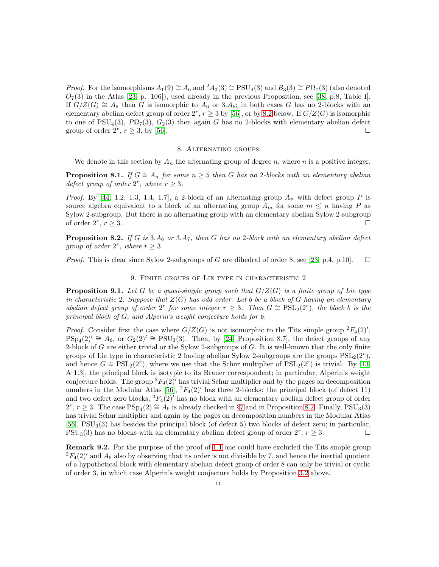*Proof.* For the isomorphisms  $A_1(9) \cong A_6$  and  $^2A_3(3) \cong \text{PSU}_4(3)$  and  $B_3(3) \cong \text{P}\Omega_7(3)$  (also denoted  $O_7(3)$  in the Atlas [\[23,](#page-38-14) p. 106]), used already in the previous Proposition, see [\[38,](#page-39-14) p.8, Table I]. If  $G/Z(G) \cong A_6$  then G is isomorphic to  $A_6$  or 3. $A_6$ ; in both cases G has no 2-blocks with an elementary abelian defect group of order  $2^r$ ,  $r \geq 3$  by [\[56\]](#page-39-12), or by [8.2](#page-11-1) below. If  $G/Z(G)$  is isomorphic to one of  $PSU_4(3)$ ,  $P\Omega_7(3)$ ,  $G_2(3)$  then again G has no 2-blocks with elementary abelian defect group of order  $2^r$ ,  $r \ge 3$ , by [\[56\]](#page-39-12).

#### 8. Alternating groups

<span id="page-11-3"></span>We denote in this section by  $A_n$  the alternating group of degree n, where n is a positive integer.

<span id="page-11-0"></span>**Proposition 8.1.** *If*  $G \cong A_n$  *for some*  $n \geq 5$  *then* G *has no* 2*-blocks with an elementary abelian defect group of order*  $2^r$ *, where*  $r \geq 3$ *.* 

*Proof.* By [\[44,](#page-39-15) 1.2, 1.3, 1.4, 1.7], a 2-block of an alternating group  $A_n$  with defect group P is source algebra equivalent to a block of an alternating group  $A_m$  for some  $m \leq n$  having P as Sylow 2-subgroup. But there is no alternating group with an elementary abelian Sylow 2-subgroup of order  $2^r$ ,  $r \geq 3$ .  $, r \geq 3.$ 

<span id="page-11-1"></span>**Proposition 8.2.** *If* G *is* 3. $A_6$  *or* 3. $A_7$ *, then* G *has no* 2*-block with an elementary abelian defect group of order*  $2^r$ *, where*  $r \geq 3$ *.* 

*Proof.* This is clear since Sylow 2-subgroups of G are dihedral of order 8, see [\[23,](#page-38-14) p.4, p.10].  $\square$ 

#### 9. Finite groups of Lie type in characteristic 2

<span id="page-11-2"></span>**Proposition 9.1.** Let G be a quasi-simple group such that  $G/Z(G)$  is a finite group of Lie type *in characteristic* 2*. Suppose that* Z(G) *has odd order. Let* b *be a block of* G *having an elementary* abelian defect group of order  $2^r$  for some integer  $r \geq 3$ . Then  $G \cong \mathrm{PSL}_2(2^r)$ , the block b is the *principal block of* G*, and Alperin's weight conjecture holds for* b*.*

*Proof.* Consider first the case where  $G/Z(G)$  is not isomorphic to the Tits simple group  ${}^2F_4(2)'$ ,  $PSp_4(2)' \cong A_6$ , or  $G_2(2)' \cong PSU_3(3)$ . Then, by [\[24,](#page-38-6) Proposition 8.7], the defect groups of any 2-block of G are either trivial or the Sylow 2-subgroups of G. It is well-known that the only finite groups of Lie type in characteristic 2 having abelian Sylow 2-subgroups are the groups  $PSL_2(2^r)$ , and hence  $G \cong \text{PSL}_2(2^r)$ , where we use that the Schur multiplier of  $\text{PSL}_2(2^r)$  is trivial. By [\[13,](#page-38-12) A 1.3], the principal block is isotypic to its Brauer correspondent; in particular, Alperin's weight conjecture holds. The group  ${}^2F_4(2)'$  has trivial Schur multiplier and by the pages on decomposition numbers in the Modular Atlas [\[56\]](#page-39-12),  ${}^2F_4(2)'$  has three 2-blocks: the principal block (of defect 11) and two defect zero blocks;  ${}^2F_4(2)'$  has no block with an elementary abelian defect group of order  $2^r, r \geq 3$ . The case  $PSp_4(2) \cong A_6$  is already checked in §[7](#page-10-2) and in Proposition [8.2.](#page-11-1) Finally,  $PSU_3(3)$ has trivial Schur multiplier and again by the pages on decomposition numbers in the Modular Atlas [\[56\]](#page-39-12),  $PSU<sub>3</sub>(3)$  has besides the principal block (of defect 5) two blocks of defect zero; in particular, PSU<sub>3</sub>(3) has no blocks with an elementary abelian defect group of order  $2^r$ ,  $r \geq 3$ .

**Remark 9.2.** For the purpose of the proof of [1.1](#page-1-0) one could have excluded the Tits simple group  ${}^{2}F_{4}(2)'$  and  $A_{6}$  also by observing that its order is not divisible by 7, and hence the inertial quotient of a hypothetical block with elementary abelian defect group of order 8 can only be trivial or cyclic of order 3, in which case Alperin's weight conjecture holds by Proposition [3.2](#page-5-0) above.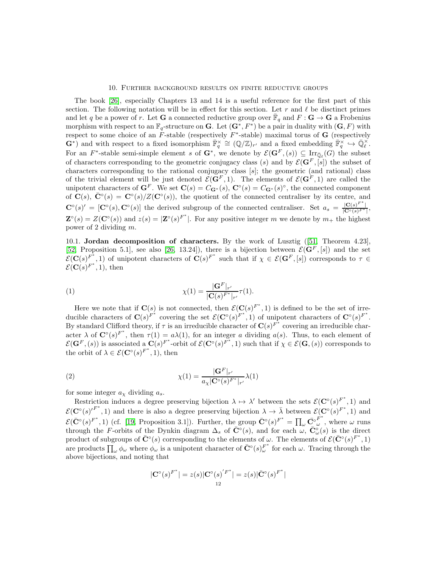#### 10. Further background results on finite reductive groups

<span id="page-12-0"></span>The book [\[26\]](#page-38-15), especially Chapters 13 and 14 is a useful reference for the first part of this section. The following notation will be in effect for this section. Let r and  $\ell$  be disctinct primes and let q be a power of r. Let **G** a connected reductive group over  $\overline{\mathbb{F}}_q$  and  $F: \mathbf{G} \to \mathbf{G}$  a Frobenius morphism with respect to an  $\mathbb{F}_q$ -structure on **G**. Let  $(\mathbf{G}^*, F^*)$  be a pair in duality with  $(\mathbf{G}, F)$  with respect to some choice of an  $F$ -stable (respectively  $F^*$ -stable) maximal torus of  $G$  (respectively  $\mathbf{G}^*$ ) and with respect to a fixed isomorphism  $\overline{\mathbb{F}}_q^{\times} \cong (\mathbb{Q}/\mathbb{Z})_{r'}$  and a fixed embedding  $\overline{\mathbb{F}}_q^{\times} \hookrightarrow \overline{\mathbb{Q}}_{\ell}^{\times}$ . For an  $F^*$ -stable semi-simple element s of  $G^*$ , we denote by  $\mathcal{E}(G^F,(s)) \subseteq \text{Irr}_{\bar{\mathbb{Q}}_\ell}(G)$  the subset of characters corresponding to the geometric conjugacy class (s) and by  $\mathcal{E}(\mathbf{G}^F,[s])$  the subset of characters corresponding to the rational conjugacy class [s]; the geometric (and rational) class of the trivial element will be just denoted  $\mathcal{E}(\mathbf{G}^F, 1)$ . The elements of  $\mathcal{E}(\mathbf{G}^F, 1)$  are called the unipotent characters of  $\mathbf{G}^F$ . We set  $\mathbf{C}(s) = C_{\mathbf{G}^*}(s)$ ,  $\mathbf{C}^\circ(s) = C_{\mathbf{G}^*}(s)^\circ$ , the connected component of  $\mathbf{C}(s)$ ,  $\bar{\mathbf{C}}^{\circ}(s) = \mathbf{C}^{\circ}(s)/Z(\mathbf{C}^{\circ}(s))$ , the quotient of the connected centraliser by its centre, and  $\mathbf{C}^{\circ}(s)' = [\mathbf{C}^{\circ}(s), \mathbf{C}^{\circ}(s)]$  the derived subgroup of the connected centraliser. Set  $a_s = \frac{|\mathbf{C}(s)^{F^*}|}{|\mathbf{C}^{\circ}(s)^{F^*}|}$ ,  $\mathbf{Z}^{\circ}(s) = Z(\mathbf{C}^{\circ}(s))$  and  $z(s) = |\mathbf{Z}^{\circ}(s)|^{F^*}$ . For any positive integer m we denote by  $m_{+}$  the highest power of 2 dividing m.

10.1. Jordan decomposition of characters. By the work of Lusztig ([\[51,](#page-39-16) Theorem 4.23], [\[52,](#page-39-17) Proposition 5.1], see also [\[26,](#page-38-15) 13.24]), there is a bijection between  $\mathcal{E}(\mathbf{G}^F, [s])$  and the set  $\mathcal{E}(\mathbf{C}(s)^{F^*}, 1)$  of unipotent characters of  $\mathbf{C}(s)^{F^*}$  such that if  $\chi \in \mathcal{E}(\mathbf{G}^F, [s])$  corresponds to  $\tau \in$  $\mathcal{E}(\mathbf{C}(s)^{F^*}, 1)$ , then

<span id="page-12-1"></span>(1) 
$$
\chi(1) = \frac{|\mathbf{G}^F|_{r'}}{|\mathbf{C}(s)^{F^*}|_{r'}} \tau(1).
$$

Here we note that if  $\mathbf{C}(s)$  is not connected, then  $\mathcal{E}(\mathbf{C}(s)^{F^*}, 1)$  is defined to be the set of irreducible characters of  $\mathbf{C}(s)^{F^*}$  covering the set  $\mathcal{E}(\mathbf{C}^\circ(s)^{F^*}, 1)$  of unipotent characters of  $\mathbf{C}^\circ(s)^{F^*}$ . By standard Clifford theory, if  $\tau$  is an irreducible character of  $\mathbf{C}(s)^{\vec{F}^*}$  covering an irreducible character  $\lambda$  of  $\mathbf{C}^{\circ}(s)^{F^*}$ , then  $\tau(1) = a\lambda(1)$ , for an integer a dividing  $a(s)$ . Thus, to each element of  $\mathcal{E}(\mathbf{G}^F,(s))$  is associated a  $\mathbf{C}(s)^{F^*}$ -orbit of  $\mathcal{E}(\mathbf{C}^\circ(s)^{F^*},1)$  such that if  $\chi \in \mathcal{E}(\mathbf{G},(s))$  corresponds to the orbit of  $\lambda \in \mathcal{E}(\mathbf{C}^{\circ}(s)^{F^*}, 1)$ , then

(2) 
$$
\chi(1) = \frac{|\mathbf{G}^{F}|_{r'}}{a_{\chi}|\mathbf{C}^{\circ}(s)^{F^{*}}|_{r'}}\lambda(1)
$$

for some integer  $a_{\chi}$  dividing  $a_s$ .

Restriction induces a degree preserving bijection  $\lambda \mapsto \lambda'$  between the sets  $\mathcal{E}(\mathbf{C}^{\circ}(s)^{F^*}, 1)$  and  $\mathcal{E}(\mathbf{C}^{\circ}(s)^{F^*}, 1)$  and there is also a degree preserving bijection  $\lambda \to \overline{\lambda}$  between  $\mathcal{E}(\mathbf{C}^{\circ}(s)^{F^*}, 1)$  and  $\mathcal{E}(\bar{\mathbf{C}}^{\circ}(s)^{F^*}, 1)$  (cf. [\[19,](#page-38-16) Proposition 3.1]). Further, the group  $\bar{\mathbf{C}}^{\circ}(s)^{F^*} = \prod_{\omega} \bar{\mathbf{C}}^{\circ} \bar{\mathbf{C}}^{\omega}$  $\omega$ , where  $\omega$  runs through the F-orbits of the Dynkin diagram  $\Delta_s$  of  $\overline{\mathbb{C}}^{\circ}(s)$ , and for each  $\omega$ ,  $\overline{\mathbb{C}}^{\circ}_{\omega}(s)$  is the direct product of subgroups of  $\bar{\mathbf{C}}^{\circ}(s)$  corresponding to the elements of  $\omega$ . The elements of  $\mathcal{E}(\bar{\mathbf{C}}^{\circ}(s)^{F^*}, 1)$ are products  $\prod_{\omega} \phi_{\omega}$  where  $\phi_{\omega}$  is a unipotent character of  $\bar{C}^{\circ}(s)_{\omega}^{F^*}$  for each  $\omega$ . Tracing through the above bijections, and noting that

$$
|\mathbf{C}^{\circ}(s)^{F^*}| = z(s)|\mathbf{C}^{\circ}(s)^{'F^*}| = z(s)|\bar{\mathbf{C}}^{\circ}(s)^{F^*}|
$$
  
<sub>12</sub>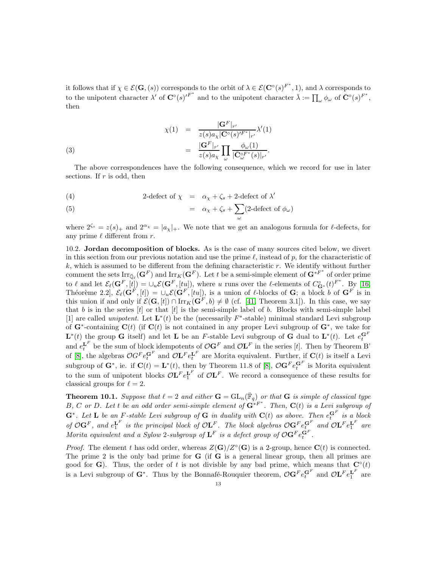it follows that if  $\chi \in \mathcal{E}(\mathbf{G},(s))$  corresponds to the orbit of  $\lambda \in \mathcal{E}(\mathbf{C}^{\circ}(s)^{F^*}, 1)$ , and  $\lambda$  corresponds to to the unipotent character  $\lambda'$  of  $\mathbf{C}^{\circ}(s)^{F^*}$  and to the unipotent character  $\overline{\lambda} := \prod_{\omega} \phi_{\omega}$  of  $\overline{\mathbf{C}}^{\circ}(s)^{F^*}$ , then

<span id="page-13-2"></span>(3)  

$$
\chi(1) = \frac{|\mathbf{G}^F|_{r'}}{z(s)a_{\chi}|\mathbf{C}^{\circ}(s)^{\prime F^*}|_{r'}} \lambda'(1)
$$

$$
= \frac{|\mathbf{G}^F|_{r'}}{z(s)a_{\chi}} \prod_{\omega} \frac{\phi_{\omega}(1)}{|\bar{\mathbf{C}}_{\omega}^{\circ F^*}(s)|_{r'}}.
$$

The above correspondences have the following consequence, which we record for use in later sections. If  $r$  is odd, then

<span id="page-13-1"></span>(4) 2-defect of 
$$
\chi
$$
 =  $\alpha_{\chi} + \zeta_s + 2$ -defect of  $\lambda'$ 

(5) 
$$
= \alpha_{\chi} + \zeta_s + \sum_{\omega} (2 \text{-defect of } \phi_{\omega})
$$

where  $2^{\zeta_s} = z(s)_+$  and  $2^{\alpha_\chi} = |a_\chi|_+$ . We note that we get an analogous formula for  $\ell$ -defects, for any prime  $\ell$  different from r.

10.2. Jordan decomposition of blocks. As is the case of many sources cited below, we divert in this section from our previous notation and use the prime  $\ell$ , instead of p, for the characteristic of  $k$ , which is assumed to be different from the defining characteristic  $r$ . We identify without further comment the sets  $\text{Irr}_{\bar{\mathbb{Q}}_{\ell}}(\mathbf{G}^F)$  and  $\text{Irr}_K(\mathbf{G}^F)$ . Let t be a semi-simple element of  $\mathbf{G}^{*F^*}$  of order prime to  $\ell$  and let  $\mathcal{E}_{\ell}(\mathbf{G}^F,[t]) = \bigcup_u \mathcal{E}(\mathbf{G}^F,[tu]),$  where u runs over the  $\ell$ -elements of  $C^{\circ}_{\mathbf{G}^*}(t)^{F^*}$ . By [\[16,](#page-38-17) Théorème 2.2],  $\mathcal{E}_{\ell}(\mathbf{G}^F,[t]) = \cup_u \mathcal{E}(\mathbf{G}^F,[tu]),$  is a union of  $\ell$ -blocks of  $\mathbf{G}$ ; a block b of  $\mathbf{G}^F$  is in this union if and only if  $\mathcal{E}(\mathbf{G}, [t]) \cap \text{Irr}_K(\mathbf{G}^F, b) \neq \emptyset$  (cf. [\[41,](#page-39-18) Theorem 3.1]). In this case, we say that b is in the series  $[t]$  or that  $[t]$  is the semi-simple label of b. Blocks with semi-simple label [1] are called *unipotent*. Let  $\mathbf{L}^*(t)$  be the (necessarily  $F^*$ -stable) minimal standard Levi subgroup of  $\mathbf{G}^*$ -containing  $\mathbf{C}(t)$  (if  $\mathbf{C}(t)$  is not contained in any proper Levi subgroup of  $\mathbf{G}^*$ , we take for  $\mathbf{L}^*(t)$  the group G itself) and let L be an F-stable Levi subgroup of G dual to  $\mathbf{L}^*(t)$ . Let  $e_t^{\mathbf{G}^F}$ and  $e_t^{\mathbf{L}^F}$  be the sum of block idempotents of  $\mathcal{O} \mathbf{G}^F$  and  $\mathcal{O} \mathbf{L}^F$  in the series [t]. Then by Theorem B' of [\[8\]](#page-38-11), the algebras  $\mathcal{O}G^F e_t^{\mathbf{G}^F}$  and  $\mathcal{O}\mathbf{L}^F e_t^{\mathbf{L}^F}$  are Morita equivalent. Further, if  $\mathbf{C}(t)$  is itself a Levi subgroup of  $\mathbf{G}^*$ , ie. if  $\mathbf{C}(t) = \mathbf{L}^*(t)$ , then by Theorem 11.8 of [\[8\]](#page-38-11),  $\mathcal{O}\mathbf{G}^F e_t^{\mathbf{G}^F}$  is Morita equivalent to the sum of unipotent blocks  $\mathcal{O}\mathbf{L}^F e_1^{\mathbf{L}^F}$  of  $\mathcal{O}\mathbf{L}^F$ . We record a consequence of these results for classical groups for  $\ell = 2$ .

<span id="page-13-0"></span>**Theorem 10.1.** Suppose that  $\ell = 2$  and either  $\mathbf{G} = GL_n(\overline{\mathbb{F}}_q)$  or that  $\mathbf{G}$  is simple of classical type  $B, C$  *or*  $D$ *. Let t be an odd order semi-simple element of*  $G^{*F^*}$ *. Then,*  $C(t)$  *is a Levi subgroup of*  $\mathbf{G}^*$ . Let **L** be an F-stable Levi subgroup of  $\mathbf{G}$  in duality with  $\mathbf{C}(t)$  as above. Then  $e_t^{\mathbf{G}^F}$  is a block *of*  $\mathcal{O}G^F$ , and  $e_1^{\mathbf{L}^F}$  is the principal block of  $\mathcal{O}\mathbf{L}^F$ . The block algebras  $\mathcal{O}G^F e_{t_-}^{\mathbf{G}^F}$  and  $\mathcal{O}\mathbf{L}^F e_1^{\mathbf{L}^F}$  are *Morita equivalent and a Sylow 2-subgroup of*  $\mathbf{L}^F$  *is a defect group of*  $\mathcal{O} \mathbf{G}^F e_t^{\mathbf{G}^F}$ *.* 

*Proof.* The element t has odd order, whereas  $Z(G)/Z^{\circ}(G)$  is a 2-group, hence  $C(t)$  is connected. The prime 2 is the only bad prime for  $G$  (if  $G$  is a general linear group, then all primes are good for G). Thus, the order of t is not divisble by any bad prime, which means that  $\mathbf{C}^\circ(t)$ is a Levi subgroup of  $G^*$ . Thus by the Bonnafé-Rouquier theorem,  $\mathcal{O}G^F e_t^{G^F}$  and  $\mathcal{O}L^F e_1^{L^F}$  are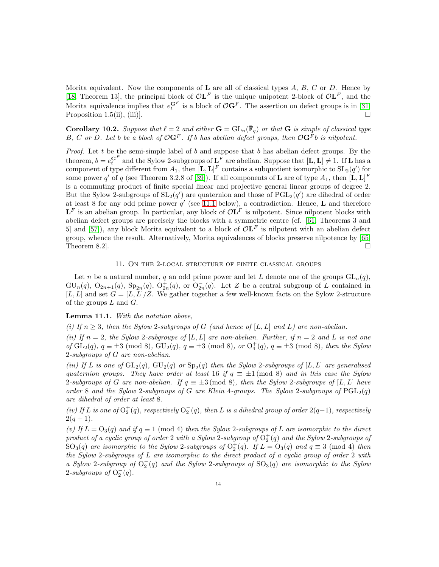Morita equivalent. Now the components of  $L$  are all of classical types  $A, B, C$  or  $D$ . Hence by [\[18,](#page-38-18) Theorem 13], the principal block of  $\mathcal{O}\mathbf{L}^F$  is the unique unipotent 2-block of  $\mathcal{O}\mathbf{L}^F$ , and the Morita equivalence implies that  $e_i^{\mathbf{G}^F}$  is a block of  $\mathcal{O} \mathbf{G}^F$ . The assertion on defect groups is in [\[31,](#page-38-19) Proposition 1.5(ii), (iii)].

<span id="page-14-1"></span>**Corollary 10.2.** Suppose that  $\ell = 2$  and either  $\mathbf{G} = GL_n(\overline{\mathbb{F}}_q)$  or that  $\mathbf{G}$  is simple of classical type B, C or D. Let b be a block of  $\mathcal{O}(\mathbf{G}^F)$ . If b has abelian defect groups, then  $\mathcal{O}(\mathbf{G}^F)$  is nilpotent.

*Proof.* Let t be the semi-simple label of b and suppose that b has abelian defect groups. By the theorem,  $b = e_i^{G^F}$  and the Sylow 2-subgroups of  $\mathbf{L}^F$  are abelian. Suppose that  $[\mathbf{L}, \mathbf{L}] \neq 1$ . If  $\mathbf{L}$  has a component of type different from  $A_1$ , then  $[\mathbf{L}, \mathbf{L}]^F$  contains a subquotient isomorphic to  $SL_2(q')$  for some power  $q'$  of  $q$  (see Theorem 3.2.8 of [\[39\]](#page-39-13)). If all components of **L** are of type  $A_1$ , then  $[\mathbf{L}, \mathbf{L}]^F$ is a commuting product of finite special linear and projective general linear groups of degree 2. But the Sylow 2-subgroups of  $SL_2(q')$  are quaternion and those of  $PGL_2(q')$  are dihedral of order at least 8 for any odd prime power  $q'$  (see [11.1](#page-14-2) below), a contradiction. Hence, **L** and therefore  $\mathbf{L}^F$  is an abelian group. In particular, any block of  $\mathcal{O}\mathbf{L}^F$  is nilpotent. Since nilpotent blocks with abelian defect groups are precisely the blocks with a symmetric centre (cf. [\[61,](#page-39-19) Theorems 3 and 5] and [\[57\]](#page-39-20)), any block Morita equivalent to a block of  $\mathcal{O} L^F$  is nilpotent with an abelian defect group, whence the result. Alternatively, Morita equivalences of blocks preserve nilpotence by [\[65,](#page-39-21) Theorem 8.2].

#### 11. On the 2-local structure of finite classical groups

<span id="page-14-0"></span>Let n be a natural number, q an odd prime power and let L denote one of the groups  $GL_n(q)$ ,  $GU_n(q), O_{2n+1}(q), Sp_{2n}(q), O_{2n}^+(q),$  or  $O_{2n}^-(q)$ . Let Z be a central subgroup of L contained in [L, L] and set  $G = [L, L]/Z$ . We gather together a few well-known facts on the Sylow 2-structure of the groups  $L$  and  $G$ .

#### <span id="page-14-2"></span>Lemma 11.1. *With the notation above,*

*(i)* If  $n \geq 3$ , then the Sylow 2-subgroups of G *(and hence of* [L, L] and L) are non-abelian.

*(ii)* If  $n = 2$ , the Sylow 2-subgroups of [L, L] are non-abelian. Further, if  $n = 2$  and L is not one  $of$   $GL_2(q)$ *,*  $q \equiv \pm 3 \pmod{8}$ *,*  $GU_2(q)$ *,*  $q \equiv \pm 3 \pmod{8}$ *, or*  $O_4^+(q)$ *,*  $q \equiv \pm 3 \pmod{8}$ *, then the Sylow* 2*-subgroups of* G *are non-abelian.*

*(iii)* If L is one of  $GL_2(q)$ ,  $GU_2(q)$  or  $Sp_2(q)$  then the Sylow 2-subgroups of  $[L, L]$  are generalised *quaternion groups. They have order at least* 16 *if*  $q \equiv \pm 1 \pmod{8}$  *and in this case the Sylow* 2*-subgroups of* G are non-abelian. If  $q \equiv \pm 3 \pmod{8}$ , then the Sylow 2*-subgroups of* [L, L] have *order* 8 and the Sylow 2-subgroups of G are Klein 4-groups. The Sylow 2-subgroups of  $PGL_2(q)$ *are dihedral of order at least* 8*.*

 $(iv)$  *If L is one of*  $O_2^+(q)$ *, respectively*  $O_2^-(q)$ *, then L is a dihedral group of order* 2(q−1)*, respectively*  $2(q + 1)$ .

(v) If  $L = O_3(q)$  and if  $q \equiv 1 \pmod{4}$  then the Sylow 2-subgroups of L are isomorphic to the direct  $p$ *roduct of a cyclic group of order* 2 *with a Sylow* 2-subgroup of  $O_2^+(q)$  and the Sylow 2-subgroups of  $SO_3(q)$  are isomorphic to the Sylow 2-subgroups of  $O_2^+(q)$ . If  $L = O_3(q)$  and  $q \equiv 3 \pmod{4}$  then *the Sylow* 2*-subgroups of* L *are isomorphic to the direct product of a cyclic group of order* 2 *with a Sylow* 2*-subgroup of* O − 2 (q) *and the Sylow* 2*-subgroups of* SO3(q) *are isomorphic to the Sylow* 2-subgroups of  $O_2^-(q)$ .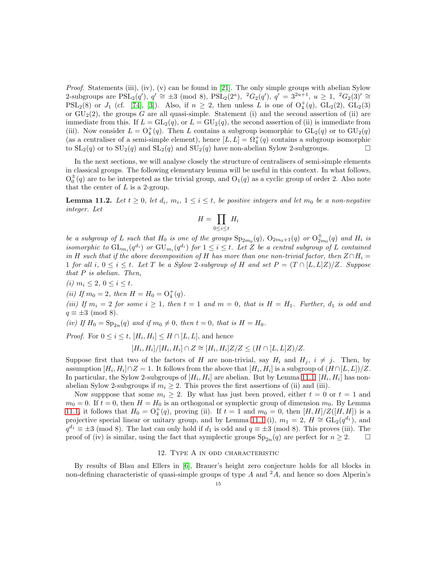*Proof.* Statements (iii), (iv), (v) can be found in [\[21\]](#page-38-20). The only simple groups with abelian Sylow 2-subgroups are  $PSL_2(q')$ ,  $q' \cong \pm 3 \pmod{8}$ ,  $PSL_2(2^a)$ ,  ${}^2G_2(q')$ ,  $q' = 3^{2u+1}$ ,  $u \ge 1$ ,  ${}^2G_2(3)' \cong$  $PSL_2(8)$  or  $J_1$  (cf. [\[74\]](#page-40-3), [\[3\]](#page-37-1)). Also, if  $n \geq 2$ , then unless L is one of  $O_4^+(q)$ ,  $GL_2(2)$ ,  $GL_2(3)$ or  $GU_2(2)$ , the groups G are all quasi-simple. Statement (i) and the second assertion of (ii) are immediate from this. If  $L = GL_2(q)$ , or  $L = GU_2(q)$ , the second assertion of (ii) is immediate from (iii). Now consider  $L = O_4^+(q)$ . Then L contains a subgroup isomorphic to  $GL_2(q)$  or to  $GU_2(q)$ (as a centraliser of a semi-simple element), hence  $[L, L] = \Omega_4^+(q)$  contains a subgroup isomorphic to  $SL_2(q)$  or to  $SU_2(q)$  and  $SL_2(q)$  and  $SU_2(q)$  have non-abelian Sylow 2-subgroups.

In the next sections, we will analyse closely the structure of centralisers of semi-simple elements in classical groups. The following elementary lemma will be useful in this context. In what follows,  $O_0^{\pm}(q)$  are to be interpreted as the trivial group, and  $O_1(q)$  as a cyclic group of order 2. Also note that the center of  $L$  is a 2-group.

<span id="page-15-0"></span>**Lemma 11.2.** Let  $t \geq 0$ , let  $d_i$ ,  $m_i$ ,  $1 \leq i \leq t$ , be positive integers and let  $m_0$  be a non-negative *integer. Let*

$$
H = \prod_{0 \le i \le t} H_i
$$

*be a subgroup of* L *such that*  $H_0$  *is one of the groups*  $Sp_{2m_0}(q)$ ,  $O_{2m_0+1}(q)$  *or*  $O_{2m_0}^{\pm}(q)$  *and*  $H_i$  *is isomorphic to*  $GL_{m_i}(q^{d_i})$  *or*  $GU_{m_i}(q^{d_i})$  *for*  $1 \leq i \leq t$ *. Let* Z *be a central subgroup of* L *contained in* H such that if the above decomposition of H has more than one non-trivial factor, then  $Z \cap H_i =$ 1 *for all*  $i, 0 \le i \le t$ . Let T be a Sylow 2-subgroup of H and set  $P = (T \cap [L, L]Z)/Z$ . Suppose *that* P *is abelian. Then,*

*(i)*  $m_i \leq 2, 0 \leq i \leq t$ .

(*ii*) If  $m_0 = 2$ , then  $H = H_0 = O_4^+(q)$ .

*(iii)* If  $m_i = 2$  for some  $i \geq 1$ , then  $t = 1$  and  $m = 0$ , that is  $H = H_1$ . Further,  $d_1$  is odd and  $q \equiv \pm 3 \pmod{8}$ .

*(iv)* If  $H_0 = \text{Sp}_{2n}(q)$  *and if*  $m_0 \neq 0$ *, then*  $t = 0$ *, that is*  $H = H_0$ *.* 

*Proof.* For  $0 \leq i \leq t$ ,  $[H_i, H_i] \leq H \cap [L, L]$ , and hence

$$
[H_i, H_i]/[H_i, H_i] \cap Z \cong [H_i, H_i]Z/Z \leq (H \cap [L, L]Z)/Z.
$$

Suppose first that two of the factors of H are non-trivial, say  $H_i$  and  $H_j$ ,  $i \neq j$ . Then, by assumption  $[H_i, H_i] \cap Z = 1$ . It follows from the above that  $[H_i, H_i]$  is a subgroup of  $(H \cap [L, L])/Z$ . In particular, the Sylow 2-subgroups of  $[H_i, H_i]$  are abelian. But by Lemma [11.1,](#page-14-2)  $[H_i, H_i]$  has nonabelian Sylow 2-subgroups if  $m_i \geq 2$ . This proves the first assertions of (ii) and (iii).

Now supppose that some  $m_i \geq 2$ . By what has just been proved, either  $t = 0$  or  $t = 1$  and  $m_0 = 0$ . If  $t = 0$ , then  $H = H_0$  is an orthogonal or symplectic group of dimension  $m_0$ . By Lemma [11.1,](#page-14-2) it follows that  $H_0 = O_4^+(q)$ , proving (ii). If  $t = 1$  and  $m_0 = 0$ , then  $[H, H]/Z([H, H])$  is a projective special linear or unitary group, and by Lemma [11.1](#page-14-2) (i),  $m_1 = 2$ ,  $H \cong GL_2(q^{d_1})$ , and  $q^{d_1} \equiv \pm 3 \pmod{8}$ . The last can only hold if  $d_1$  is odd and  $q \equiv \pm 3 \pmod{8}$ . This proves (iii). The proof of (iv) is similar, using the fact that symplectic groups  $Sp_{2n}(q)$  are perfect for  $n \geq 2$ .

#### 12. Type A in odd characteristic

By results of Blau and Ellers in [\[6\]](#page-38-21), Brauer's height zero conjecture holds for all blocks in non-defining characteristic of quasi-simple groups of type  $A$  and  $^2A$ , and hence so does Alperin's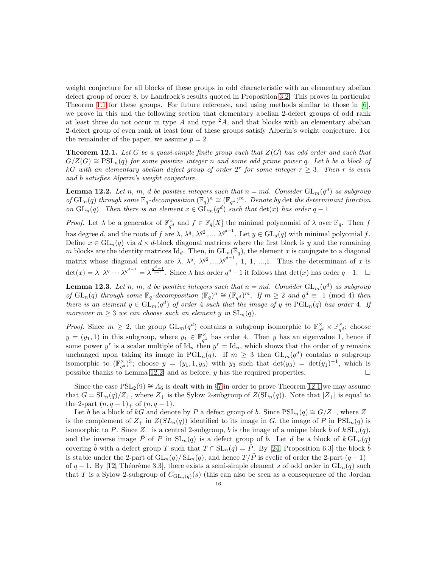weight conjecture for all blocks of these groups in odd characteristic with an elementary abelian defect group of order 8, by Landrock's results quoted in Proposition [3.2.](#page-5-0) This proves in particular Theorem [1.1](#page-1-0) for these groups. For future reference, and using methods similar to those in [\[6\]](#page-38-21), we prove in this and the following section that elementary abelian 2-defect groups of odd rank at least three do not occur in type  $A$  and type  ${}^2A$ , and that blocks with an elementary abelian 2-defect group of even rank at least four of these groups satisfy Alperin's weight conjecture. For the remainder of the paper, we assume  $p = 2$ .

<span id="page-16-0"></span>Theorem 12.1. *Let* G *be a quasi-simple finite group such that* Z(G) *has odd order and such that*  $G/Z(G) \cong \text{PSL}_n(q)$  *for some positive integer* n *and some odd prime power* q. Let b be a block of kG with an elementary abelian defect group of order  $2^r$  for some integer  $r \geq 3$ . Then r is even *and* b *satisfies Alperin's weight conjecture.*

<span id="page-16-1"></span>**Lemma 12.2.** Let n, m, d be positive integers such that  $n = md$ . Consider  $GL_m(q^d)$  as subgroup *of*  $GL_n(q)$  *through some*  $\mathbb{F}_q$ -decomposition  $(\mathbb{F}_q)^n \cong (\mathbb{F}_{q^d})^m$ . Denote by det the determinant function *on*  $GL_n(q)$ *. Then there is an element*  $x \in GL_m(q^d)$  *such that*  $det(x)$  *has order*  $q-1$ *.* 

*Proof.* Let  $\lambda$  be a generator of  $\mathbb{F}_{q^d}^{\times}$  and  $f \in \mathbb{F}_q[X]$  the minimal polynomial of  $\lambda$  over  $\mathbb{F}_q$ . Then f has degree d, and the roots of f are  $\lambda$ ,  $\lambda^q$ ,  $\lambda^{q^2}$ ,...,  $\lambda^{q^{d-1}}$ . Let  $y \in GL_d(q)$  with minimal polyomial f. Define  $x \in GL_n(q)$  via  $d \times d$ -block diagonal matrices where the first block is y and the remaining m blocks are the identity matrices  $\mathrm{Id}_d$ . Then, in  $\mathrm{GL}_n(\overline{\mathbb{F}}_q)$ , the element x is conjugate to a diagonal matrix whose diagonal entries are  $\lambda$ ,  $\lambda^q$ ,  $\lambda^{q^2}$ ,  $\lambda^{q^2}$ ,  $\lambda^{q^{d-1}}$ , 1, 1, ..., 1. Thus the determinant of x is  $\det(x) = \lambda \cdot \lambda^{q} \cdots \lambda^{q^{d-1}} = \lambda^{\frac{q^d-1}{q-1}}$ . Since  $\lambda$  has order  $q^d-1$  it follows that  $\det(x)$  has order  $q-1$ .  $\Box$ 

<span id="page-16-2"></span>**Lemma 12.3.** Let n, m, d be positive integers such that  $n = md$ . Consider  $GL_m(q^d)$  as subgroup  $of$   $GL_n(q)$  *through some*  $\mathbb{F}_q$ -decomposition  $(\mathbb{F}_q)^n \cong (\mathbb{F}_{q^d})^m$ . If  $m \geq 2$  and  $q^d \equiv 1 \pmod{4}$  *then there is an element*  $y \in GL_m(q^d)$  *of order* 4 *such that the image of* y *in*  $PGL_n(q)$  *has order* 4*. If moreover*  $m \geq 3$  *we can choose such an element* y *in*  $SL_n(q)$ *.* 

*Proof.* Since  $m \geq 2$ , the group  $GL_m(q^d)$  contains a subgroup isomorphic to  $\mathbb{F}_{q^d}^{\times} \times \mathbb{F}_{q^d}^{\times}$ ; choose  $y = (y_1, 1)$  in this subgroup, where  $y_1 \in \mathbb{F}_{q^d}^{\times}$  has order 4. Then y has an eigenvalue 1, hence if some power y<sup>r</sup> is a scalar multiple of  $\mathrm{Id}_n$  then  $y^r = \mathrm{Id}_n$ , which shows that the order of y remains unchanged upon taking its image in  $PGL_n(q)$ . If  $m \geq 3$  then  $GL_m(q^d)$  contains a subgroup isomorphic to  $(\mathbb{F}_{q^d}^{\times})^3$ ; choose  $y = (y_1, 1, y_3)$  with  $y_3$  such that  $\det(y_3) = \det(y_1)^{-1}$ , which is possible thanks to Lemma [12.2,](#page-16-1) and as before, y has the required properties.

Since the case  $PSL_2(9) \cong A_6$  is dealt with in §[7](#page-10-2) in order to prove Theorem [12.1](#page-16-0) we may assume that  $G = SL_n(q)/Z_+$ , where  $Z_+$  is the Sylow 2-subgroup of  $Z(SL_n(q))$ . Note that  $|Z_+|$  is equal to the 2-part  $(n, q - 1)_{+}$  of  $(n, q - 1)$ .

Let b be a block of kG and denote by P a defect group of b. Since  $PSL_n(q) \cong G/Z_$ , where  $Z_$ is the complement of  $Z_+$  in  $Z(SL_n(q))$  identified to its image in G, the image of P in  $PSL_n(q)$  is isomorphic to P. Since  $Z_+$  is a central 2-subgroup, b is the image of a unique block b of  $k \operatorname{SL}_n(q)$ , and the inverse image  $\tilde{P}$  of P in  $SL_n(q)$  is a defect group of b. Let d be a block of  $k GL_n(q)$ covering  $\tilde{b}$  with a defect group T such that  $T \cap SL_n(q) = \tilde{P}$ . By [\[24,](#page-38-6) Proposition 6.3] the block  $\tilde{b}$ is stable under the 2-part of  $GL_n(q)/ SL_n(q)$ , and hence  $T/\tilde{P}$  is cyclic of order the 2-part  $(q-1)_+$ of  $q-1$ . By [\[12,](#page-38-22) Théorème 3.3], there exists a semi-simple element s of odd order in  $GL_n(q)$  such that T is a Sylow 2-subgroup of  $C_{GL_n(q)}(s)$  (this can also be seen as a consequence of the Jordan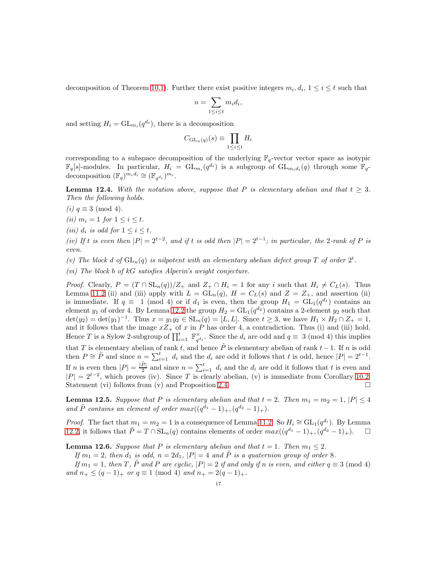decomposition of Theorem [10.1\)](#page-13-0). Further there exist positive integers  $m_i, d_i, 1 \le i \le t$  such that

$$
n = \sum_{1 \le i \le t} m_i d_i,
$$

and setting  $H_i = GL_{m_i}(q^{d_i})$ , there is a decomposition

$$
C_{\mathrm{GL}_n(q)}(s) \equiv \prod_{1 \le i \le t} H_i
$$

corresponding to a subspace decomposition of the underlying  $\mathbb{F}_q$ -vector vector space as isotypic  $\mathbb{F}_q[s]$ -modules. In particular,  $H_i = GL_{m_i}(q^{d_i})$  is a subgroup of  $GL_{m_i d_i}(q)$  through some  $\mathbb{F}_q$ decomposition  $(\mathbb{F}_q)^{m_i d_i} \cong (\mathbb{F}_{q^{d_i}})^{m_i}$ .

<span id="page-17-0"></span>**Lemma 12.4.** *With the notation above, suppose that* P *is elementary abelian and that*  $t \geq 3$ *. Then the following holds.*

*(i)*  $q \equiv 3 \pmod{4}$ *.* 

- *(ii)*  $m_i = 1$  *for*  $1 \le i \le t$ *.*
- *(iii)*  $d_i$  *is odd for*  $1 \leq i \leq t$ *.*

*(iv)* If t is even then  $|P| = 2^{t-2}$ , and if t is odd then  $|P| = 2^{t-1}$ ; in particular, the 2*-rank of* P is *even.*

(v) The block d of  $GL_n(q)$  is nilpotent with an elementary abelian defect group T of order  $2^t$ .

*(vi) The block* b *of* kG *satisfies Alperin's weight conjecture.*

*Proof.* Clearly,  $P = (T \cap SL_n(q))/Z_+$  and  $Z_+ \cap H_i = 1$  for any i such that  $H_i \neq C_L(s)$ . Thus Lemma [11.2](#page-15-0) (ii) and (iii) apply with  $L = GL_n(q)$ ,  $H = C<sub>L</sub>(s)$  and  $Z = Z<sub>+</sub>$ , and assertion (ii) is immediate. If  $q \equiv 1 \pmod{4}$  or if  $d_1$  is even, then the group  $H_1 = GL_1(q^{d_1})$  contains an element  $y_1$  of order 4. By Lemma [12.2](#page-16-1) the group  $H_2 = GL_1(q^{d_2})$  contains a 2-element  $y_2$  such that  $\det(y_2) = \det(y_1)^{-1}$ . Thus  $x = y_1y_2 \in SL_n(q) = [L, L]$ . Since  $t \ge 3$ , we have  $H_1 \times H_2 \cap Z_+ = 1$ , and it follows that the image  $xZ_+$  of x in P has order 4, a contradiction. Thus (i) and (iii) hold. Hence T is a Sylow 2-subgroup of  $\prod_{i=1}^{t} \mathbb{F}_{q^a}^{\times}$  $\gamma_{q^{d_i}}^{\times}$ . Since the  $d_i$  are odd and  $q \equiv 3 \pmod{4}$  this implies that T is elementary abelian of rank t, and hence  $\tilde{P}$  is elementary abelian of rank  $t-1$ . If n is odd then  $P \cong \tilde{P}$  and since  $n = \sum_{i=1}^{t} d_i$  and the  $d_i$  are odd it follows that t is odd, hence  $|P| = 2^{t-1}$ . If *n* is even then  $|P| = \frac{|\tilde{P}|}{2}$  $\frac{P}{2}$  and since  $n = \sum_{i=1}^{t} d_i$  and the  $d_i$  are odd it follows that t is even and  $|P| = 2^{t-2}$ , which proves (iv). Since T is clearly abelian, (v) is immediate from Corollary [10.2.](#page-14-1) Statement (vi) follows from (v) and Proposition [2.4.](#page-4-2)

<span id="page-17-1"></span>**Lemma 12.5.** Suppose that P is elementary abelian and that  $t = 2$ . Then  $m_1 = m_2 = 1$ ,  $|P| \leq 4$ *and*  $\tilde{P}$  *contains an element of order*  $max((q^{d_1}-1)_+, (q^{d_2}-1)_+).$ 

*Proof.* The fact that  $m_1 = m_2 = 1$  is a consequence of Lemma [11.2.](#page-15-0) So  $H_i \cong GL_1(q^{d_i})$ . By Lemma [12.2,](#page-16-1) it follows that  $\tilde{P} = T \cap SL_n(q)$  contains elements of order  $max((q^{d_1}-1)_+, (q^{d_2}-1)_+).$  □

<span id="page-17-2"></span>**Lemma 12.6.** *Suppose that* P *is elementary abelian and that*  $t = 1$ *. Then*  $m_1 \leq 2$ *.* 

If  $m_1 = 2$ , then  $d_1$  is odd,  $n = 2d_1$ ,  $|P| = 4$  and P is a quaternion group of order 8*.* 

*If*  $m_1 = 1$ , then T,  $\tilde{P}$  and P are cyclic,  $|P| = 2$  if and only if n is even, and either  $q \equiv 3 \pmod{4}$ *and*  $n_+ \leq (q-1)_+$  *or*  $q \equiv 1 \pmod{4}$  *and*  $n_+ = 2(q-1)_+$ *.*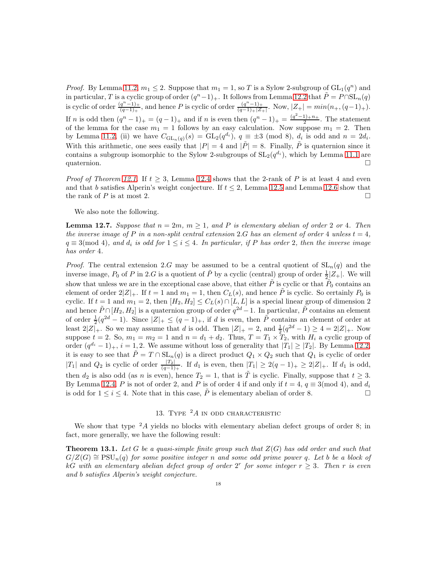*Proof.* By Lemma [11.2,](#page-15-0)  $m_1 \leq 2$ . Suppose that  $m_1 = 1$ , so T is a Sylow 2-subgroup of  $GL_1(q^n)$  and in particular, T is a cyclic group of order  $(q^n-1)_+$ . It follows from Lemma [12.2](#page-16-1) that  $\tilde{P} = P \cap \mathrm{SL}_n(q)$ is cyclic of order  $\frac{(q^n-1)_+}{(q-1)_+}$  $\frac{(q^{n}-1)_+}{(q-1)_+}$ , and hence P is cyclic of order  $\frac{(q^n-1)_+}{(q-1)_+|Z|}$  $\frac{(q-1)}{(q-1)+|Z_+|}$ . Now,  $|Z_+| = min(n_+, (q-1)_+).$ If n is odd then  $(q^n - 1)_+ = (q - 1)_+$  and if n is even then  $(q^n - 1)_+ = \frac{(q^2 - 1)_+ n_+}{2}$ . The statement of the lemma for the case  $m_1 = 1$  follows by an easy calculation. Now suppose  $m_1 = 2$ . Then by Lemma [11.2,](#page-15-0) (ii) we have  $C_{\mathrm{GL}_n(q)}(s) = \mathrm{GL}_2(q^{d_i}), q \equiv \pm 3 \pmod{8}, d_i$  is odd and  $n = 2d_i$ . With this arithmetic, one sees easily that  $|P| = 4$  and  $|\tilde{P}| = 8$ . Finally,  $\tilde{P}$  is quaternion since it contains a subgroup isomorphic to the Sylow 2-subgroups of  $SL_2(q^{d_i})$ , which by Lemma [11.1](#page-14-2) are quaternion.

*Proof of Theorem [12.1.](#page-16-0)* If  $t > 3$ , Lemma [12.4](#page-17-0) shows that the 2-rank of P is at least 4 and even and that b satisfies Alperin's weight conjecture. If  $t \leq 2$ , Lemma [12.5](#page-17-1) and Lemma [12.6](#page-17-2) show that the rank of P is at most 2.  $\Box$ 

We also note the following.

**Lemma 12.7.** Suppose that  $n = 2m$ ,  $m > 1$ , and P is elementary abelian of order 2 or 4. Then *the inverse image of* P *in a non-split central extension* 2.G *has an element of order* 4 *unless*  $t = 4$ *,*  $q \equiv 3 \pmod{4}$ *, and*  $d_i$  *is odd for*  $1 \leq i \leq 4$ *. In particular, if* P *has order* 2*, then the inverse image has order* 4*.*

*Proof.* The central extension 2.G may be assumed to be a central quotient of  $SL_n(q)$  and the inverse image,  $P_0$  of P in 2.G is a quotient of  $\tilde{P}$  by a cyclic (central) group of order  $\frac{1}{2} |Z_+|$ . We will show that unless we are in the exceptional case above, that either  $\tilde{P}$  is cyclic or that  $\tilde{P}_0$  contains an element of order  $2|Z|_+$ . If  $t = 1$  and  $m_1 = 1$ , then  $C_L(s)$ , and hence P is cyclic. So certainly  $P_0$  is cyclic. If  $t = 1$  and  $m_1 = 2$ , then  $[H_2, H_2] \le C_L(s) \cap [L, L]$  is a special linear group of dimension 2 and hence  $\tilde{P} \cap [H_2, H_2]$  is a quaternion group of order  $q^{2d} - 1$ . In particular,  $\tilde{P}$  contains an element of order  $\frac{1}{2}(q^{2d}-1)$ . Since  $|Z|_+\leq (q-1)_+$ , if d is even, then  $\tilde{P}$  contains an element of order at least  $2|Z|_+$ . So we may assume that d is odd. Then  $|Z|_+ = 2$ , and  $\frac{1}{2}(q^{2d} - 1) \ge 4 = 2|Z|_+$ . Now suppose  $t = 2$ . So,  $m_1 = m_2 = 1$  and  $n = d_1 + d_2$ . Thus,  $T = T_1 \times T_2$ , with  $H_i$  a cyclic group of order  $(q^{d_i}-1)_+$ ,  $i=1,2$ . We assume without loss of generality that  $|T_1|\geq |T_2|$ . By Lemma [12.2,](#page-16-1) it is easy to see that  $\tilde{P} = T \cap SL_n(q)$  is a direct product  $Q_1 \times Q_2$  such that  $Q_1$  is cyclic of order  $|T_1|$  and  $Q_2$  is cyclic of order  $\frac{|T_2|}{(q-1)_+}$ . If  $d_1$  is even, then  $|T_1| \geq 2(q-1)_+ \geq 2|Z|_+$ . If  $d_1$  is odd, then  $d_2$  is also odd (as n is even), hence  $T_2 = 1$ , that is  $\tilde{T}$  is cyclic. Finally, suppose that  $t \geq 3$ . By Lemma [12.4,](#page-17-0) P is not of order 2, and P is of order 4 if and only if  $t = 4$ ,  $q \equiv 3 \pmod{4}$ , and  $d_i$ is odd for  $1 \le i \le 4$ . Note that in this case,  $\tilde{P}$  is elementary abelian of order 8.

# 13. TYPE  $^2A$  in odd characteristic

We show that type  $2A$  yields no blocks with elementary abelian defect groups of order 8; in fact, more generally, we have the following result:

<span id="page-18-0"></span>Theorem 13.1. *Let* G *be a quasi-simple finite group such that* Z(G) *has odd order and such that*  $G/Z(G) \cong \text{PSU}_n(q)$  *for some positive integer* n *and some odd prime power* q. Let b be a block of kG with an elementary abelian defect group of order  $2^r$  for some integer  $r \geq 3$ . Then r is even *and* b *satisfies Alperin's weight conjecture.*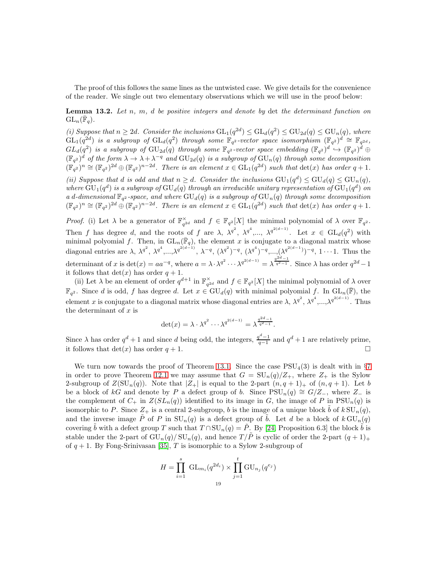The proof of this follows the same lines as the untwisted case. We give details for the convenience of the reader. We single out two elementary observations which we will use in the proof below:

<span id="page-19-0"></span>Lemma 13.2. *Let* n*,* m*,* d *be positive integers and denote by* det *the determinant function on*  $\mathrm{GL}_n(\bar{\mathbb{F}}_q)$ .

*(i)* Suppose that  $n \geq 2d$ . Consider the inclusions  $GL_1(q^{2d}) \leq GL_d(q^2) \leq GU_{2d}(q) \leq GU_n(q)$ , where  $GL_1(q^{2d})$  is a subgroup of  $GL_d(q^2)$  through some  $\mathbb{F}_{q^2}$ -vector space isomorphism  $(\mathbb{F}_{q^2})^d \cong \mathbb{F}_{q^{2d}}$ ,  $GL_d(q^2)$  is a subgroup of  $\mathrm{GU}_{2d}(q)$  through some  $\mathbb{F}_{q^2}$ -vector space embedding  $(\mathbb{F}_{q^2})^d \hookrightarrow (\mathbb{F}_{q^2})^d \oplus$  $(\mathbb{F}_{q^2})^d$  of the form  $\lambda \to \lambda + \lambda^{-q}$  and  $\text{GU}_{2d}(q)$  is a subgroup of  $\text{GU}_n(q)$  through some decomposition  $(\mathbb{F}_{q^2})^n \cong (\mathbb{F}_{q^2})^{2d} \oplus (\mathbb{F}_{q^2})^{n-2d}$ . There is an element  $x \in GL_1(q^{2d})$  such that  $\det(x)$  has order  $q+1$ .

*(ii)* Suppose that *d is odd and that*  $n \ge d$ *. Consider the inclusions*  $GU_1(q^d) \le GU_d(q) \le GU_n(q)$ *,* where  $GU_{1}(q^{d})$  is a subgroup of  $GU_{d}(q)$  through an irreducible unitary representation of  $GU_{1}(q^{d})$  on *a* d-dimensional  $\mathbb{F}_{q^2}$ -space, and where  $GU_d(q)$  is a subgroup of  $GU_n(q)$  through some decomposition  $(\mathbb{F}_{q^2})^n \cong (\mathbb{F}_{q^2})^{2d} \oplus (\mathbb{F}_{q^2})^{n-2d}$ . There is an element  $x \in GL_1(q^{2d})$  such that  $\det(x)$  has order  $q+1$ .

*Proof.* (i) Let  $\lambda$  be a generator of  $\mathbb{F}_{q^{2d}}^{\times}$  and  $f \in \mathbb{F}_{q^2}[X]$  the minimal polynomial of  $\lambda$  over  $\mathbb{F}_{q^2}$ . Then f has degree d, and the roots of f are  $\lambda$ ,  $\lambda^{q^2}$ ,  $\lambda^{q^4}$ ,...,  $\lambda^{q^{2(d-1)}}$ . Let  $x \in GL_d(q^2)$  with minimal polyomial f. Then, in  $GL_n(\overline{\mathbb{F}}_q)$ , the element x is conjugate to a diagonal matrix whose diagonal entries are  $\lambda$ ,  $\lambda^{q^2}$ ,  $\lambda^{q^4}$ ,..., $\lambda^{q^{2(d-1)}}$ ,  $\lambda^{-q}$ ,  $(\lambda^{q^2})^{-q}$ ,  $(\lambda^{q^4})^{-q}$ ,..., $(\lambda^{q^{2(d-1)}})^{-q}$ ,  $1 \cdots 1$ . Thus the determinant of x is  $\det(x) = aa^{-q}$ , where  $a = \lambda \cdot \lambda^{q^2} \cdots \lambda^{q^{2(d-1)}} = \lambda^{\frac{q^{2d}-1}{q^2-1}}$ . Since  $\lambda$  has order  $q^{2d}-1$ it follows that  $\det(x)$  has order  $q + 1$ .

(ii) Let  $\lambda$  be an element of order  $q^{d+1}$  in  $\mathbb{F}_{q^{2d}}^{\times}$  and  $f \in \mathbb{F}_{q^2}[X]$  the minimal polynomial of  $\lambda$  over  $\mathbb{F}_{q^2}$ . Since d is odd, f has degree d. Let  $x \in \mathrm{GU}_d(q)$  with minimal polyomial f. In  $\mathrm{GL}_n(\overline{\mathbb{F}})$ , the element x is conjugate to a diagonal matrix whose diagonal entries are  $\lambda$ ,  $\lambda^{q^2}$ ,  $\lambda^{q^4}$ ,..., $\lambda^{q^{2(d-1)}}$ . Thus the determinant of  $x$  is

$$
\det(x) = \lambda \cdot \lambda^{q^2} \cdots \lambda^{q^{2(d-1)}} = \lambda^{\frac{q^{2d}-1}{q^2-1}}.
$$

Since  $\lambda$  has order  $q^d + 1$  and since d being odd, the integers,  $\frac{q^d-1}{q-1}$  and  $q^d + 1$  are relatively prime, it follows that  $\det(x)$  has order  $q + 1$ .

We turn now towards the proof of Theorem [13.1.](#page-18-0) Since the case  $PSU<sub>4</sub>(3)$  is dealt with in §[7](#page-10-2) in order to prove Theorem [12.1](#page-16-0) we may assume that  $G = SU_n(q)/Z_+$ , where  $Z_+$  is the Sylow 2-subgroup of  $Z(SU_n(q))$ . Note that  $|Z_+|$  is equal to the 2-part  $(n, q + 1)_+$  of  $(n, q + 1)$ . Let b be a block of kG and denote by P a defect group of b. Since  $PSU_n(q) \cong G/Z_$ , where  $Z_$  is the complement of  $C_+$  in  $Z(SL_n(q))$  identified to its image in G, the image of P in  $PSU_n(q)$  is isomorphic to P. Since  $Z_+$  is a central 2-subgroup, b is the image of a unique block b of  $k \text{SU}_n(q)$ , and the inverse image  $\tilde{P}$  of P in  $SU_n(q)$  is a defect group of  $\tilde{b}$ . Let d be a block of  $k \text{ GU}_n(q)$ covering b with a defect group T such that  $T \cap SU_n(q) = \tilde{P}$ . By [\[24,](#page-38-6) Proposition 6.3] the block b is stable under the 2-part of  $GU_n(q)/SU_n(q)$ , and hence  $T/\tilde{P}$  is cyclic of order the 2-part  $(q+1)_+$ of  $q + 1$ . By Fong-Srinivasan [\[35\]](#page-39-22), T is isomorphic to a Sylow 2-subgroup of

$$
H = \prod_{i=1}^{s} GL_{m_i}(q^{2d_i}) \times \prod_{j=1}^{t} GU_{n_j}(q^{e_j})
$$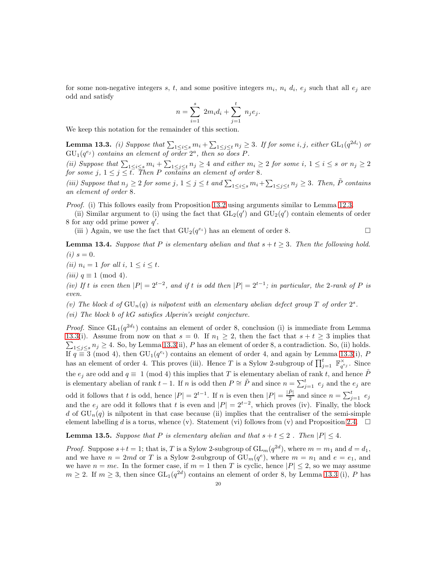for some non-negative integers s, t, and some positive integers  $m_i$ ,  $n_i$   $d_i$ ,  $e_j$  such that all  $e_j$  are odd and satisfy

$$
n = \sum_{i=1}^{s} 2m_i d_i + \sum_{j=1}^{t} n_j e_j.
$$

We keep this notation for the remainder of this section.

<span id="page-20-0"></span>**Lemma 13.3.** *(i)* Suppose that  $\sum_{1 \leq i \leq s} m_i + \sum_{1 \leq j \leq t} n_j \geq 3$ . If for some i, j, either  $GL_1(q^{2d_i})$  or  $GU_{1}(q^{e_j})$  *contains an element of order*  $2^a$ *, then so does* P.

(*ii*) Suppose that  $\sum_{1 \leq i \leq s} m_i + \sum_{1 \leq j \leq t} n_j \geq 4$  and either  $m_i \geq 2$  for some  $i, 1 \leq i \leq s$  or  $n_j \geq 2$ *for some*  $j, 1 \leq j \leq t$ *. Then* P *contains an element of order* 8*.* 

*(iii)* Suppose that  $n_j \geq 2$  for some  $j$ ,  $1 \leq j \leq t$  and  $\sum_{1 \leq i \leq s} m_i + \sum_{1 \leq j \leq t} n_j \geq 3$ . Then,  $\tilde{P}$  contains *an element of order* 8*.*

*Proof.* (i) This follows easily from Proposition [13.2](#page-19-0) using arguments similar to Lemma [12.3.](#page-16-2)

(ii) Similar argument to (i) using the fact that  $GL_2(q')$  and  $GU_2(q')$  contain elements of order 8 for any odd prime power  $q'$ .

(iii) Again, we use the fact that  $\mathrm{GU}_2(q^{e_i})$  has an element of order 8.

**Lemma 13.4.** *Suppose that* P *is elementary abelian and that*  $s + t \geq 3$ *. Then the following hold.*  $(i) s = 0.$ 

*(ii)*  $n_i = 1$  *for all*  $i, 1 \leq i \leq t$ *.* 

*(iii)*  $q \equiv 1 \pmod{4}$ *.* 

*(iv)* If t is even then  $|P| = 2^{t-2}$ , and if t is odd then  $|P| = 2^{t-1}$ ; in particular, the 2*-rank of* P is *even.*

(*v*) The block d of  $GU_n(q)$  is nilpotent with an elementary abelian defect group T of order  $2^s$ .

*(vi) The block* b *of* kG *satisfies Alperin's weight conjecture.*

*Proof.* Since  $GL_1(q^{2d_1})$  contains an element of order 8, conclusion (i) is immediate from Lemma [13.3\(](#page-20-0)i). Assume from now on that  $s = 0$ . If  $n_1 \geq 2$ , then the fact that  $s + t \geq 3$  implies that  $\sum_{1 \leq j \leq s} n_j \geq 4$ . So, by Lemma [13.3\(](#page-20-0)ii), P has an element of order 8, a contradiction. So, (ii) holds. If  $q \equiv 3 \pmod{4}$ , then  $GU_1(q^{e_i})$  contains an element of order 4, and again by Lemma [13.3\(](#page-20-0)i), P has an element of order 4. This proves (iii). Hence T is a Sylow 2-subgroup of  $\prod_{j=1}^{t} \mathbb{F}_{q^{e_j}}^{\times}$ . Since the  $e_j$  are odd and  $q \equiv 1 \pmod{4}$  this implies that T is elementary abelian of rank t, and hence  $\tilde{P}$ is elementary abelian of rank  $t-1$ . If n is odd then  $P \cong \tilde{P}$  and since  $n = \sum_{j=1}^{t} e_j$  and the  $e_j$  are odd it follows that t is odd, hence  $|P| = 2^{t-1}$ . If n is even then  $|P| = \frac{|\tilde{P}|}{2}$  $\frac{\overline{p}}{2}$  and since  $n = \sum_{j=1}^{t} e_j$ and the  $e_j$  are odd it follows that t is even and  $|P| = 2^{t-2}$ , which proves (iv). Finally, the block d of  $GU_n(q)$  is nilpotent in that case because (ii) implies that the centraliser of the semi-simple element labelling d is a torus, whence (v). Statement (vi) follows from (v) and Proposition [2.4.](#page-4-2)  $\Box$ 

**Lemma 13.5.** Suppose that P is elementary abelian and that  $s + t \leq 2$ . Then  $|P| \leq 4$ .

*Proof.* Suppose  $s+t=1$ ; that is, T is a Sylow 2-subgroup of  $GL_m(q^{2d})$ , where  $m = m_1$  and  $d = d_1$ , and we have  $n = 2md$  or T is a Sylow 2-subgroup of  $GU_m(q^e)$ , where  $m = n_1$  and  $e = e_1$ , and we have  $n = me$ . In the former case, if  $m = 1$  then T is cyclic, hence  $|P| \leq 2$ , so we may assume  $m \geq 2$ . If  $m \geq 3$ , then since  $GL_1(q^{2d})$  contains an element of order 8, by Lemma [13.3](#page-20-0) (i), P has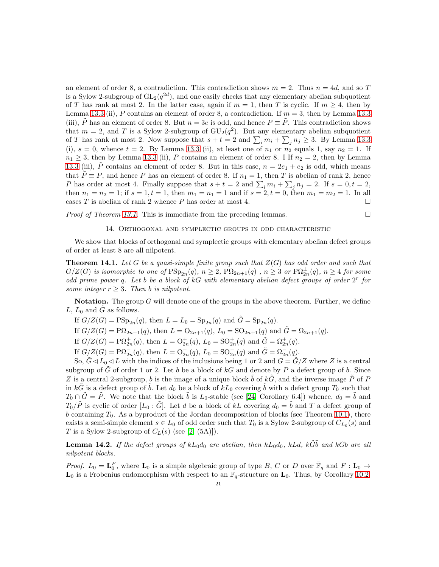an element of order 8, a contradiction. This contradiction shows  $m = 2$ . Thus  $n = 4d$ , and so T is a Sylow 2-subgroup of  $GL_2(q^{2d})$ , and one easily checks that any elementary abelian subquotient of T has rank at most 2. In the latter case, again if  $m = 1$ , then T is cyclic. If  $m \geq 4$ , then by Lemma [13.3](#page-20-0) (ii), P contains an element of order 8, a contradiction. If  $m = 3$ , then by Lemma 13.3 (iii), P has an element of order 8. But  $n = 3e$  is odd, and hence  $P \equiv P$ . This contradiction shows that  $m = 2$ , and T is a Sylow 2-subgroup of  $GU_2(q^2)$ . But any elementary abelian subquotient of T has rank at most 2. Now suppose that  $s + t = 2$  and  $\sum_i m_i + \sum_j n_j \ge 3$ . By Lemma [13.3](#page-20-0) (i),  $s = 0$ , whence  $t = 2$ . By Lemma [13.3](#page-20-0) (ii), at least one of  $n_1$  or  $n_2$  equals 1, say  $n_2 = 1$ . If  $n_1 \geq 3$ , then by Lemma [13.3](#page-20-0) (ii), P contains an element of order 8. I If  $n_2 = 2$ , then by Lemma [13.3](#page-20-0) (iii),  $\tilde{P}$  contains an element of order 8. But in this case,  $n = 2e_1 + e_2$  is odd, which means that  $\tilde{P} \equiv P$ , and hence P has an element of order 8. If  $n_1 = 1$ , then T is abelian of rank 2, hence P has order at most 4. Finally suppose that  $s + t = 2$  and  $\sum_i m_i + \sum_j n_j = 2$ . If  $s = 0, t = 2$ , then  $n_1 = n_2 = 1$ ; if  $s = 1, t = 1$ , then  $m_1 = n_1 = 1$  and if  $s = 2, t = 0$ , then  $m_1 = m_2 = 1$ . In all cases  $T$  is abelian of rank 2 whence  $P$  has order at most 4.

*Proof of Theorem [13.1.](#page-18-0)* This is immediate from the preceding lemmas. □

#### 14. Orthogonal and symplectic groups in odd characteristic

We show that blocks of orthogonal and symplectic groups with elementary abelian defect groups of order at least 8 are all nilpotent.

<span id="page-21-0"></span>Theorem 14.1. *Let* G *be a quasi-simple finite group such that* Z(G) *has odd order and such that*  $G/Z(G)$  is isomorphic to one of  $\mathrm{PSp}_{2n}(q)$ ,  $n \geq 2$ ,  $\mathrm{P}\Omega_{2n+1}(q)$  ,  $n \geq 3$  or  $\mathrm{P}\Omega_{2n}^{\pm}(q)$ ,  $n \geq 4$  for some *odd prime power* q*. Let* b *be a block of* kG *with elementary abelian defect groups of order* 2 r *for some integer*  $r > 3$ *. Then b is nilpotent.* 

Notation. The group  $G$  will denote one of the groups in the above theorem. Further, we define  $L, L_0$  and  $G$  as follows.

If  $G/Z(G) = \text{PSp}_{2n}(q)$ , then  $L = L_0 = \text{Sp}_{2n}(q)$  and  $\tilde{G} = \text{Sp}_{2n}(q)$ .

If  $G/Z(G) = \mathbb{P}\Omega_{2n+1}(q)$ , then  $L = \mathbb{O}_{2n+1}(q)$ ,  $L_0 = \mathbb{SO}_{2n+1}(q)$  and  $\tilde{G} = \Omega_{2n+1}(q)$ .

If  $G/Z(G) = \mathrm{P}\Omega^+_{2n}(q)$ , then  $L = \mathrm{O}^+_{2n}(q)$ ,  $L_0 = \mathrm{SO}^+_{2n}(q)$  and  $\tilde{G} = \Omega^+_{2n}(q)$ .

If  $G/Z(G) = \mathbf{P} \Omega_{2n}^{-}(q)$ , then  $L = \mathbf{O}_{2n}^{-}(q)$ ,  $L_0 = \mathbf{SO}_{2n}^{-}(q)$  and  $\tilde{G} = \Omega_{2n}^{-}(q)$ .

So,  $\tilde{G} \triangleleft L_0 \triangleleft L$  with the indices of the inclusions being 1 or 2 and  $G = \tilde{G}/Z$  where Z is a central subgroup of  $\tilde{G}$  of order 1 or 2. Let b be a block of kG and denote by P a defect group of b. Since Z is a central 2-subgroup, b is the image of a unique block  $\tilde{b}$  of  $k\tilde{G}$ , and the inverse image  $\tilde{P}$  of P in kG is a defect group of b. Let  $d_0$  be a block of  $kL_0$  covering b with a defect group  $T_0$  such that  $T_0 \cap \tilde{G} = \tilde{P}$ . We note that the block  $\tilde{b}$  is  $L_0$ -stable (see [\[24,](#page-38-6) Corollary 6.4]) whence,  $d_0 = \tilde{b}$  and  $T_0/\tilde{P}$  is cyclic of order  $[L_0 : \tilde{G}]$ . Let d be a block of kL covering  $d_0 = \tilde{b}$  and T a defect group of  $b$  containing  $T_0$ . As a byproduct of the Jordan decomposition of blocks (see Theorem [10.1\)](#page-13-0), there exists a semi-simple element  $s \in L_0$  of odd order such that  $T_0$  is a Sylow 2-subgroup of  $C_{L_0}(s)$  and T is a Sylow 2-subgroup of  $C_L(s)$  (see [\[2,](#page-37-2) (5A)]).

<span id="page-21-1"></span>**Lemma 14.2.** If the defect groups of  $kL_0d_0$  are abelian, then  $kL_0d_0$ ,  $kLd$ ,  $k\tilde{G}\tilde{b}$  and  $kGb$  are all *nilpotent blocks.*

*Proof.*  $L_0 = \mathbf{L}_0^F$ , where  $\mathbf{L}_0$  is a simple algebraic group of type B, C or D over  $\overline{\mathbb{F}}_q$  and  $F: \mathbf{L}_0 \to$  $\mathbf{L}_0$  is a Frobenius endomorphism with respect to an  $\mathbb{F}_q$ -structure on  $\mathbf{L}_0$ . Thus, by Corollary [10.2,](#page-14-1)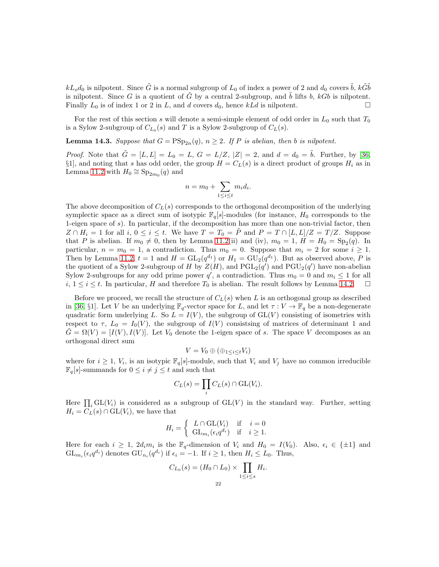$kL_o d_0$  is nilpotent. Since  $\tilde{G}$  is a normal subgroup of  $L_0$  of index a power of 2 and  $d_0$  covers  $\tilde{b}$ ,  $k\tilde{G}\tilde{b}$ is nilpotent. Since G is a quotient of  $\tilde{G}$  by a central 2-subgroup, and  $\tilde{b}$  lifts b, kGb is nilpotent. Finally  $L_0$  is of index 1 or 2 in L, and d covers  $d_0$ , hence  $kLd$  is nilpotent.

For the rest of this section s will denote a semi-simple element of odd order in  $L_0$  such that  $T_0$ is a Sylow 2-subgroup of  $C_{L_0}(s)$  and T is a Sylow 2-subgroup of  $C_L(s)$ .

**Lemma 14.3.** Suppose that  $G = \text{PSp}_{2n}(q)$ ,  $n \geq 2$ . If P is abelian, then b is nilpotent.

*Proof.* Note that  $\tilde{G} = [L, L] = L_0 = L$ ,  $G = L/Z$ ,  $|Z| = 2$ , and  $d = d_0 = \tilde{b}$ . Further, by [\[36,](#page-39-23) §1], and noting that s has odd order, the group  $H = C<sub>L</sub>(s)$  is a direct product of groups  $H<sub>i</sub>$  as in Lemma [11.2](#page-15-0) with  $H_0 \cong \mathrm{Sp}_{2m_0}(q)$  and

$$
n = m_0 + \sum_{1 \le i \le t} m_i d_i.
$$

The above decomposition of  $C<sub>L</sub>(s)$  corresponds to the orthogonal decomposition of the underlying symplectic space as a direct sum of isotypic  $\mathbb{F}_q[s]$ -modules (for instance,  $H_0$  corresponds to the 1-eigen space of  $s$ ). In particular, if the decomposition has more than one non-trivial factor, then  $Z \cap H_i = 1$  for all  $i, 0 \le i \le t$ . We have  $T = T_0 = \tilde{P}$  and  $P = T \cap [L, L]/Z = T/Z$ . Suppose that P is abelian. If  $m_0 \neq 0$ , then by Lemma [11.2\(](#page-15-0)ii) and (iv),  $m_0 = 1$ ,  $H = H_0 = Sp_2(q)$ . In particular,  $n = m_0 = 1$ , a contradiction. Thus  $m_0 = 0$ . Suppose that  $m_i = 2$  for some  $i \ge 1$ . Then by Lemma [11.2,](#page-15-0)  $t = 1$  and  $H = GL_2(q^{d_1})$  or  $H_1 = \mathrm{GU}_2(q^{d_1})$ . But as observed above, P is the quotient of a Sylow 2-subgroup of H by  $Z(H)$ , and  $PGL_2(q')$  and  $PGU_2(q')$  have non-abelian Sylow 2-subgroups for any odd prime power q', a contradiction. Thus  $m_0 = 0$  and  $m_i \leq 1$  for all  $i, 1 \leq i \leq t$ . In particular, H and therefore  $T_0$  is abelian. The result follows by Lemma [14.2.](#page-21-1)  $\Box$ 

Before we proceed, we recall the structure of  $C<sub>L</sub>(s)$  when L is an orthogonal group as described in [\[36,](#page-39-23) §1]. Let V be an underlying  $\mathbb{F}_q$ -vector space for L, and let  $\tau: V \to \mathbb{F}_q$  be a non-degenerate quadratic form underlying L. So  $L = I(V)$ , the subgroup of  $GL(V)$  consisting of isometries with respect to  $\tau$ ,  $L_0 = I_0(V)$ , the subgroup of  $I(V)$  consistsing of matrices of determinant 1 and  $G = \Omega(V) = [I(V), I(V)]$ . Let  $V_0$  denote the 1-eigen space of s. The space V decomposes as an orthogonal direct sum

$$
V = V_0 \oplus (\oplus_{1 \leq i \leq t} V_i)
$$

where for  $i \geq 1$ ,  $V_i$ , is an isotypic  $\mathbb{F}_q[s]$ -module, such that  $V_i$  and  $V_j$  have no common irreducible  $\mathbb{F}_q[s]$ -summands for  $0 \leq i \neq j \leq t$  and such that

$$
C_L(s) = \prod_i C_L(s) \cap \mathrm{GL}(V_i).
$$

Here  $\prod_i GL(V_i)$  is considered as a subgroup of  $GL(V)$  in the standard way. Further, setting  $H_i = C_L(s) \cap GL(V_i)$ , we have that

$$
H_i = \begin{cases} L \cap \text{GL}(V_i) & \text{if } i = 0\\ \text{GL}_{m_i}(\epsilon_i q^{d_i}) & \text{if } i \geq 1. \end{cases}
$$

Here for each  $i \geq 1$ ,  $2d_i m_i$  is the  $\mathbb{F}_q$ -dimension of  $V_i$  and  $H_0 = I(V_0)$ . Also,  $\epsilon_i \in {\pm 1}$  and  $GL_{m_i}(\epsilon_i q^{d_i})$  denotes  $GU_{n_i}(q^{d_i})$  if  $\epsilon_i = -1$ . If  $i \geq 1$ , then  $H_i \leq L_0$ . Thus,

$$
C_{L_0}(s) = (H_0 \cap L_0) \times \prod_{1 \le i \le s} H_i.
$$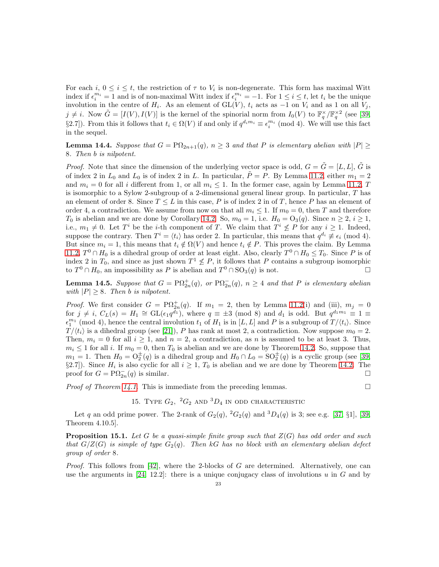For each  $i, 0 \le i \le t$ , the restriction of  $\tau$  to  $V_i$  is non-degenerate. This form has maximal Witt index if  $\epsilon_i^{m_i} = 1$  and is of non-maximal Witt index if  $\epsilon_i^{m_i} = -1$ . For  $1 \le i \le t$ , let  $t_i$  be the unique involution in the centre of  $H_i$ . As an element of  $GL(V)$ ,  $t_i$  acts as  $-1$  on  $V_i$  and as 1 on all  $V_j$ ,  $j \neq i$ . Now  $\tilde{G} = [I(V), I(V)]$  is the kernel of the spinorial norm from  $I_0(V)$  to  $\mathbb{F}_q^{\times}/\mathbb{F}_q^{\times 2}$  (see [\[39,](#page-39-13) §2.7]). From this it follows that  $t_i \in \Omega(V)$  if and only if  $q^{d_i m_i} \equiv \epsilon_i^{m_i} \pmod{4}$ . We will use this fact in the sequel.

**Lemma 14.4.** Suppose that  $G = \mathbb{P}\Omega_{2n+1}(q)$ ,  $n \geq 3$  and that P is elementary abelian with  $|P| \geq$ 8*. Then* b *is nilpotent.*

*Proof.* Note that since the dimension of the underlying vector space is odd,  $G = \tilde{G} = [L, L]$ ,  $\tilde{G}$  is of index 2 in  $L_0$  and  $L_0$  is of index 2 in L. In particular,  $\tilde{P} = P$ . By Lemma [11.2,](#page-15-0) either  $m_1 = 2$ and  $m_i = 0$  for all i different from 1, or all  $m_i \leq 1$ . In the former case, again by Lemma [11.2,](#page-15-0) T is isomorphic to a Sylow 2-subgroup of a 2-dimensional general linear group. In particular, T has an element of order 8. Since  $T \leq L$  in this case, P is of index 2 in of T, hence P has an element of order 4, a contradiction. We assume from now on that all  $m_i \leq 1$ . If  $m_0 = 0$ , then T and therefore  $T_0$  is abelian and we are done by Corollary [14.2.](#page-21-1) So,  $m_0 = 1$ , i.e.  $H_0 = O_3(q)$ . Since  $n \ge 2$ ,  $i \ge 1$ , i.e.,  $m_1 \neq 0$ . Let  $T^i$  be the *i*-th component of T. We claim that  $T^i \nleq P$  for any  $i \geq 1$ . Indeed, suppose the contrary. Then  $T^i = \langle t_i \rangle$  has order 2. In particular, this means that  $q^{d_i} \not\equiv \epsilon_i \pmod{4}$ . But since  $m_i = 1$ , this means that  $t_i \notin \Omega(V)$  and hence  $t_i \notin P$ . This proves the claim. By Lemma [11.2,](#page-15-0)  $T^0 \cap H_0$  is a dihedral group of order at least eight. Also, clearly  $T^0 \cap H_0 \leq T_0$ . Since P is of index 2 in  $T_0$ , and since as just shown  $T^1 \nleq P$ , it follows that P contains a subgroup isomorphic to  $T^0 \cap H_0$ , an impossibility as P is abelian and  $T^0 \cap SO_3(q)$  is not.

**Lemma 14.5.** Suppose that  $G = \mathrm{P}\Omega_{2n}^+(q)$ , or  $\mathrm{P}\Omega_{2n}^-(q)$ ,  $n \geq 4$  and that P is elementary abelian *with*  $|P| \geq 8$ *. Then b is nilpotent.* 

*Proof.* We first consider  $G = \mathrm{P}\Omega_{2n}^+(q)$ . If  $m_1 = 2$ , then by Lemma [11.2\(](#page-15-0)i) and (iii),  $m_j = 0$ for  $j \neq i$ ,  $C_L(s) = H_1 \cong GL(\epsilon_1 q^{\overline{d_1}})$ , where  $q \equiv \pm 3 \pmod{8}$  and  $d_1$  is odd. But  $q^{d_1 m_1} \equiv 1 \equiv$  $\epsilon_1^{m_1}$  (mod 4), hence the central involution  $t_1$  of  $H_1$  is in [L, L] and P is a subgroup of  $T/\langle t_i \rangle$ . Since  $T/\langle t_i \rangle$  is a dihedral group (see [\[21\]](#page-38-20)), P has rank at most 2, a contradiction. Now suppose  $m_0 = 2$ . Then,  $m_i = 0$  for all  $i \ge 1$ , and  $n = 2$ , a contradiction, as n is assumed to be at least 3. Thus,  $m_i \leq 1$  for all i. If  $m_0 = 0$ , then  $T_0$  is abelian and we are done by Theorem [14.2.](#page-21-1) So, suppose that  $m_1 = 1$ . Then  $H_0 = O_2^{\pm}(q)$  is a dihedral group and  $H_0 \cap L_0 = SO_2^{\pm}(q)$  is a cyclic group (see [\[39,](#page-39-13)  $\S2.7$ ). Since  $H_i$  is also cyclic for all  $i \geq 1$ ,  $T_0$  is abelian and we are done by Theorem [14.2.](#page-21-1) The proof for  $G = \mathrm{P}\Omega_{2n}^-(q)$  is similar.

*Proof of Theorem [14.1.](#page-21-0)* This is immediate from the preceding lemmas.  $\square$ 

## 15. TYPE  $G_2$ ,  ${}^2G_2$  and  ${}^3D_4$  in odd characteristic

Let q an odd prime power. The 2-rank of  $G_2(q)$ ,  ${}^2G_2(q)$  and  ${}^3D_4(q)$  is 3; see e.g. [\[37,](#page-39-24) §1], [\[39,](#page-39-13) Theorem 4.10.5].

<span id="page-23-0"></span>Proposition 15.1. *Let* G *be a quasi-simple finite group such that* Z(G) *has odd order and such that*  $G/Z(G)$  *is simple of type*  $G_2(q)$ *. Then* kG *has no block with an elementary abelian defect group of order* 8*.*

*Proof.* This follows from [\[42\]](#page-39-25), where the 2-blocks of G are determined. Alternatively, one can use the arguments in [\[24,](#page-38-6) 12.2]: there is a unique conjugacy class of involutions u in G and by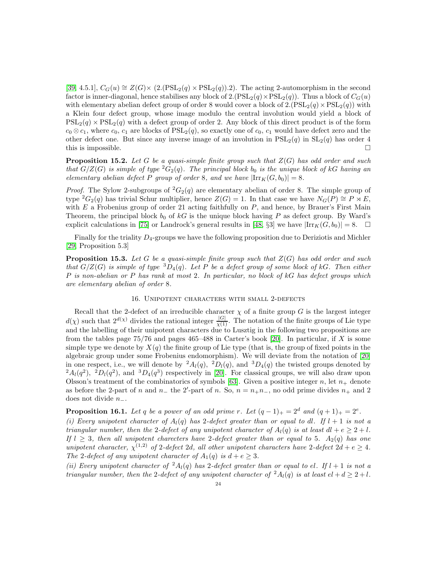[\[39,](#page-39-13) 4.5.1],  $C_G(u) \cong Z(G) \times (2.(\text{PSL}_2(q) \times \text{PSL}_2(q)).2)$ . The acting 2-automorphism in the second factor is inner-diagonal, hence stabilises any block of  $2.(PSL<sub>2</sub>(q) \times PSL<sub>2</sub>(q))$ . Thus a block of  $C<sub>G</sub>(u)$ with elementary abelian defect group of order 8 would cover a block of  $2.(PSL<sub>2</sub>(q) \times PSL<sub>2</sub>(q))$  with a Klein four defect group, whose image modulo the central involution would yield a block of  $PSL_2(q) \times PSL_2(q)$  with a defect group of order 2. Any block of this direct product is of the form  $c_0 \otimes c_1$ , where  $c_0$ ,  $c_1$  are blocks of  $PSL_2(q)$ , so exactly one of  $c_0$ ,  $c_1$  would have defect zero and the other defect one. But since any inverse image of an involution in  $PSL_2(q)$  in  $SL_2(q)$  has order 4 this is impossible.  $\square$ 

<span id="page-24-0"></span>Proposition 15.2. *Let* G *be a quasi-simple finite group such that* Z(G) *has odd order and such that*  $G/Z(G)$  *is simple of type*  ${}^2G_2(q)$ *. The principal block* b<sub>0</sub> *is the unique block of* kG *having an elementary abelian defect* P *group of order* 8*, and we have*  $|\text{Irr}_K(G, b_0)| = 8$ *.* 

*Proof.* The Sylow 2-subgroups of  ${}^2G_2(q)$  are elementary abelian of order 8. The simple group of type  ${}^{2}G_{2}(q)$  has trivial Schur multiplier, hence  $Z(G) = 1$ . In that case we have  $N_{G}(P) \cong P \rtimes E$ , with  $E$  a Frobenius group of order 21 acting faithfully on  $P$ , and hence, by Brauer's First Main Theorem, the principal block  $b_0$  of kG is the unique block having P as defect group. By Ward's explicit calculations in [\[75\]](#page-40-4) or Landrock's general results in [\[48,](#page-39-0) §3] we have  $|\text{Irr}_{K}(G, b_0)| = 8.$ 

Finally for the triality  $D_4$ -groups we have the following proposition due to Deriziotis and Michler [\[29,](#page-38-23) Proposition 5.3]

<span id="page-24-1"></span>Proposition 15.3. *Let* G *be a quasi-simple finite group such that* Z(G) *has odd order and such that*  $G/Z(G)$  *is simple of type*  ${}^{3}D_{4}(q)$ *. Let* P *be a defect group of some block of* kG*. Then either* P *is non-abelian or* P *has rank at most* 2*. In particular, no block of* kG *has defect groups which are elementary abelian of order* 8*.*

#### 16. Unipotent characters with small 2-defects

<span id="page-24-3"></span>Recall that the 2-defect of an irreducible character  $\chi$  of a finite group G is the largest integer  $d(\chi)$  such that  $2^{d(\chi)}$  divides the rational integer  $\frac{|G|}{\chi(1)}$ . The notation of the finite groups of Lie type and the labelling of their unipotent characters due to Lusztig in the following two propositions are from the tables page  $75/76$  and pages  $465-488$  in Carter's book [\[20\]](#page-38-24). In particular, if X is some simple type we denote by  $X(q)$  the finite group of Lie type (that is, the group of fixed points in the algebraic group under some Frobenius endomorphism). We will deviate from the notation of [\[20\]](#page-38-24) in one respect, i.e., we will denote by  ${}^2A_l(q)$ ,  ${}^2D_l(q)$ , and  ${}^3D_4(q)$  the twisted groups denoted by  ${}^2A_l(q^2)$ ,  ${}^2D_l(q^2)$ , and  ${}^3D_4(q^3)$  respectively in [\[20\]](#page-38-24). For classical groups, we will also draw upon Olsson's treatment of the combinatorics of symbols [\[63\]](#page-39-26). Given a positive integer n, let  $n_+$  denote as before the 2-part of n and  $n_-\,$  the 2'-part of n. So,  $n = n_+n_-\,$ , no odd prime divides  $n_+\,$  and 2 does not divide n−.

<span id="page-24-2"></span>**Proposition 16.1.** Let q be a power of an odd prime r. Let  $(q - 1)_+ = 2^d$  and  $(q + 1)_+ = 2^e$ .

*(i) Every unipotent character of*  $A_l(q)$  *has* 2-defect greater than or equal to dl. If  $l + 1$  is not a *triangular number, then the* 2*-defect of any unipotent character of*  $A_l(q)$  *is at least*  $dl + e \geq 2 + l$ *. If*  $l \geq 3$ *, then all unipotent charecters have* 2*-defect greater than or equal to* 5*.*  $A_2(q)$  *has one unipotent character,*  $\chi^{(1,2)}$  *of* 2*-defect* 2*d, all other unipotent characters have* 2*-defect* 2*d* + *e*  $\geq$  4*. The* 2*-defect of any unipotent character of*  $A_1(q)$  *is*  $d + e \geq 3$ *.* 

*(ii) Every unipotent character of*  ${}^2A_l(q)$  *has* 2*-defect greater than or equal to el. If*  $l + 1$  *is not a triangular number, then the* 2*-defect of any unipotent character of*  ${}^2A_l(q)$  *is at least*  $el + d \geq 2 + l$ *.*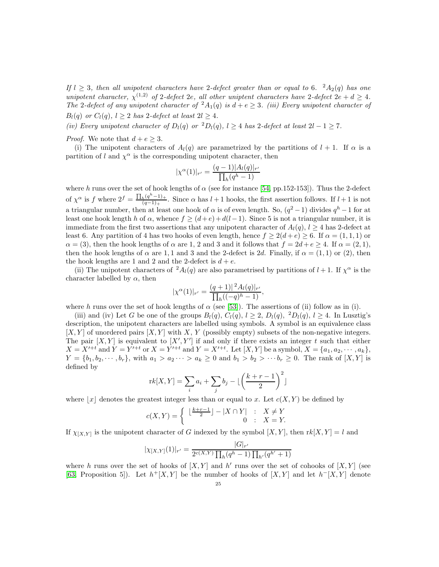*If*  $l \geq 3$ , then all unipotent characters have 2-defect greater than or equal to 6.  ${}^{2}A_{2}(q)$  has one *unipotent character,*  $\chi^{(1,2)}$  *of* 2*-defect* 2*e, all other uniptent characters have* 2*-defect* 2*e* +  $d \geq 4$ *. The* 2*-defect of any unipotent character of*  ${}^2A_1(q)$  *is*  $d+e \geq 3$ *. (iii) Every unipotent character of*  $B_l(q)$  *or*  $C_l(q)$ ,  $l \geq 2$  *has* 2-defect at least  $2l \geq 4$ .

*(iv) Every unipotent character of*  $D_l(q)$  *or*  ${}^2D_l(q)$ *,*  $l \geq 4$  *has* 2*-defect at least*  $2l - 1 \geq 7$ *.* 

*Proof.* We note that  $d + e \geq 3$ .

(i) The unipotent characters of  $A_l(q)$  are parametrized by the partitions of  $l + 1$ . If  $\alpha$  is a partition of l and  $\chi^{\alpha}$  is the corresponding unipotent character, then

$$
|\chi^{\alpha}(1)|_{r'} = \frac{(q-1)|A_l(q)|_{r'}}{\prod_h (q^h - 1)}
$$

where h runs over the set of hook lengths of  $\alpha$  (see for instance [\[54,](#page-39-27) pp.152-153]). Thus the 2-defect of  $\chi^{\alpha}$  is f where  $2^{f} = \frac{\prod_{h} (q^{h} - 1)_{+}}{(q - 1)_{+}}$  $\frac{h^{(q-1)}+1}{(q-1)+}$ . Since  $\alpha$  has  $l+1$  hooks, the first assertion follows. If  $l+1$  is not a triangular number, then at least one hook of  $\alpha$  is of even length. So,  $(q^2-1)$  divides  $q^h-1$  for at least one hook length h of  $\alpha$ , whence  $f \geq (d+e) + d(l-1)$ . Since 5 is not a triangular number, it is immediate from the first two assertions that any unipotent character of  $A_l(q)$ ,  $l \geq 4$  has 2-defect at least 6. Any partition of 4 has two hooks of even length, hence  $f \geq 2(d+e) \geq 6$ . If  $\alpha = (1,1,1)$  or  $\alpha = (3)$ , then the hook lengths of  $\alpha$  are 1, 2 and 3 and it follows that  $f = 2d + e \ge 4$ . If  $\alpha = (2, 1)$ , then the hook lengths of  $\alpha$  are 1, 1 and 3 and the 2-defect is 2d. Finally, if  $\alpha = (1,1)$  or (2), then the hook lengths are 1 and 2 and the 2-defect is  $d + e$ .

(ii) The unipotent characters of  ${}^2A_l(q)$  are also parametrised by partitions of  $l+1$ . If  $\chi^{\alpha}$  is the character labelled by  $\alpha$ , then

$$
|\chi^{\alpha}(1)|_{r'} = \frac{(q+1)|^2 A_l(q)|_{r'}}{\prod_h((-q)^h - 1)},
$$

where h runs over the set of hook lengths of  $\alpha$  (see [\[53\]](#page-39-28)). The assertions of (ii) follow as in (i).

(iii) and (iv) Let G be one of the groups  $B_l(q)$ ,  $C_l(q)$ ,  $l \geq 2$ ,  $D_l(q)$ ,  ${}^2D_l(q)$ ,  $l \geq 4$ . In Lusztig's description, the unipotent characters are labelled using symbols. A symbol is an equivalence class  $[X, Y]$  of unordered pairs  $[X, Y]$  with X, Y (possibly empty) subsets of the non-negative integers. The pair  $[X, Y]$  is equivalent to  $[X', Y']$  if and only if there exists an integer t such that either  $X = X'^{+t}$  and  $Y = Y'^{+t}$  or  $X = Y'^{+t}$  and  $Y = X'^{+t}$ . Let  $[X, Y]$  be a symbol,  $X = \{a_1, a_2, \dots, a_k\}$ ,  $Y = \{b_1, b_2, \dots, b_r\}$ , with  $a_1 > a_2 \dots > a_k \geq 0$  and  $b_1 > b_2 > \dots b_r \geq 0$ . The rank of  $[X, Y]$  is defined by

$$
rk[X,Y] = \sum_{i} a_i + \sum_{j} b_j - \lfloor \left( \frac{k+r-1}{2} \right)^2 \rfloor
$$

where  $|x|$  denotes the greatest integer less than or equal to x. Let  $c(X, Y)$  be defined by

$$
c(X,Y) = \begin{cases} \lfloor \frac{k+r-1}{2} \rfloor - |X \cap Y| & : X \neq Y \\ 0 & : X = Y. \end{cases}
$$

If  $\chi_{[X,Y]}$  is the unipotent character of G indexed by the symbol  $[X,Y]$ , then  $rk[X,Y] = l$  and

$$
|\chi_{[X,Y]}(1)|_{r'} = \frac{|G|_{r'}}{2^{c(X,Y)} \prod_{h} (q^h - 1) \prod_{h'} (q^{h'} + 1)}
$$

where h runs over the set of hooks of  $[X, Y]$  and h' runs over the set of cohooks of  $[X, Y]$  (see [\[63,](#page-39-26) Proposition 5]). Let  $h^+[X,Y]$  be the number of hooks of  $[X,Y]$  and let  $h^-[X,Y]$  denote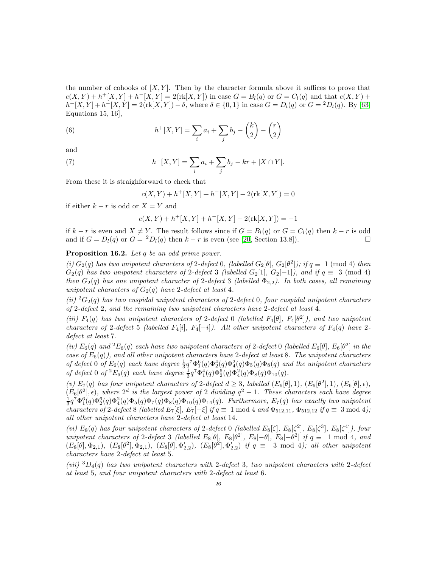the number of cohooks of  $[X, Y]$ . Then by the character formula above it suffices to prove that  $c(X,Y) + h^+[X,Y] + h^-[X,Y] = 2(\text{rk}[X,Y])$  in case  $G = B_l(q)$  or  $G = C_l(q)$  and that  $c(X,Y)$  +  $h^+[X,Y]+h^-[X,Y]=2(\text{rk}[X,Y])-\delta$ , where  $\delta \in \{0,1\}$  in case  $G=D_l(q)$  or  $G={}^2D_l(q)$ . By [\[63,](#page-39-26) Equations 15, 16],

(6) 
$$
h^{+}[X,Y] = \sum_{i} a_{i} + \sum_{j} b_{j} - {k \choose 2} - {r \choose 2}
$$

and

(7) 
$$
h^{-}[X,Y] = \sum_{i} a_i + \sum_{j} b_j - kr + |X \cap Y|.
$$

From these it is straighforward to check that

$$
c(X,Y) + h^{+}[X,Y] + h^{-}[X,Y] - 2(\text{rk}[X,Y]) = 0
$$

if either  $k - r$  is odd or  $X = Y$  and

$$
c(X,Y) + h^+[X,Y] + h^-[X,Y] - 2(\mathop{\rm rk}\nolimits[X,Y]) = -1
$$

if  $k - r$  is even and  $X \neq Y$ . The result follows since if  $G = B<sub>l</sub>(q)$  or  $G = C<sub>l</sub>(q)$  then  $k - r$  is odd and if  $G = D_l(q)$  or  $G = {}^2D_l(q)$  then  $k - r$  is even (see [\[20,](#page-38-24) Section 13.8]).

<span id="page-26-0"></span>Proposition 16.2. *Let* q *be an odd prime power.*

(*i*)  $G_2(q)$  *has two unipotent characters of* 2-defect 0, (labelled  $G_2[\theta]$ ,  $G_2[\theta^2]$ ); if  $q \equiv 1 \pmod{4}$  *then*  $G_2(q)$  has two unipotent characters of 2-defect 3 (labelled  $G_2[1]$ ,  $G_2[-1]$ ), and if  $q \equiv 3 \pmod{4}$ *then*  $G_2(q)$  *has one unipotent character of* 2*-defect* 3 *(labelled*  $\Phi_{2,2}$ *). In both cases, all remaining unipotent characters of*  $G_2(q)$  *have* 2-defect at least 4.

*(ii)*  ${}^{2}G_{2}(q)$  has two cuspidal unipotent characters of 2-defect 0, four cuspidal unipotent characters *of* 2*-defect* 2*, and the remaining two unipotent characters have* 2*-defect at least* 4*.*

*(iii)*  $F_4(q)$  *has two unipotent characters of* 2-defect 0 *(labelled*  $F_4[\theta]$ ,  $F_4[\theta^2]$ ), and two unipotent *characters of* 2*-defect* 5 *(labelled*  $F_4[i]$ *,*  $F_4[-i]$ *). All other unipotent characters of*  $F_4(q)$  *have* 2*defect at least* 7*.*

(*iv*)  $E_6(q)$  and  ${}^2E_6(q)$  each have two unipotent characters of 2-defect 0 (labelled  $E_6[\theta]$ ,  $E_6[\theta^2]$  in the *case of*  $E_6(q)$ *), and all other unipotent characters have* 2-defect at least 8. The unipotent characters *of defect* 0 *of*  $E_6(q)$  *each have degree*  $\frac{1}{3}q^7 \Phi_1^6(q) \Phi_2^4(q) \Phi_2^4(q) \Phi_5(q) \Phi_8(q)$  *and the unipotent characters of defect* 0 *of*  ${}^2E_6(q)$  *each have degree*  $\frac{1}{3}q^7\Phi_1^4(q)\Phi_2^6(q)\Phi_4^2(q)\Phi_8(q)\Phi_{10}(q)$ *.* 

*(v)*  $E_7(q)$  *has four unipotent characters of* 2*-defect*  $d \geq 3$ *, labelled*  $(E_6[\theta], 1)$ *,*  $(E_6[\theta^2], 1)$ *,*  $(E_6[\theta], \epsilon)$ *,*  $(E_6[\theta^2], \epsilon)$ , where  $2^d$  is the largest power of 2 dividing  $q^2 - 1$ . These characters each have degree  $\frac{1}{3}q^7\Phi_1^6(q)\Phi_2^6(q)\Phi_4^2(q)\Phi_5(q)\Phi_7(q)\Phi_8(q)\Phi_{10}(q)\Phi_{14}(q)$ . Furthermore,  $E_7(q)$  has exactly two unipotent *characters of* 2*-defect* 8 *(labelled*  $E_7[\xi]$ *,*  $E_7[-\xi]$  *if*  $q \equiv 1 \mod 4$  *and*  $\Phi_{512,11}$ *,*  $\Phi_{512,12}$  *if*  $q \equiv 3 \mod 4$ *)*; *all other unipotent characters have* 2*-defect at least* 14*.*

(*vi*)  $E_8(q)$  *has four unipotent characters of* 2-defect 0 (labelled  $E_8[\zeta]$ ,  $E_8[\zeta^2]$ ,  $E_8[\zeta^3]$ ,  $E_8[\zeta^4]$ ), four *unipotent characters of* 2*-defect* 3 *(labelled*  $E_8[\theta]$ *,*  $E_8[\theta^2]$ *,*  $E_8[-\theta]$ *,*  $E_8[-\theta^2]$  *if*  $q \equiv 1 \mod 4$ *, and*  $(E_8[\theta], \Phi_{2,1}), (E_8[\theta^2], \Phi_{2,1}), (E_8[\theta], \Phi_{2,2}'), (E_8[\theta^2], \Phi_{2,2}')$  if  $q \equiv 3 \mod 4$ ; all other unipotent *characters have* 2*-defect at least* 5*.*

*(vii)* <sup>3</sup>D4(q) *has two unipotent characters with* 2*-defect* 3*, two unipotent characters with* 2*-defect at least* 5*, and four unipotent characters with* 2*-defect at least* 6*.*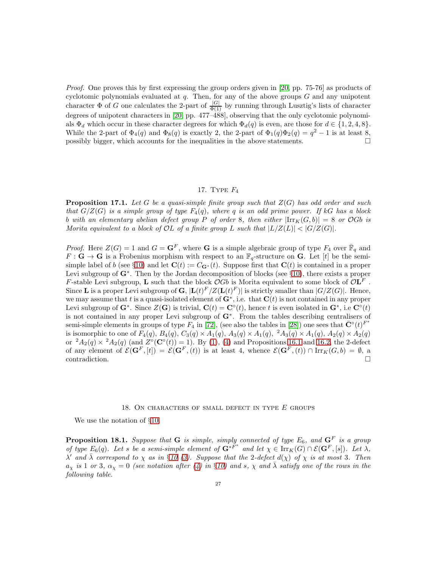*Proof.* One proves this by first expressing the group orders given in [\[20,](#page-38-24) pp. 75-76] as products of cyclotomic polynomials evaluated at  $q$ . Then, for any of the above groups  $G$  and any unipotent character  $\Phi$  of G one calculates the 2-part of  $\frac{|G|}{\Phi(1)}$  by running through Lusztig's lists of character degrees of unipotent characters in [\[20,](#page-38-24) pp. 477–488], observing that the only cyclotomic polynomials  $\Phi_d$  which occur in these character degrees for which  $\Phi_d(q)$  is even, are those for  $d \in \{1, 2, 4, 8\}$ . While the 2-part of  $\Phi_4(q)$  and  $\Phi_8(q)$  is exactly 2, the 2-part of  $\Phi_1(q)\Phi_2(q) = q^2 - 1$  is at least 8, possibly bigger, which accounts for the inequalities in the above statements.

### 17. Type F<sup>4</sup>

<span id="page-27-1"></span>Proposition 17.1. *Let* G *be a quasi-simple finite group such that* Z(G) *has odd order and such that*  $G/Z(G)$  *is a simple group of type*  $F_4(q)$ *, where* q *is an odd prime power. If* kG *has a block* b with an elementary abelian defect group P of order 8, then either  $|\text{Irr}_K(G,b)| = 8$  or OGb is *Morita equivalent to a block of OL of a finite group* L *such that*  $|L/Z(L)| < |G/Z(G)|$ *.* 

*Proof.* Here  $Z(G) = 1$  and  $G = \mathbf{G}^F$ , where **G** is a simple algebraic group of type  $F_4$  over  $\overline{\mathbb{F}}_q$  and  $F: \mathbf{G} \to \mathbf{G}$  is a Frobenius morphism with respect to an  $\mathbb{F}_q$ -structure on  $\mathbf{G}$ . Let [t] be the semi-simple label of b (see §[10\)](#page-12-0) and let  $\mathbf{C}(t) := C_{\mathbf{G}^*}(t)$ . Suppose first that  $\mathbf{C}(t)$  is contained in a proper Levi subgroup of  $G^*$ . Then by the Jordan decomposition of blocks (see §[10\)](#page-12-0), there exists a proper F-stable Levi subgroup, **L** such that the block  $\mathcal{O}Gb$  is Morita equivalent to some block of  $\mathcal{O}\mathbf{L}^F$ . Since **L** is a proper Levi subgroup of **G**,  $|\mathbf{L}(t)^F/Z(\mathbf{L}(t)^F)|$  is strictly smaller than  $|G/Z(G)|$ . Hence, we may assume that t is a quasi-isolated element of  $G^*$ , i.e. that  $C(t)$  is not contained in any proper Levi subgroup of  $G^*$ . Since  $Z(G)$  is trivial,  $C(t) = C^{\circ}(t)$ , hence t is even isolated in  $G^*$ , i.e  $C^{\circ}(t)$ is not contained in any proper Levi subgroup of G<sup>∗</sup> . From the tables describing centralisers of semi-simple elements in groups of type  $F_4$  in [\[72\]](#page-40-5), (see also the tables in [\[28\]](#page-38-25)) one sees that  $\bar{\mathbf{C}}^{\circ}(t)^{F^*}$ is isomorphic to one of  $F_4(q)$ ,  $B_4(q)$ ,  $C_3(q) \times A_1(q)$ ,  $A_3(q) \times A_1(q)$ ,  $A_3(q) \times A_1(q)$ ,  $A_2(q) \times A_2(q)$ or  ${}^2A_2(q) \times {}^2A_2(q)$  (and  $Z^{\circ}(\mathbf{C}^{\circ}(t)) = 1$ ). By [\(1\)](#page-12-1), [\(4\)](#page-13-1) and Propositions [16.1](#page-24-2) and [16.2,](#page-26-0) the 2-defect of any element of  $\mathcal{E}(\mathbf{G}^F,[t]) = \mathcal{E}(\mathbf{G}^F,(t))$  is at least 4, whence  $\mathcal{E}(\mathbf{G}^F,(t)) \cap \text{Irr}_K(G,b) = \emptyset$ , a contradiction.

#### 18. ON CHARACTERS OF SMALL DEFECT IN TYPE  $E$  GROUPS

We use the notation of §[10.](#page-12-0)

<span id="page-27-0"></span>**Proposition 18.1.** Suppose that **G** is simple, simply connected of type  $E_6$ , and  $\mathbf{G}^F$  is a group *of type*  $E_6(q)$ *. Let s be a semi-simple element of*  $\mathbf{G}^*^{F^*}$  *and let*  $\chi \in \operatorname{Irr}_K(G) \cap \mathcal{E}(\mathbf{G}^F,[s])$ *. Let*  $\lambda$ *,*  $\lambda'$  *and*  $\bar{\lambda}$  *correspond to*  $\chi$  *as in* §*[10](#page-12-0)* [\(3\)](#page-13-2)*. Suppose that the* 2-defect  $d(\chi)$  *of*  $\chi$  *is at most* 3*. Then*  $a_x$  *is* 1 *or* 3,  $\alpha_x = 0$  *(see notation after [\(4\)](#page-13-1) in* §*[10\)](#page-12-0) and s*,  $\chi$  *and*  $\bar{\lambda}$  *satisfy one of the rows in the following table.*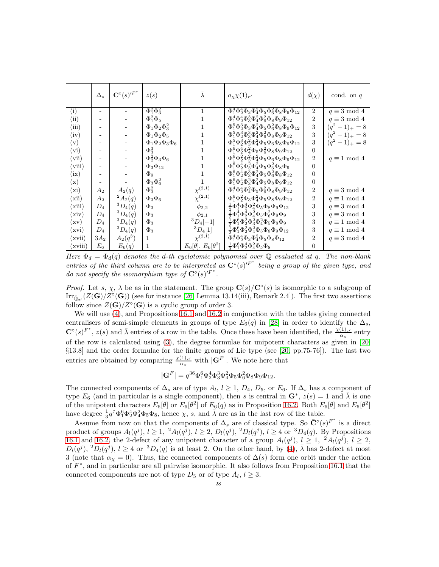|                          | $\Delta_s$ | $\mathbf{C}^\circ(s)^{\prime F^*}$ | z(s)                       | $\lambda$                    | $a_{\chi}\chi(1)_{r'}$                                                                 | $d(\chi)$      | cond. on $q$        |
|--------------------------|------------|------------------------------------|----------------------------|------------------------------|----------------------------------------------------------------------------------------|----------------|---------------------|
| (i)                      |            |                                    | $\Phi_1^2 \Phi_3^2$        | $\mathbf{1}$                 | $\overline{\Phi_1^4 \Phi_2^4 \Phi_3 \Phi_4^2 \Phi_5 \Phi_6^2 \Phi_8 \Phi_9 \Phi_{12}}$ | $\overline{2}$ | $q \equiv 3 \mod 4$ |
| (ii)                     |            |                                    | $\Phi_1^2 \Phi_5$          | 1                            | $\Phi_1^4 \Phi_2^4 \Phi_3^3 \Phi_4^2 \Phi_6^2 \Phi_8 \Phi_9 \Phi_{12}$                 | $\overline{2}$ | $q \equiv 3 \mod 4$ |
| (iii)                    |            |                                    | $\Phi_1\Phi_2\Phi_3^2$     | 1                            | $\Phi_1^5 \Phi_2^3 \Phi_3 \Phi_4^2 \Phi_5 \Phi_6^2 \Phi_8 \Phi_9 \Phi_{12}$            | 3              | $(q^2-1)_+ = 8$     |
| (iv)                     |            |                                    | $\Phi_1 \Phi_2 \Phi_5$     | 1                            | $\Phi_1^5 \Phi_2^3 \Phi_3^3 \Phi_4^2 \Phi_6^2 \Phi_8 \Phi_9 \Phi_{12}$                 | 3              | $(q^2-1)_+ = 8$     |
| (v)                      |            |                                    | $\Phi_1\Phi_2\Phi_3\Phi_6$ |                              | $\Phi_1^5 \Phi_2^3 \Phi_3^2 \Phi_4^2 \Phi_5 \Phi_6 \Phi_8 \Phi_9 \Phi_{12}$            | 3              | $(q^2-1)_+ = 8$     |
| (vi)                     |            |                                    | $\Phi_3^3$                 | 1                            | $\Phi_1^6 \Phi_2^4 \Phi_4^2 \Phi_5 \Phi_6^2 \Phi_8 \Phi_9 \Phi_{12}$                   | $\Omega$       |                     |
| (vii)                    |            |                                    | $\Phi_2^2\Phi_3\Phi_6$     | 1                            | $\Phi_1^6 \Phi_2^2 \Phi_3^2 \Phi_4^2 \Phi_5 \Phi_6 \Phi_8 \Phi_9 \Phi_{12}$            | $\overline{2}$ | $q \equiv 1 \mod 4$ |
| (viii)                   |            |                                    | $\Phi_3\Phi_{12}$          |                              | $\Phi_1^6 \Phi_2^4 \Phi_3^2 \Phi_4^2 \Phi_5 \Phi_6^2 \Phi_8 \Phi_9$                    | $\theta$       |                     |
| (ix)                     |            |                                    | $\Phi_9$                   |                              | $\Phi_1^6 \Phi_2^4 \Phi_3^3 \Phi_4^2 \Phi_5 \Phi_6^2 \Phi_8 \Phi_{12}$                 | $\Omega$       |                     |
| (x)                      | -          |                                    | $\Phi_3\Phi_6^2$           |                              | $\Phi_1^6 \Phi_2^4 \Phi_3^2 \Phi_4^2 \Phi_5 \Phi_8 \Phi_9 \Phi_{12}$                   | $\theta$       |                     |
| (xi)                     | $A_2$      | $A_2(q)$                           | $\Phi_3^2$                 | $\chi^{(2,1)}$               | $\Phi_1^4 \Phi_2^4 \Phi_4^2 \Phi_5 \Phi_6^2 \Phi_8 \Phi_9 \Phi_{12}$                   | $\overline{2}$ | $q \equiv 3 \mod 4$ |
| (xii)                    | $A_2$      | $^{2}A_{2}(q)$                     | $\Phi_3\Phi_6$             | $\chi^{(2,1)}$               | $\Phi_1^6 \Phi_2^2 \Phi_3 \Phi_4^2 \Phi_5 \Phi_8 \Phi_9 \Phi_{12}$                     | $\overline{2}$ | $q \equiv 1 \mod 4$ |
| (xiii)                   | $D_4$      | ${}^3D_4(q)$                       | $\Phi_3$                   | $\phi_{2,2}$                 | $\frac{1}{2}\Phi_1^4 \Phi_2^4 \Phi_4^2 \Phi_5 \Phi_8 \Phi_9 \Phi_{12}$                 | 3              | $q \equiv 3 \mod 4$ |
| (xiv)                    | $D_{4}$    | ${}^3D_4(q)$                       | $\Phi_3$                   | $\phi_{2,1}$                 | $\frac{1}{2}\Phi_1^4 \Phi_2^4 \Phi_4^2 \Phi_5 \Phi_6^2 \Phi_8 \Phi_9$                  | 3              | $q \equiv 3 \mod 4$ |
| $(\mathrm{x}\mathrm{v})$ | $D_{4}$    | ${}^3D_4(q)$                       | $\Phi_3$                   | ${}^{3}D_{4}[-1]$            | $\frac{1}{2}\Phi_1^6 \Phi_2^2 \Phi_3^2 \Phi_4^2 \Phi_5 \Phi_8 \Phi_9$                  | 3              | $q \equiv 1 \mod 4$ |
| (xvi)                    | $D_{4}$    | ${}^3D_4(q)$                       | $\Phi_3$                   | ${}^3D_4[1]$                 | $\frac{1}{2}\Phi_1^6 \Phi_2^2 \Phi_4^2 \Phi_5 \Phi_8 \Phi_9 \Phi_{12}$                 | 3              | $q \equiv 1 \mod 4$ |
| (xvii)                   | $3A_2$     | $A_2(q^3)$                         | 1                          | $\chi^{(2,1)}$               | $\bar{\Phi}_1^4 \Phi_2^4 \Phi_3 \Phi_4^2 \Phi_5 \Phi_8 \Phi_{12}$                      | $\overline{2}$ | $q \equiv 3 \mod 4$ |
| (xviii)                  | $E_{6}$    | $E_6(q)$                           | 1                          | $E_6[\theta], E_6[\theta^2]$ | $\frac{1}{2}\Phi_1^6 \Phi_2^4 \Phi_4^2 \Phi_5 \Phi_8$                                  | $\Omega$       |                     |

*Here*  $\Phi_d = \Phi_d(q)$  *denotes the d-th cyclotomic polynomial over*  $\mathbb Q$  *evaluated at q. The non-blank* entries of the third column are to be interpreted as  $\mathbf{C}^\circ(s)^{\prime F^*}$  being a group of the given type, and *do not specify the isomorphism type of*  $\mathbb{C}^{\circ}(s)^{F^*}$ .

*Proof.* Let s,  $\chi$ ,  $\lambda$  be as in the statement. The group  $\mathbf{C}(s)/\mathbf{C}^\circ(s)$  is isomorphic to a subgroup of  $\text{Irr}_{\bar{\mathbb{Q}}_{2'}}(Z(\mathbf{G})/Z^{\circ}(\mathbf{G}))$  (see for instance [\[26,](#page-38-15) Lemma 13.14(iii), Remark 2.4]). The first two assertions follow since  $Z(G)/Z^{\circ}(G)$  is a cyclic group of order 3.

We will use [\(4\)](#page-13-1), and Propositions [16.1](#page-24-2) and [16.2](#page-26-0) in conjunction with the tables giving connected centralisers of semi-simple elements in groups of type  $E_6(q)$  in [\[28\]](#page-38-25) in order to identify the  $\Delta_s$ ,  $\mathbf{C}^{\circ}(s)^{F^*}, z(s)$  and  $\bar{\lambda}$  entries of a row in the table. Once these have been identified, the  $\frac{\chi(1)_{r'}}{\alpha_{\chi}}$  entry of the row is calculated using [\(3\)](#page-13-2), the degree formulae for unipotent characters as given in [\[20,](#page-38-24) §13.8] and the order formulae for the finite groups of Lie type (see [\[20,](#page-38-24) pp.75-76]). The last two entries are obtained by comparing  $\frac{\chi(1)_{r'}}{\alpha_{\chi}}$  with  $|\mathbf{G}^F|$ . We note here that

$$
|\mathbf{G}^F|=q^{36}\Phi_1^6\Phi_2^4\Phi_3^3\Phi_4^2\Phi_5\Phi_6^2\Phi_8\Phi_9\Phi_{12}.
$$

The connected components of  $\Delta_s$  are of type  $A_l$ ,  $l \geq 1$ ,  $D_4$ ,  $D_5$ , or  $E_6$ . If  $\Delta_s$  has a component of type  $E_6$  (and in particular is a single component), then s is central in  $\mathbf{G}^*, z(s) = 1$  and  $\bar{\lambda}$  is one of the unipotent characters  $E_6[\theta]$  or  $E_6[\theta^2]$  of  $E_6(q)$  as in Proposition [16.2.](#page-26-0) Both  $E_6[\theta]$  and  $E_6[\theta^2]$ have degree  $\frac{1}{3}q^7\Phi_1^6\Phi_2^4\Phi_4^2\Phi_5\Phi_8$ , hence  $\chi$ , s, and  $\bar{\lambda}$  are as in the last row of the table.

Assume from now on that the components of  $\Delta_s$  are of classical type. So  $\bar{C}^{\circ}(s)^{F^*}$  is a direct product of groups  $A_l(q^j), l \ge 1, \ {}^2A_l(q^j), l \ge 2, D_l(q^j), {}^2D_l(q^j), l \ge 4$  or  ${}^3D_4(q)$ . By Propositions [16.1](#page-24-2) and [16.2,](#page-26-0) the 2-defect of any unipotent character of a group  $A_l(q^j)$ ,  $l \geq 1$ ,  ${}^2A_l(q^j)$ ,  $l \geq 2$ ,  $D_l(q^j), {}^2D_l(q^j), l \geq 4$  or  ${}^3D_4(q)$  is at least 2. On the other hand, by [\(4\)](#page-13-1),  $\bar{\lambda}$  has 2-defect at most 3 (note that  $\alpha_{\chi} = 0$ ). Thus, the connected components of  $\Delta(s)$  form one orbit under the action of  $F^*$ , and in particular are all pairwise isomorphic. It also follows from Proposition [16.1](#page-24-2) that the connected components are not of type  $D_5$  or of type  $A_l, l \geq 3$ .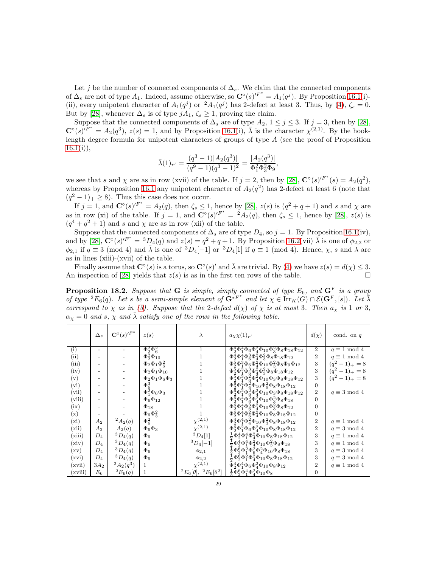Let j be the number of connected components of  $\Delta_s$ . We claim that the connected components of  $\Delta_s$  are not of type  $A_1$ . Indeed, assume otherwise, so  $\mathbb{C}^\circ(s)^{\prime F^*} = A_1(q^j)$ . By Proposition [16.1\(](#page-24-2)i)-(ii), every unipotent character of  $A_1(q^j)$  or  ${}^2A_1(q^j)$  has 2-defect at least 3. Thus, by [\(4\)](#page-13-1),  $\zeta_s = 0$ . But by [\[28\]](#page-38-25), whenever  $\Delta_s$  is of type  $jA_1, \zeta_s \geq 1$ , proving the claim.

Suppose that the connected components of  $\Delta_s$  are of type  $A_2$ ,  $1 \leq j \leq 3$ . If  $j = 3$ , then by [\[28\]](#page-38-25),  $\mathbf{C}^{\circ}(s)^{F^*} = A_2(q^3), z(s) = 1$ , and by Proposition [16.1\(](#page-24-2)i),  $\overline{\lambda}$  is the character  $\chi^{(2,1)}$ . By the hooklength degree formula for unipotent characters of groups of type  $A$  (see the proof of Proposition  $16.1(i)$  $16.1(i)$ ,

$$
\bar{\lambda}(1)_{r'} = \frac{(q^3 - 1)|A_2(q^3)|}{(q^9 - 1)(q^3 - 1)^2} = \frac{|A_2(q^3)|}{\Phi_1^2 \Phi_3^2 \Phi_9},
$$

we see that s and  $\chi$  are as in row (xvii) of the table. If  $j = 2$ , then by [\[28\]](#page-38-25),  $\mathbb{C}^{\circ}(s)^{F^*}(s) = A_2(q^2)$ , whereas by Proposition [16.1](#page-24-2) any unipotent character of  $A_2(q^2)$  has 2-defect at least 6 (note that  $(q^2 - 1)_+ \ge 8$ ). Thus this case does not occur.

If  $j = 1$ , and  $\mathbb{C}^{\circ}(s)^{F^*} = A_2(q)$ , then  $\zeta_s \leq 1$ , hence by [\[28\]](#page-38-25),  $z(s)$  is  $(q^2 + q + 1)$  and s and  $\chi$  are as in row (xi) of the table. If  $j = 1$ , and  $\mathbf{C}^\circ(s)^{F^*} = {}^2A_2(q)$ , then  $\zeta_s \leq 1$ , hence by [\[28\]](#page-38-25),  $z(s)$  is  $(q^4 + q^2 + 1)$  and s and  $\chi$  are as in row (xii) of the table.

Suppose that the connected components of  $\Delta_s$  are of type  $D_4$ , so  $j = 1$ . By Proposition [16.1\(](#page-24-2)iv), and by [\[28\]](#page-38-25),  $\mathbf{C}^{\circ}(s)^{F^*} = {}^3D_4(q)$  and  $z(s) = q^2 + q + 1$ . By Proposition [16.2\(](#page-26-0)vii)  $\overline{\lambda}$  is one of  $\phi_{2,2}$  or  $\phi_{2,1}$  if  $q \equiv 3 \pmod{4}$  and  $\bar{\lambda}$  is one of  ${}^{3}D_{4}[-1]$  or  ${}^{3}D_{4}[1]$  if  $q \equiv 1 \pmod{4}$ . Hence,  $\chi$ , s and  $\lambda$  are as in lines (xiii)-(xvii) of the table.

Finally assume that  $\mathbf{C}^{\circ}(s)$  is a torus, so  $\mathbf{C}^{\circ}(s)'$  and  $\overline{\lambda}$  are trivial. By [\(4\)](#page-13-1) we have  $z(s) = d(\chi) \leq 3$ . An inspection of [\[28\]](#page-38-25) yields that  $z(s)$  is as in the first ten rows of the table.

**Proposition 18.2.** Suppose that **G** is simple, simply connected of type  $E_6$ , and  $\mathbf{G}^F$  is a group *of type*  ${}^2E_6(q)$ *. Let s be a semi-simple element of*  $\mathbf{G}^{*F^*}$  *and let*  $\chi \in \text{Irr}_K(G) \cap \mathcal{E}(\mathbf{G}^F,[s])$ *. Let*  $\overline{\lambda}$ *correspond to*  $\chi$  *as in* [\(3\)](#page-13-2)*.* Suppose that the 2-defect  $d(\chi)$  of  $\chi$  *is at most* 3*. Then*  $a_{\chi}$  *is* 1 *or* 3*,*  $\alpha_{\chi} = 0$  *and* s,  $\chi$  *and*  $\bar{\lambda}$  *satisfy one of the rows in the following table.* 

|         | $\Delta_s$ | $\mathbf{C}^\circ(s)^{\prime F^*}$ | z(s)                                   | $\bar{\lambda}$                          | $a_\chi \chi(1)_{r'}$                                                                                                             | $d(\chi)$      | cond. on $q$        |
|---------|------------|------------------------------------|----------------------------------------|------------------------------------------|-----------------------------------------------------------------------------------------------------------------------------------|----------------|---------------------|
| (i)     |            |                                    | $\Phi_2^2 \Phi_6^2$                    | 1                                        | $\Phi_2^4 \Phi_1^4 \Phi_6 \Phi_4^2 \Phi_{10} \Phi_3^2 \Phi_8 \Phi_{18} \Phi_{12}$                                                 | $\overline{2}$ | $q \equiv 1 \mod 4$ |
| (ii)    |            |                                    | $\Phi_2^{\bf \bar 2} \Phi_{10}$        | 1                                        | $\Phi_2^4 \Phi_1^4 \Phi_6^3 \Phi_4^2 \Phi_3^2 \Phi_8 \Phi_{18} \Phi_{12}$                                                         | $\overline{2}$ | $q \equiv 1 \mod 4$ |
| (iii)   |            |                                    | $\Phi_2\Phi_1\Phi_6^2$                 | 1                                        | $\Phi_2^5 \Phi_1^3 \Phi_6 \Phi_4^2 \Phi_{10} \Phi_3^2 \Phi_8 \Phi_9 \Phi_{12}$                                                    | 3              | $(q^2-1)_+ = 8$     |
| (iv)    |            |                                    | $\Phi_2\Phi_1\Phi_{10}$                | 1                                        | $\Phi_2^5 \Phi_1^3 \Phi_6^3 \Phi_4^2 \Phi_3^2 \Phi_8 \Phi_{18} \Phi_{12}$                                                         | 3              | $(q^2-1)_+ = 8$     |
| (v)     |            |                                    | $\Phi_2\Phi_1\Phi_6\Phi_3$             | 1                                        | $\Phi_2^{\frac{5}{2}} \Phi_1^{\frac{3}{2}} \Phi_6^{\frac{5}{2}} \Phi_4^{\frac{5}{2}} \Phi_{10} \Phi_3 \Phi_8 \Phi_{18} \Phi_{12}$ | 3              | $(q^2-1)_+ = 8$     |
| (vi)    |            |                                    | $\Phi_6^3$<br>$\Phi_1^2 \Phi_6 \Phi_3$ | 1                                        | $\Phi_2^{\bar{6}} \Phi_1^{\bar{4}} \Phi_4^{\bar{2}} \Phi_{10} \Phi_9^2 \Phi_8 \Phi_{18} \Phi_{12}$                                | $\theta$       |                     |
| (vii)   |            |                                    |                                        | 1                                        | $\Phi_2^{\tilde{6}}\Phi_1^{\dot{2}}\Phi_6^{\bar{2}}\Phi_4^2\Phi_{10} \Phi_3\Phi_8\Phi_{18}\Phi_{12}$                              | $\overline{2}$ | $q \equiv 3 \mod 4$ |
| (viii)  |            |                                    | $\Phi_6\Phi_{12}$                      | 1                                        | $\Phi_2^{\bar{6}}\Phi_1^{\bar{4}}\Phi_6^{\bar{2}}\Phi_4^{\bar{2}}\Phi_{10}\Phi_3^2\Phi_8\Phi_{18}$                                | $\Omega$       |                     |
| (ix)    |            |                                    | $\Phi_{18}$                            | 1                                        | $\Phi_2^{\tilde{6}}\Phi_1^{\dot{4}}\Phi_6^{\dot{3}}\Phi_4^{\dot{2}}\Phi_{10}\Phi_3^2\Phi_8\Phi_{12}$                              | $\overline{0}$ |                     |
| (x)     |            |                                    | $\Phi_6\Phi_3^2$                       |                                          | $\Phi_2^{\bar{6}} \Phi_1^{\bar{4}} \Phi_6^{\bar{2}} \Phi_4^{\bar{2}} \Phi_{10} \Phi_8 \Phi_{18} \Phi_{12}$                        | $\overline{0}$ |                     |
| (xi)    | $A_2$      | $^{2}A_{2}(q)$                     | $\Phi_6^2$                             | $\chi^{(2,1)}$                           | $\Phi_2^4 \Phi_1^4 \Phi_4^2 \Phi_{10} \Phi_3^2 \Phi_8 \Phi_{18} \Phi_{12}$                                                        | $\overline{2}$ | $q \equiv 1 \mod 4$ |
| (xii)   | $A_2$      | $A_2(q)$                           | $\Phi_6\Phi_3$                         | $\chi^{(2,1)}$                           | $\Phi_2^6 \Phi_1^2 \Phi_6 \Phi_4^2 \Phi_{10} \Phi_8 \Phi_{18} \Phi_{12}$                                                          | $\overline{2}$ | $q \equiv 3 \mod 4$ |
| (xiii)  | $D_4$      | ${}^3D_4(q)$                       | $\Phi_6$                               | ${}^{3}D_{4}[1]$                         | $\frac{1}{2}\bar{\Phi}_{2}^{4}\bar{\Phi}_{1}^{4}\Phi_{4}^{2}\bar{\Phi}_{10}\Phi_{8}\Phi_{18}\Phi_{12}$                            | 3              | $q \equiv 1 \mod 4$ |
| (xiv)   | $D_4$      | ${}^3D_4(q)$                       | $\Phi_6$                               | ${}^{3}D_{4}[-1]$                        | $\frac{1}{2}\Phi_2^4\Phi_1^4\Phi_4^2\Phi_{10}\Phi_3^2\Phi_8\Phi_{18}$                                                             | 3              | $q \equiv 1 \mod 4$ |
| (xv)    | $D_4$      | ${}^3D_4(q)$                       | $\Phi_6$                               | $\phi_{2,1}$                             | $\frac{1}{2}\Phi_2^{\bar6}\Phi_1^{\bar2}\Phi_6^{\bar2}\Phi_4^2\Phi_{10}\Phi_8\Phi_{18}$                                           | 3              | $q \equiv 3 \mod 4$ |
| (xvi)   | $D_4$      | ${}^3D_4(q)$                       | $\Phi_6$                               | $\phi_{2,2}$                             | $\frac{1}{2} \Phi_2^{\bar{6}} \Phi_1^{\bar{2}} \Phi_4^{\bar{2}} \Phi_{10} \Phi_8 \Phi_{18} \Phi_{12}$                             | 3              | $q \equiv 3 \mod 4$ |
| (xvii)  | $3A_2$     | $^{2}A_{2}(q^{3})$                 | 1                                      | $\chi^{(2,1)}$                           | $\bar{\Phi}_2^4 \bar{\Phi}_1^4 \bar{\Phi}_6 \bar{\Phi}_4^2 \Phi_{10} \Phi_8 \Phi_{12}$                                            | $\overline{2}$ | $q \equiv 1 \mod 4$ |
| (xviii) | $E_6$      | ${}^{2}E_{6}(q)$                   | 1                                      | ${}^{2}E_6[\theta], {}^{2}E_6[\theta^2]$ | $\frac{1}{2}\Phi_2^6\Phi_1^4\Phi_4^2\Phi_{10}\Phi_8$                                                                              | $\Omega$       |                     |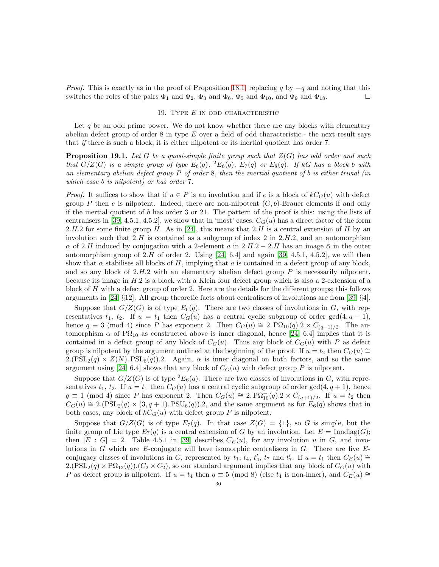*Proof.* This is exactly as in the proof of Proposition [18.1,](#page-27-0) replacing q by  $-q$  and noting that this switches the roles of the pairs  $\Phi_1$  and  $\Phi_2$ ,  $\Phi_3$  and  $\Phi_6$ ,  $\Phi_5$  and  $\Phi_{10}$ , and  $\Phi_9$  and  $\Phi_{18}$ .

#### 19. TYPE  $E$  in odd characteristic

Let  $q$  be an odd prime power. We do not know whether there are any blocks with elementary abelian defect group of order  $8$  in type  $E$  over a field of odd characteristic - the next result says that *if* there is such a block, it is either nilpotent or its inertial quotient has order 7.

<span id="page-30-0"></span>Proposition 19.1. *Let* G *be a quasi-simple finite group such that* Z(G) *has odd order and such that*  $G/Z(G)$  *is a simple group of type*  $E_6(q)$ ,  $^2E_6(q)$ ,  $E_7(q)$  *or*  $E_8(q)$ *. If*  $kG$  *has a block b with an elementary abelian defect group* P *of order* 8*, then the inertial quotient of* b *is either trivial (in which case* b *is nilpotent) or has order* 7*.*

*Proof.* It suffices to show that if  $u \in P$  is an involution and if e is a block of  $kC_G(u)$  with defect group P then e is nilpotent. Indeed, there are non-nilpotent  $(G, b)$ -Brauer elements if and only if the inertial quotient of  $b$  has order 3 or 21. The pattern of the proof is this: using the lists of centralisers in [\[39,](#page-39-13) 4.5.1, 4.5.2], we show that in 'most' cases,  $C_G(u)$  has a direct factor of the form 2.H.2 for some finite group H. As in [\[24\]](#page-38-6), this means that 2.H is a central extension of H by an involution such that  $2.H$  is contained as a subgroup of index 2 in  $2.H.2$ , and an automorphism  $\alpha$  of 2.H induced by conjugation with a 2-element a in 2.H.2 – 2.H has an image  $\bar{\alpha}$  in the outer automorphism group of  $2.H$  of order 2. Using [\[24,](#page-38-6) 6.4] and again [\[39,](#page-39-13) 4.5.1, 4.5.2], we will then show that  $\alpha$  stabilises all blocks of H, implying that  $\alpha$  is contained in a defect group of any block, and so any block of  $2.H.2$  with an elementary abelian defect group P is necessarily nilpotent, because its image in H.2 is a block with a Klein four defect group which is also a 2-extension of a block of H with a defect group of order 2. Here are the details for the different groups; this follows arguments in [\[24,](#page-38-6) §12]. All group theoretic facts about centralisers of involutions are from [\[39,](#page-39-13) §4].

Suppose that  $G/Z(G)$  is of type  $E_6(q)$ . There are two classes of involutions in G, with representatives  $t_1$ ,  $t_2$ . If  $u = t_1$  then  $C_G(u)$  has a central cyclic subgroup of order gcd(4,  $q - 1$ ), hence  $q \equiv 3 \pmod{4}$  since P has exponent 2. Then  $C_G(u) \cong 2$ .  $P\Omega_{10}(q) \geq \chi C_{(q-1)/2}$ . The automorphism  $\alpha$  of P $\Omega_{10}$  as constructed above is inner diagonal, hence [\[24,](#page-38-6) 6.4] implies that it is contained in a defect group of any block of  $C_G(u)$ . Thus any block of  $C_G(u)$  with P as defect group is nilpotent by the argument outlined at the beginning of the proof. If  $u = t_2$  then  $C_G(u) \cong$  $2.(PSL<sub>2</sub>(q) \times Z(N).PSL<sub>6</sub>(q)).$  Again,  $\alpha$  is inner diagonal on both factors, and so the same argument using [\[24,](#page-38-6) 6.4] shows that any block of  $C_G(u)$  with defect group P is nilpotent.

Suppose that  $G/Z(G)$  is of type  ${}^2E_6(q)$ . There are two classes of involutions in G, with representatives  $t_1$ ,  $t_2$ . If  $u = t_1$  then  $C_G(u)$  has a central cyclic subgroup of order  $gcd(4, q + 1)$ , hence  $q \equiv 1 \pmod{4}$  since P has exponent 2. Then  $C_G(u) \cong 2. \text{P}\Omega_{10}^-(q).2 \times C_{(q+1)/2}$ . If  $u = t_2$  then  $C_G(u) \cong 2.(\text{PSL}_2(q) \times (3,q+1). \text{PSU}_6(q)).2$ , and the same argument as for  $E_6(q)$  shows that in both cases, any block of  $kC_G(u)$  with defect group P is nilpotent.

Suppose that  $G/Z(G)$  is of type  $E_7(q)$ . In that case  $Z(G) = \{1\}$ , so G is simple, but the finite group of Lie type  $E_7(q)$  is a central extension of G by an involution. Let  $E = \text{Inndiag}(G)$ ; then  $|E : G| = 2$ . Table 4.5.1 in [\[39\]](#page-39-13) describes  $C_E(u)$ , for any involution u in G, and involutions in  $G$  which are E-conjugate will have isomorphic centralisers in  $G$ . There are five  $E$ conjugacy classes of involutions in G, represented by  $t_1$ ,  $t_4$ ,  $t'_4$ ,  $t_7$  and  $t'_7$ . If  $u = t_1$  then  $C_E(u) \cong$  $2.(PSL<sub>2</sub>(q) \times PQ<sub>12</sub>(q)).$  ( $C<sub>2</sub> \times C<sub>2</sub>$ ), so our standard argument implies that any block of  $C<sub>G</sub>(u)$  with P as defect group is nilpotent. If  $u = t_4$  then  $q \equiv 5 \pmod{8}$  (else  $t_4$  is non-inner), and  $C_E(u) \cong$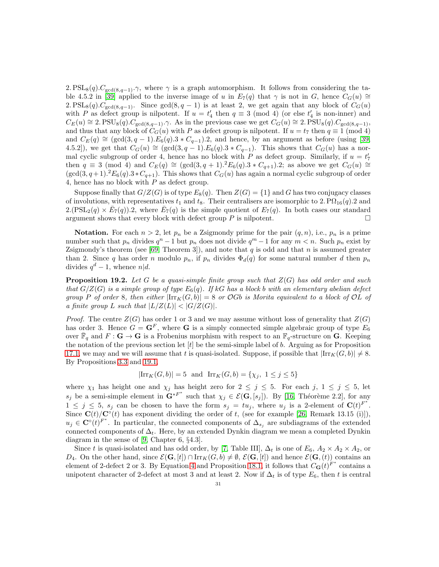2.  $PSL_8(q)$ .  $C_{gcd(8,q-1)}$ . $\gamma$ , where  $\gamma$  is a graph automorphism. It follows from considering the ta-ble 4.5.2 in [\[39\]](#page-39-13) applied to the inverse image of u in  $E_7(q)$  that  $\gamma$  is not in G, hence  $C_G(u) \cong$ 2. PSL<sub>8</sub>(q).C<sub>gcd(8,q-1)</sub>. Since gcd(8,q-1) is at least 2, we get again that any block of  $C_G(u)$ with P as defect group is nilpotent. If  $u = t'_4$  then  $q \equiv 3 \pmod{4}$  (or else  $t'_4$  is non-inner) and  $C_E(u) \cong 2.\text{PSU}_8(q).C_{\text{gcd}(8,q-1)}.\gamma.$  As in the previous case we get  $C_G(u) \cong 2.\text{PSU}_8(q).C_{\text{gcd}(8,q-1)},$ and thus that any block of  $C_G(u)$  with P as defect group is nilpotent. If  $u = t_7$  then  $q \equiv 1 \pmod{4}$ and  $C_E(q) \cong (\gcd(3, q-1) \cdot E_6(q) \cdot 3 \cdot C_{q-1}) \cdot 2$ , and hence, by an argument as before (using [\[39,](#page-39-13) 4.5.2]), we get that  $C_G(u) \cong (\gcd(3, q-1) \cdot E_6(q) \cdot 3 \cdot C_{q-1})$ . This shows that  $C_G(u)$  has a normal cyclic subgroup of order 4, hence has no block with P as defect group. Similarly, if  $u = t'_7$ then  $q \equiv 3 \pmod{4}$  and  $C_E(q) \cong (\gcd(3, q + 1).{}^2E_6(q).3*C_{q+1}).2$ ; as above we get  $C_G(u) \cong$  $(\gcd(3, q+1).{}^2E_6(q).3*C_{q+1})$ . This shows that  $C_G(u)$  has again a normal cyclic subgroup of order 4, hence has no block with  $P$  as defect group.

Suppose finally that  $G/Z(G)$  is of type  $E_8(q)$ . Then  $Z(G) = \{1\}$  and G has two conjugacy classes of involutions, with representatives  $t_1$  and  $t_8$ . Their centralisers are isomorphic to 2.  $\mathrm{P}\Omega_{16}(q)$ . 2 and  $2.(PSL<sub>2</sub>(q) \times \bar{E}_7(q)).2$ , where  $\bar{E}_7(q)$  is the simple quotient of  $E_7(q)$ . In both cases our standard argument shows that every block with defect group  $P$  is nilpotent.

**Notation.** For each  $n > 2$ , let  $p_n$  be a Zsigmondy prime for the pair  $(q, n)$ , i.e.,  $p_n$  is a prime number such that  $p_n$  divides  $q^n - 1$  but  $p_n$  does not divide  $q^m - 1$  for any  $m < n$ . Such  $p_n$  exist by Zsigmondy's theorem (see [\[69,](#page-40-6) Theorem 3]), and note that  $q$  is odd and that  $n$  is assumed greater than 2. Since q has order n modulo  $p_n$ , if  $p_n$  divides  $\Phi_d(q)$  for some natural number d then  $p_n$ divides  $q^d-1$ , whence  $n|d$ .

<span id="page-31-0"></span>Proposition 19.2. *Let* G *be a quasi-simple finite group such that* Z(G) *has odd order and such that*  $G/Z(G)$  *is a simple group of type*  $E_6(q)$ *. If* kG *has a block b with an elementary abelian defect group* P of order 8, then either  $|\text{Irr}_K(G, b)| = 8$  or OGb is Morita equivalent to a block of OL of *a finite group* L *such that*  $|L/Z(L)| < |G/Z(G)|$ *.* 

*Proof.* The centre  $Z(G)$  has order 1 or 3 and we may assume without loss of generality that  $Z(G)$ has order 3. Hence  $G = \mathbf{G}^F$ , where **G** is a simply connected simple algebraic group of type  $E_6$ over  $\bar{\mathbb{F}}_q$  and  $F: \mathbf{G} \to \mathbf{G}$  is a Frobenius morphism with respect to an  $\mathbb{F}_q$ -structure on **G**. Keeping the notation of the previous section let  $|t|$  be the semi-simple label of b. Arguing as for Proposition [17.1,](#page-27-1) we may and we will assume that t is quasi-isolated. Suppose, if possible that  $\left|\text{Irr}_K(G, b)\right| \neq 8$ . By Propositions [3.3](#page-5-1) and [19.1,](#page-30-0)

$$
|\text{Irr}_K(G,b)| = 5
$$
 and  $\text{Irr}_K(G,b) = \{ \chi_j, 1 \le j \le 5 \}$ 

where  $\chi_1$  has height one and  $\chi_j$  has height zero for  $2 \leq j \leq 5$ . For each j,  $1 \leq j \leq 5$ , let  $s_j$  be a semi-simple element in  $\mathbf{G}^{*F^*}$  such that  $\chi_j \in \mathcal{E}(\mathbf{G}, [s_j])$ . By [\[16,](#page-38-17) Théorème 2.2], for any  $1 \leq j \leq 5$ ,  $s_j$  can be chosen to have the form  $s_j = tu_j$ , where  $u_j$  is a 2-element of  $\mathbf{C}(t)^{F^*}$ . Since  $\mathbf{C}(t)/\mathbf{C}^\circ(t)$  has exponent dividing the order of t, (see for example [\[26,](#page-38-15) Remark 13.15 (i)]),  $u_j \in \mathbf{C}^\circ(t)^{F^*}$ . In particular, the connected components of  $\Delta_{s_j}$  are subdiagrams of the extended connected components of  $\Delta_t$ . Here, by an extended Dynkin diagram we mean a completed Dynkin diagram in the sense of [\[9,](#page-38-26) Chapter 6, §4.3].

Since t is quasi-isolated and has odd order, by [\[7,](#page-38-27) Table III],  $\Delta_t$  is one of  $E_6$ ,  $A_2 \times A_2 \times A_2$ , or  $D_4$ . On the other hand, since  $\mathcal{E}(\mathbf{G}, [t]) \cap \text{Irr}_K(G, b) \neq \emptyset$ ,  $\mathcal{E}(\mathbf{G}, [t])$  and hence  $\mathcal{E}(\mathbf{G}, (t))$  contains an element of 2-defect 2 or 3. By Equation [4](#page-13-1) and Proposition [18.1,](#page-27-0) it follows that  $C_{\mathbf{G}}(t)^{F^*}$  contains a unipotent character of 2-defect at most 3 and at least 2. Now if  $\Delta_t$  is of type  $E_6$ , then t is central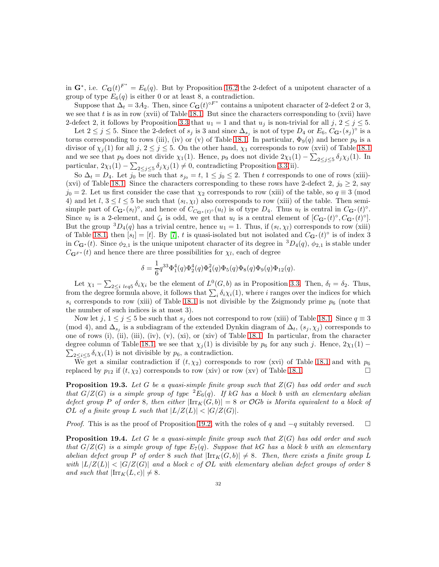in  $\mathbf{G}^*$ , i.e.  $C_{\mathbf{G}}(t)^{F^*} = E_6(q)$ . But by Proposition [16.2](#page-26-0) the 2-defect of a unipotent character of a group of type  $E_6(q)$  is either 0 or at least 8, a contradiction.

Suppose that  $\Delta_t = 3A_2$ . Then, since  $C_G(t)^{\circ F^*}$  contains a unipotent character of 2-defect 2 or 3, we see that  $t$  is as in row (xvii) of Table [18.1.](#page-27-0) But since the characters corresponding to (xvii) have 2-defect 2, it follows by Proposition [3.3](#page-5-1) that  $u_1 = 1$  and that  $u_j$  is non-trivial for all j,  $2 \le j \le 5$ .

Let  $2 \leq j \leq 5$ . Since the 2-defect of  $s_j$  is 3 and since  $\Delta_{s_j}$  is not of type  $D_4$  or  $E_6$ ,  $C_{\mathbf{G}^*}(s_j)^\circ$  is a torus corresponding to rows (iii), (iv) or (v) of Table [18.1.](#page-27-0) In particular,  $\Phi_9(q)$  and hence  $p_9$  is a divisor of  $\chi_j(1)$  for all j,  $2 \leq j \leq 5$ . On the other hand,  $\chi_1$  corresponds to row (xvii) of Table [18.1](#page-27-0) and we see that  $p_9$  does not divide  $\chi_1(1)$ . Hence,  $p_9$  does not divide  $2\chi_1(1) - \sum_{2 \leq j \leq 5} \delta_j \chi_j(1)$ . In particular,  $2\chi_1(1) - \sum_{2 \leq j \leq 5} \delta_j \chi_j(1) \neq 0$ , contradicting Proposition [3.3\(](#page-5-1)ii).

So  $\Delta_t = D_4$ . Let  $j_0$  be such that  $s_{j_0} = t$ ,  $1 \le j_0 \le 2$ . Then t corresponds to one of rows (xiii)-(xvi) of Table [18.1.](#page-27-0) Since the characters corresponding to these rows have 2-defect 2,  $j_0 \geq 2$ , say  $j_0 = 2$ . Let us first consider the case that  $\chi_2$  corresponds to row (xiii) of the table, so  $q \equiv 3 \pmod{4}$ 4) and let  $l, 3 \leq l \leq 5$  be such that  $(s_l, \chi_l)$  also corresponds to row (xiii) of the table. Then semisimple part of  $C_{\mathbf{G}^*}(s_l)$ <sup>o</sup>, and hence of  $C_{C_{\mathbf{G}^*}(t)}(u_l)$  is of type  $D_4$ . Thus  $u_l$  is central in  $C_{\mathbf{G}^*}(t)$ <sup>o</sup>. Since  $u_l$  is a 2-element, and  $\zeta_t$  is odd, we get that  $u_l$  is a central element of  $[C_{\mathbf{G}^*}(t)^\circ, C_{\mathbf{G}^*}(t)^\circ]$ . But the group  ${}^{3}D_{4}(q)$  has a trivial centre, hence  $u_1 = 1$ . Thus, if  $(s_l, \chi_l)$  corresponds to row (xiii) of Table [18.1,](#page-27-0) then  $[s_l] = [t]$ . By [\[7\]](#page-38-27), t is quasi-isolated but not isolated and  $C_{\mathbf{G}^*}(t)$ <sup>o</sup> is of index 3 in  $C_{\mathbf{G}^*}(t)$ . Since  $\phi_{2,1}$  is the unique unipotent character of its degree in  ${}^3D_4(q)$ ,  $\phi_{2,1}$  is stable under  $C_{\mathbf{G}F^*}(t)$  and hence there are three possibilities for  $\chi_l$ , each of degree

$$
\delta = \frac{1}{6} q^{33} \Phi_1^4(q) \Phi_2^4(q) \Phi_4^2(q) \Phi_5(q) \Phi_8(q) \Phi_9(q) \Phi_{12}(q).
$$

Let  $\chi_1 - \sum_{2 \leq i} \sum_{\ell \in \mathcal{G}} \delta_i \chi_i$  be the element of  $L^0(G, b)$  as in Proposition [3.3.](#page-5-1) Then,  $\delta_l = \delta_2$ . Thus, from the degree formula above, it follows that  $\sum_i \delta_i \chi_i(1)$ , where i ranges over the indices for which  $s_i$  corresponds to row (xiii) of Table [18.1](#page-27-0) is not divisible by the Zsigmondy prime  $p_6$  (note that the number of such indices is at most 3).

Now let  $j, 1 \leq j \leq 5$  be such that  $s_j$  does not correspond to row (xiii) of Table [18.1.](#page-27-0) Since  $q \equiv 3$ (mod 4), and  $\Delta_{s_j}$  is a subdiagram of the extended Dynkin diagram of  $\Delta_t$ ,  $(s_j, \chi_j)$  corresponds to one of rows (i), (ii), (iii), (iv), (v), (xi), or (xiv) of Table [18.1.](#page-27-0) In particular, from the character degree column of Table [18.1,](#page-27-0) we see that  $\chi_j(1)$  is divisible by  $p_6$  for any such j. Hence,  $2\chi_1(1)$  –  $\sum_{2 \leq i \leq 5} \delta_i \chi_i(1)$  is not divisible by  $p_6$ , a contradiction.

We get a similar contradiction if  $(t, \chi_2)$  corresponds to row (xvi) of Table [18.1](#page-27-0) and with  $p_6$ replaced by  $p_{12}$  if  $(t, \chi_2)$  corresponds to row (xiv) or row (xv) of Table [18.1.](#page-27-0)

<span id="page-32-0"></span>Proposition 19.3. *Let* G *be a quasi-simple finite group such that* Z(G) *has odd order and such that*  $G/Z(G)$  *is a simple group of type*  ${}^2E_6(q)$ *. If* kG *has a block* b *with an elementary abelian defect group* P *of order* 8*, then either*  $|\text{Irr}_K(G, b)| = 8$  *or OGb is Morita equivalent to a block of* OL of a finite group L such that  $|L/Z(L)| < |G/Z(G)|$ .

*Proof.* This is as the proof of Proposition [19.2,](#page-31-0) with the roles of q and  $-q$  suitably reversed.  $\square$ 

<span id="page-32-1"></span>Proposition 19.4. *Let* G *be a quasi-simple finite group such that* Z(G) *has odd order and such that*  $G/Z(G)$  *is a simple group of type*  $E_7(q)$ *. Suppose that* kG *has a block b with an elementary abelian defect group* P *of order* 8 *such that*  $|\text{Irr}_K(G, b)| \neq 8$ . Then, there exists a finite group L *with*  $|L/Z(L)| < |G/Z(G)|$  *and a block c of OL with elementary abelian defect groups of order* 8 *and such that*  $|\text{Irr}_K(L, c)| \neq 8$ *.*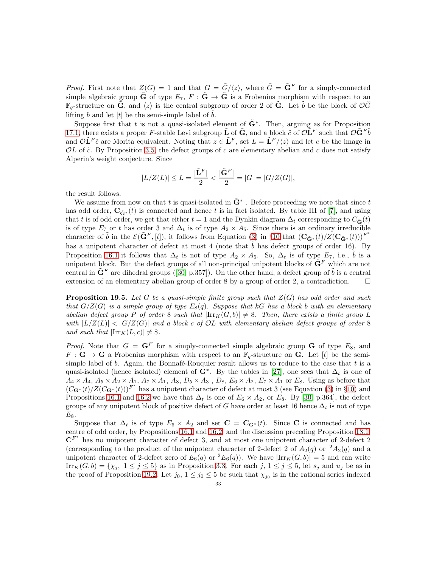*Proof.* First note that  $Z(G) = 1$  and that  $G = \tilde{G}/\langle z \rangle$ , where  $\tilde{G} = \tilde{G}^F$  for a simply-connected simple algebraic group  $\tilde{G}$  of type  $E_7$ ,  $F : \tilde{G} \to \tilde{G}$  is a Frobenius morphism with respect to an  $\mathbb{F}_q$ -structure on  $\tilde{G}$ , and  $\langle z \rangle$  is the central subgroup of order 2 of  $\tilde{G}$ . Let  $\tilde{b}$  be the block of  $\mathcal{O}\tilde{G}$ lifting b and let  $[t]$  be the semi-simple label of b.

Suppose first that t is not a quasi-isolated element of  $\tilde{G}^*$ . Then, arguing as for Proposition [17.1,](#page-27-1) there exists a proper F-stable Levi subgroup  $\tilde{\bf L}$  of  $\tilde{\bf G}$ , and a block  $\tilde{c}$  of  $\mathcal{O}\tilde{\bf L}^F$  such that  $\mathcal{O}\tilde{\bf G}^F\tilde{b}$ and  $\mathcal{O}\tilde{\mathbf{L}}^F\tilde{c}$  are Morita equivalent. Noting that  $z \in \tilde{\mathbf{L}}^F$ , set  $L = \tilde{\mathbf{L}}^F/\langle z \rangle$  and let c be the image in  $OL$  of  $\tilde{c}$ . By Proposition [3.5,](#page-6-1) the defect groups of c are elementary abelian and c does not satisfy Alperin's weight conjecture. Since

$$
|L/Z(L)| \le L = \frac{|\tilde{\mathbf{L}}^{F}|}{2} < \frac{|\tilde{\mathbf{G}}^{F}|}{2} = |G| = |G/Z(G)|,
$$

the result follows.

We assume from now on that t is quasi-isolated in  $\tilde{G}^*$  . Before proceeding we note that since t has odd order,  $C_{\tilde{G}^*}(t)$  is connected and hence t is in fact isolated. By table III of [\[7\]](#page-38-27), and using that t is of odd order, we get that either  $t = 1$  and the Dynkin diagram  $\Delta_t$  corresponding to  $C_{\tilde{G}}(t)$ is of type  $E_7$  or t has order 3 and  $\Delta_t$  is of type  $A_2 \times A_5$ . Since there is an ordinary irreducible character of  $\tilde{b}$  in the  $\mathcal{E}(\tilde{\mathbf{G}}^F,[t])$ , it follows from Equation [\(3\)](#page-13-2) in §[10](#page-12-0) that  $(\mathbf{C}_{\tilde{\mathbf{G}}^*}(t)/Z(\mathbf{C}_{\tilde{\mathbf{G}}^*}(t)))^{F^*}$ has a unipotent character of defect at most 4 (note that  $\tilde{b}$  has defect groups of order 16). By Proposition [16.1](#page-24-2) it follows that  $\Delta_t$  is not of type  $A_2 \times A_5$ . So,  $\Delta_t$  is of type  $E_7$ , i.e.,  $\tilde{b}$  is a unipotent block. But the defect groups of all non-principal unipotent blocks of  $\tilde{\mathbf{G}}^F$  which are not central in  $\tilde{\mathbf{G}}^F$  are dihedral groups ([\[30,](#page-38-28) p.357]). On the other hand, a defect group of  $\tilde{b}$  is a central extension of an elementary abelian group of order 8 by a group of order 2, a contradiction.

<span id="page-33-0"></span>Proposition 19.5. *Let* G *be a quasi-simple finite group such that* Z(G) *has odd order and such that*  $G/Z(G)$  *is a simple group of type*  $E_8(q)$ *. Suppose that* kG *has a block* b *with an elementary abelian defect group* P *of order* 8 *such that*  $|\text{Irr}_K(G, b)| \neq 8$ . Then, there exists a finite group L *with*  $|L/Z(L)| < |G/Z(G)|$  *and a block c of OL with elementary abelian defect groups of order* 8 *and such that*  $|\text{Irr}_K(L, c)| \neq 8$ *.* 

*Proof.* Note that  $G = \mathbf{G}^F$  for a simply-connected simple algebraic group  $\mathbf{G}$  of type  $E_8$ , and  $F: \mathbf{G} \to \mathbf{G}$  a Frobenius morphism with respect to an  $\mathbb{F}_q$ -structure on  $\mathbf{G}$ . Let [t] be the semisimple label of  $b$ . Again, the Bonnafé-Rouquier result allows us to reduce to the case that  $t$  is a quasi-isolated (hence isolated) element of  $\mathbf{G}^*$ . By the tables in [\[27\]](#page-38-29), one sees that  $\Delta_t$  is one of  $A_4 \times A_4$ ,  $A_5 \times A_2 \times A_1$ ,  $A_7 \times A_1$ ,  $A_8$ ,  $D_5 \times A_3$ ,  $D_8$ ,  $E_6 \times A_2$ ,  $E_7 \times A_1$  or  $E_8$ . Using as before that  $(C_{\mathbf{G}^*}(t)/Z(C_{\mathbf{G}^*}(t)))^{F^*}$  has a unipotent character of defect at most 3 (see Equation [\(3\)](#page-13-2) in §[10\)](#page-12-0) and Propositions [16.1](#page-24-2) and [16.2](#page-26-0) we have that  $\Delta_t$  is one of  $E_6 \times A_2$ , or  $E_8$ . By [\[30,](#page-38-28) p.364], the defect groups of any unipotent block of positive defect of G have order at least 16 hence  $\Delta_t$  is not of type  $E_8$ .

Suppose that  $\Delta_t$  is of type  $E_6 \times A_2$  and set  $\mathbf{C} = \mathbf{C}_{\mathbf{G}^*}(t)$ . Since C is connected and has centre of odd order, by Propositions [16.1](#page-24-2) and [16.2,](#page-26-0) and the discussion preceding Proposition [18.1,](#page-27-0)  $\mathbb{C}^{F^*}$  has no unipotent character of defect 3, and at most one unipotent character of 2-defect 2 (corresponding to the product of the unipotent character of 2-defect 2 of  $A_2(q)$  or  $A_2(q)$  and a unipotent character of 2-defect zero of  $E_6(q)$  or  ${}^2E_6(q)$ ). We have  $\left|\text{Irr}_K(G, b)\right|=5$  and can write  $\text{Irr}_K(G, b) = \{\chi_j, 1 \leq j \leq 5\}$  as in Proposition [3.3.](#page-5-1) For each j,  $1 \leq j \leq 5$ , let  $s_j$  and  $u_j$  be as in the proof of Proposition [19.2.](#page-31-0) Let  $j_0$ ,  $1 \leq j_0 \leq 5$  be such that  $\chi_{j_0}$  is in the rational series indexed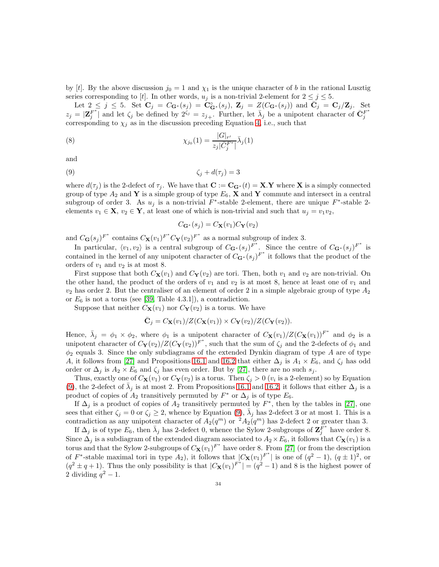by [t]. By the above discussion  $j_0 = 1$  and  $\chi_1$  is the unique character of b in the rational Lusztig series corresponding to [t]. In other words,  $u_j$  is a non-trivial 2-element for  $2 \leq j \leq 5$ .

Let  $2 \leq j \leq 5$ . Set  $\mathbf{C}_j = C_{\mathbf{G}^*}(s_j) = \mathbf{C}_{\mathbf{G}^*}^{\circ}(s_j)$ ,  $\mathbf{Z}_j = Z(C_{\mathbf{G}^*}(s_j))$  and  $\bar{\mathbf{C}}_j = \mathbf{C}_j/\mathbf{Z}_j$ . Set  $z_j = \left| \mathbf{Z}_j^{F^*} \right|$  $\int_j^{F^*}$  and let  $\zeta_j$  be defined by  $2^{\zeta_j} = z_{j+}$ . Further, let  $\bar{\lambda}_j$  be a unipotent character of  $\bar{\mathbf{C}}_j^F$ corresponding to  $\chi_j$  as in the discussion preceding Equation [4,](#page-13-1) i.e., such that

(8) 
$$
\chi_{j_0}(1) = \frac{|G|_{r'}}{z_j|\bar{C}_j^{F^*}|} \bar{\lambda}_j(1)
$$

$$
\quad\text{and}\quad
$$

$$
\zeta_j + d(\tau_j) = 3
$$

where  $d(\tau_i)$  is the 2-defect of  $\tau_i$ . We have that  $\mathbf{C} := \mathbf{C}_{\mathbf{G}^*}(t) = \mathbf{X} \cdot \mathbf{Y}$  where X is a simply connected group of type  $A_2$  and Y is a simple group of type  $E_6$ , X and Y commute and intersect in a central subgroup of order 3. As  $u_j$  is a non-trivial  $F^*$ -stable 2-element, there are unique  $F^*$ -stable 2elements  $v_1 \in \mathbf{X}$ ,  $v_2 \in \mathbf{Y}$ , at least one of which is non-trivial and such that  $u_j = v_1v_2$ ,

<span id="page-34-0"></span>
$$
C_{\mathbf{G}^*}(s_j) = C_{\mathbf{X}}(v_1) C_{\mathbf{Y}}(v_2)
$$

and  $C_{\mathbf{G}}(s_j)^{F^*}$  contains  $C_{\mathbf{X}}(v_1)^{F^*}C_{\mathbf{Y}}(v_2)^{F^*}$  as a normal subgroup of index 3.

In particular,  $\langle v_1, v_2 \rangle$  is a central subgroup of  $C_{\mathbf{G}^*}(s_j)^{F^*}$ . Since the centre of  $C_{\mathbf{G}^*}(s_j)^{F^*}$  is contained in the kernel of any unipotent character of  $C_{\mathbf{G}^*}(s_j)^{F^*}$  it follows that the product of the orders of  $v_1$  and  $v_2$  is at most 8.

First suppose that both  $C_{\mathbf{X}}(v_1)$  and  $C_{\mathbf{Y}}(v_2)$  are tori. Then, both  $v_1$  and  $v_2$  are non-trivial. On the other hand, the product of the orders of  $v_1$  and  $v_2$  is at most 8, hence at least one of  $v_1$  and  $v_2$  has order 2. But the centraliser of an element of order 2 in a simple algebraic group of type  $A_2$ or  $E_6$  is not a torus (see [\[39,](#page-39-13) Table 4.3.1]), a contradiction.

Suppose that neither  $C_{\mathbf{X}}(v_1)$  nor  $C_{\mathbf{Y}}(v_2)$  is a torus. We have

$$
\bar{\mathbf{C}}_j = C_{\mathbf{X}}(v_1)/Z(C_{\mathbf{X}}(v_1)) \times C_{\mathbf{Y}}(v_2)/Z(C_{\mathbf{Y}}(v_2)).
$$

Hence,  $\bar{\lambda}_j = \phi_1 \times \phi_2$ , where  $\phi_1$  is a unipotent character of  $C_{\mathbf{X}}(v_1)/Z(C_{\mathbf{X}}(v_1))^{F^*}$  and  $\phi_2$  is a unipotent character of  $C_Y(v_2)/Z(C_Y(v_2))^{F^*}$ , such that the sum of  $\zeta_j$  and the 2-defects of  $\phi_1$  and  $\phi_2$  equals 3. Since the only subdiagrams of the extended Dynkin diagram of type A are of type A, it follows from [\[27\]](#page-38-29) and Propositions [16.1](#page-24-2) and [16.2](#page-26-0) that either  $\Delta_j$  is  $A_1 \times E_6$ , and  $\zeta_j$  has odd order or  $\Delta_j$  is  $A_2 \times E_6$  and  $\zeta_j$  has even order. But by [\[27\]](#page-38-29), there are no such  $s_j$ .

Thus, exactly one of  $C_{\mathbf{X}}(v_1)$  or  $C_{\mathbf{Y}}(v_2)$  is a torus. Then  $\zeta_i > 0$   $(v_i$  is a 2-element) so by Equation [\(9\)](#page-34-0), the 2-defect of  $\bar{\lambda}_j$  is at most 2. From Propositions [16.1](#page-24-2) and [16.2,](#page-26-0) it follows that either  $\Delta_j$  is a product of copies of  $A_2$  transitively permuted by  $F^*$  or  $\Delta_j$  is of type  $E_6$ .

If  $\Delta_j$  is a product of copies of  $A_2$  transitively permuted by  $F^*$ , then by the tables in [\[27\]](#page-38-29), one sees that either  $\zeta_j = 0$  or  $\zeta_j \geq 2$ , whence by Equation [\(9\)](#page-34-0),  $\bar{\lambda}_j$  has 2-defect 3 or at most 1. This is a contradiction as any unipotent character of  $A_2(q^m)$  or  ${}^2A_2(q^m)$  has 2-defect 2 or greater than 3.

If  $\Delta_j$  is of type  $E_6$ , then  $\bar{\lambda}_j$  has 2-defect 0, whence the Sylow 2-subgroups of  $\mathbf{Z}_j^{F^*}$  have order 8. Since  $\Delta_j$  is a subdiagram of the extended diagram associated to  $A_2 \times E_6$ , it follows that  $C_{\mathbf{X}}(v_1)$  is a torus and that the Sylow 2-subgroups of  $C_{\mathbf{X}}(v_1)^{F^*}$  have order 8. From [\[27\]](#page-38-29) (or from the description of F<sup>\*</sup>-stable maximal tori in type  $A_2$ ), it follows that  $|C_{\mathbf{X}}(v_1)^{F^*}|$  is one of  $(q^2-1)$ ,  $(q\pm 1)^2$ , or  $(q^2 \pm q + 1)$ . Thus the only possibility is that  $|C_{\mathbf{X}}(v_1)^{F^*}| = (q^2 - 1)$  and 8 is the highest power of 2 dividing  $q^2-1$ .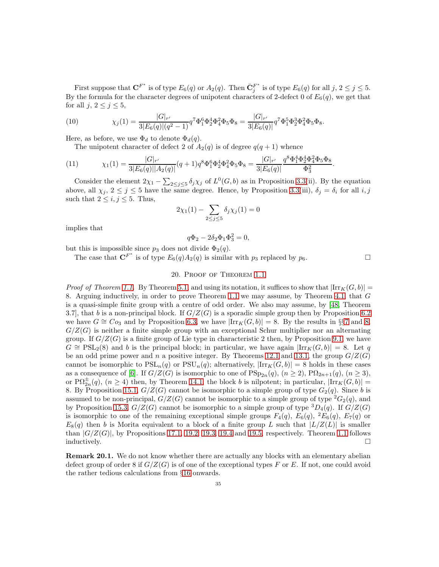First suppose that  $\mathbf{C}^{F^*}$  is of type  $E_6(q)$  or  $A_2(q)$ . Then  $\bar{\mathbf{C}}_j^{F^*}$  $_j^{F^+}$  is of type  $E_6(q)$  for all  $j, 2 \le j \le 5$ . By the formula for the character degrees of unipotent characters of 2-defect 0 of  $E_6(q)$ , we get that for all  $j, 2 \leq j \leq 5$ ,

(10) 
$$
\chi_j(1) = \frac{|G|_{r'}}{3|E_6(q)|(q^2-1)} q^7 \Phi_1^6 \Phi_2^4 \Phi_4^2 \Phi_5 \Phi_8 = \frac{|G|_{r'}}{3|E_6(q)|} q^7 \Phi_1^5 \Phi_2^3 \Phi_4^2 \Phi_5 \Phi_8.
$$

Here, as before, we use  $\Phi_d$  to denote  $\Phi_d(q)$ .

The unipotent character of defect 2 of  $A_2(q)$  is of degree  $q(q + 1)$  whence

(11) 
$$
\chi_1(1) = \frac{|G|_{r'}}{3|E_6(q)||A_2(q)|} (q+1)q^8 \Phi_1^6 \Phi_2^4 \Phi_2^2 \Phi_3 \Phi_8 = \frac{|G|_{r'}}{3|E_6(q)|} \frac{q^8 \Phi_1^4 \Phi_2^4 \Phi_2^2 \Phi_5 \Phi_8}{\Phi_3^2}.
$$

Consider the element  $2\chi_1 - \sum_{2 \leq j \leq 5} \delta_j \chi_j$  of  $L^0(G, b)$  as in Proposition [3.3\(](#page-5-1)ii). By the equation above, all  $\chi_j$ ,  $2 \leq j \leq 5$  have the same degree. Hence, by Proposition [3.3\(](#page-5-1)iii),  $\delta_j = \delta_i$  for all  $i, j$ such that  $2 \leq i, j \leq 5$ . Thus,

$$
2\chi_1(1) - \sum_{2 \le j \le 5} \delta_j \chi_j(1) = 0
$$

implies that

$$
q\Phi_2 - 2\delta_2\Phi_1\Phi_3^2 = 0,
$$

but this is impossible since  $p_3$  does not divide  $\Phi_2(q)$ .

<span id="page-35-0"></span>The case that  $\mathbf{C}^{F^*}$  is of type  $E_6(q)A_2(q)$  is similar with  $p_3$  replaced by  $p_6$ .

#### 20. Proof of Theorem [1.1](#page-1-0)

*Proof of Theorem [1.1.](#page-1-0)* By Theorem [5.1,](#page-8-0) and using its notation, it suffices to show that  $\left|\text{Irr}_{K}(G,b)\right|$  = 8. Arguing inductively, in order to prove Theorem [1.1](#page-1-0) we may assume, by Theorem [4.1,](#page-7-0) that G is a quasi-simple finite group with a centre of odd order. We also may assume, by [\[48,](#page-39-0) Theorem 3.7], that b is a non-principal block. If  $G/Z(G)$  is a sporadic simple group then by Proposition [6.2](#page-10-1) we have  $G \cong C_{23}$  and by Proposition [6.3,](#page-10-0) we have  $|\text{Irr}_K(G, b)| = 8$ . By the results in §§[7](#page-10-2) and [8,](#page-11-3)  $G/Z(G)$  is neither a finite simple group with an exceptional Schur multiplier nor an alternating group. If  $G/Z(G)$  is a finite group of Lie type in characteristic 2 then, by Proposition [9.1,](#page-11-2) we have  $G \cong \text{PSL}_2(8)$  and b is the principal block; in particular, we have again  $|\text{Irr}_K(G, b)| = 8$ . Let q be an odd prime power and n a positive integer. By Theorems [12.1](#page-16-0) and [13.1,](#page-18-0) the group  $G/Z(G)$ cannot be isomorphic to  $PSL_n(q)$  or  $PSU_n(q)$ ; alternatively,  $|\text{Irr}_K(G, b)| = 8$  holds in these cases as a consequence of [\[6\]](#page-38-21). If  $G/Z(G)$  is isomorphic to one of  $PSp_{2n}(q)$ ,  $(n \geq 2)$ ,  $P\Omega_{2n+1}(q)$ ,  $(n \geq 3)$ , or  $\mathrm{P}\Omega_{2n}^{\pm}(q)$ ,  $(n \geq 4)$  then, by Theorem [14.1,](#page-21-0) the block b is nilpotent; in particular,  $|\mathrm{Irr}_K(G,b)| =$ 8. By Proposition [15.1,](#page-23-0)  $G/Z(G)$  cannot be isomorphic to a simple group of type  $G_2(q)$ . Since b is assumed to be non-principal,  $G/Z(G)$  cannot be isomorphic to a simple group of type  ${}^2G_2(q)$ , and by Proposition [15.3,](#page-24-1)  $G/Z(G)$  cannot be isomorphic to a simple group of type  ${}^{3}D_{4}(q)$ . If  $G/Z(G)$ is isomorphic to one of the remaining exceptional simple groups  $F_4(q)$ ,  $E_6(q)$ ,  $^2E_6(q)$ ,  $E_7(q)$  or  $E_8(q)$  then b is Morita equivalent to a block of a finite group L such that  $|L/Z(L)|$  is smaller than  $|G/Z(G)|$ , by Propositions [17.1,](#page-27-1) [19.2,](#page-31-0) [19.3,](#page-32-0) [19.4](#page-32-1) and [19.5,](#page-33-0) respectively. Theorem [1.1](#page-1-0) follows  $\Box$ inductively.

Remark 20.1. We do not know whether there are actually any blocks with an elementary abelian defect group of order 8 if  $G/Z(G)$  is of one of the exceptional types F or E. If not, one could avoid the rather tedious calculations from §[16](#page-24-3) onwards.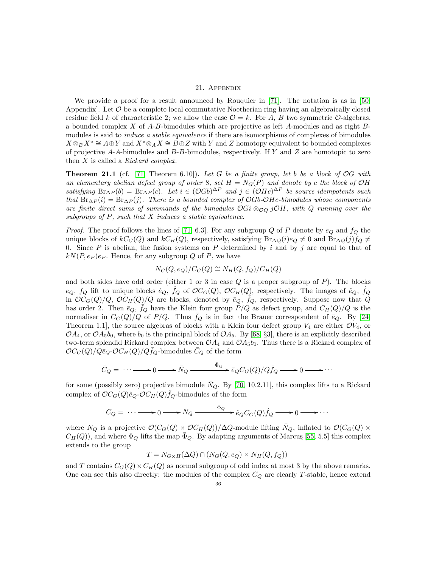#### 21. Appendix

We provide a proof for a result announced by Rouquier in [\[71\]](#page-40-2). The notation is as in [\[50,](#page-39-9) Appendix]. Let  $\mathcal O$  be a complete local commutative Noetherian ring having an algebraically closed residue field k of characteristic 2; we allow the case  $\mathcal{O} = k$ . For A, B two symmetric  $\mathcal{O}$ -algebras, a bounded complex X of A-B-bimodules which are projective as left A-modules and as right Bmodules is said to *induce a stable equivalence* if there are isomorphisms of complexes of bimodules  $X \otimes_B X^* \cong A \oplus Y$  and  $X^* \otimes_A X \cong B \oplus Z$  with Y and Z homotopy equivalent to bounded complexes of projective  $A-A$ -bimodules and  $B-B$ -bimodules, respectively. If Y and Z are homotopic to zero then X is called a *Rickard complex*.

<span id="page-36-0"></span>Theorem 21.1 (cf. [\[71,](#page-40-2) Theorem 6.10]). *Let* G *be a finite group, let* b *be a block of* OG *with an elementary abelian defect group of order* 8*, set*  $H = N<sub>G</sub>(P)$  *and denote by c* the block of OH *satisfying*  $\text{Br}_{\Delta P}(b) = \text{Br}_{\Delta P}(c)$ *. Let*  $i \in (\mathcal{O}Gb)^{\Delta P}$  *and*  $j \in (\mathcal{O}Hc)^{\Delta P}$  *be source idempotents such that*  $\text{Br}_{\Delta P}(i) = \text{Br}_{\Delta P}(j)$ *. There is a bounded complex of OGb-OHc-bimodules whose components are finite direct sums of summands of the bimodules* OGi ⊗O<sup>Q</sup> jOH*, with* Q *running over the subgroups of* P*, such that* X *induces a stable equivalence.*

*Proof.* The proof follows the lines of [\[71,](#page-40-2) 6.3]. For any subgroup Q of P denote by  $e_Q$  and  $f_Q$  the unique blocks of  $kC_G(Q)$  and  $kC_H(Q)$ , respectively, satisfying Br<sub>∆ $Q(i)e_Q \neq 0$ </sub> and Br<sub>∆ $Q(j)f_Q \neq 0$ </sub> 0. Since  $P$  is abelian, the fusion systems on  $P$  determined by i and by j are equal to that of  $kN(P, e_P)e_P$ . Hence, for any subgroup Q of P, we have

$$
N_G(Q, e_Q)/C_G(Q) \cong N_H(Q, f_Q)/C_H(Q)
$$

and both sides have odd order (either 1 or 3 in case  $Q$  is a proper subgroup of  $P$ ). The blocks  $e_Q$ ,  $f_Q$  lift to unique blocks  $\hat{e}_Q$ ,  $\hat{f}_Q$  of  $\mathcal{O}C_G(Q)$ ,  $\mathcal{O}C_H(Q)$ , respectively. The images of  $\hat{e}_Q$ ,  $\hat{f}_Q$ in  $\mathcal{O}C_G(Q)/Q$ ,  $\mathcal{O}C_H(Q)/Q$  are blocks, denoted by  $\bar{e}_Q$ ,  $\bar{f}_Q$ , respectively. Suppose now that Q has order 2. Then  $\bar{e}_Q$ ,  $\bar{f}_Q$  have the Klein four group  $\dot{P}/Q$  as defect group, and  $C_H(Q)/Q$  is the normaliser in  $C_G(Q)/Q$  of  $P/Q$ . Thus  $f_Q$  is in fact the Brauer correspondent of  $\bar{e}_Q$ . By [\[24,](#page-38-6) Theorem 1.1], the source algebras of blocks with a Klein four defect group  $V_4$  are either  $\mathcal{O}V_4$ , or  $OA_4$ , or  $OA_5b_0$ , where  $b_0$  is the principal block of  $OA_5$ . By [\[68,](#page-39-29) §3], there is an explicitly described two-term splendid Rickard complex between  $\mathcal{O}A_4$  and  $\mathcal{O}A_5b_0$ . Thus there is a Rickard complex of  $\mathcal{O}C_G(Q)/Q\bar{e}_Q\text{-}\mathcal{O}C_H(Q)/Qf_Q\text{-bimodules }C_Q$  of the form

$$
\bar{C}_Q = \cdots \longrightarrow 0 \longrightarrow \bar{N}_Q \xrightarrow{\bar{\Phi}_Q} \bar{e}_Q C_G(Q)/Q \bar{f}_Q \longrightarrow 0 \longrightarrow \cdots
$$

for some (possibly zero) projective bimodule  $\bar{N}_Q$ . By [\[70,](#page-40-7) 10.2.11], this complex lifts to a Rickard complex of  $\mathcal{O}C_G(Q)\hat{e}_Q\text{-}\mathcal{O}C_H(Q)\hat{f}_Q\text{-bimodules of the form}$ 

$$
C_Q = \cdots \longrightarrow 0 \longrightarrow N_Q \xrightarrow{\Phi_Q} \hat{e}_Q C_G(Q) \hat{f}_Q \longrightarrow 0 \longrightarrow \cdots
$$

where  $N_Q$  is a projective  $\mathcal{O}(C_G(Q) \times \mathcal{O}C_H(Q))/\Delta Q$ -module lifting  $\overline{N}_Q$ , inflated to  $\mathcal{O}(C_G(Q) \times$  $C_H(Q)$ , and where  $\Phi_Q$  lifts the map  $\bar{\Phi}_Q$ . By adapting arguments of Marcus [\[55,](#page-39-30) 5.5] this complex extends to the group

$$
T = N_{G \times H}(\Delta Q) \cap (N_G(Q, e_Q) \times N_H(Q, f_Q))
$$

and T contains  $C_G(Q) \times C_H(Q)$  as normal subgroup of odd index at most 3 by the above remarks. One can see this also directly: the modules of the complex  $C_Q$  are clearly T-stable, hence extend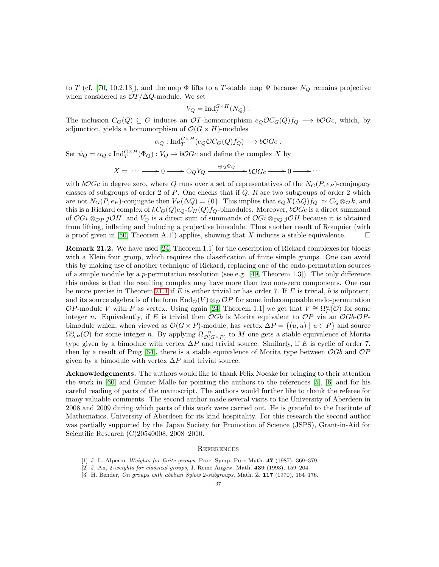to T (cf. [\[70,](#page-40-7) 10.2.13]), and the map  $\Phi$  lifts to a T-stable map  $\Psi$  because  $N_Q$  remains projective when considered as  $\mathcal{O}T/\Delta Q$ -module. We set

$$
V_Q = \mathrm{Ind}_T^{G \times H}(N_Q) .
$$

The inclusion  $C_G(Q) \subseteq G$  induces an  $OT$ -homomorphism  $e_Q \mathcal{O} C_G(Q) f_Q \longrightarrow b \mathcal{O} G_c$ , which, by adjunction, yields a homomorphism of  $\mathcal{O}(G \times H)$ -modules

$$
\alpha_Q: \mathrm{Ind}_T^{G \times H}(e_Q \mathcal{O} C_G(Q) f_Q) \longrightarrow b \mathcal{O} Gc .
$$

Set  $\psi_Q = \alpha_Q \circ \text{Ind}_T^{G \times H}(\Phi_Q) : V_Q \to b\mathcal{O}Gc$  and define the complex X by

$$
X = \cdots \longrightarrow 0 \longrightarrow \oplus_Q V_Q \xrightarrow{\oplus_Q \Psi_Q} b \mathcal{O} Gc \longrightarrow 0 \longrightarrow \cdots
$$

with  $bOGc$  in degree zero, where Q runs over a set of representatives of the  $N<sub>G</sub>(P, e<sub>P</sub>)$ -conjugacy classes of subgroups of order 2 of  $P$ . One checks that if  $Q$ ,  $R$  are two subgroups of order 2 which are not  $N_G(P, e_P)$ -conjugate then  $V_R(\Delta Q) = \{0\}$ . This implies that  $e_Q X(\Delta Q) f_Q \simeq C_Q \otimes_{\mathcal{O}} k$ , and this is a Rickard complex of  $kC_G(Q)e_Q-C_H(Q)f_Q$ -bimodules. Moreover,  $bOGc$  is a direct summand of  $OGi \otimes_{OP} jOH$ , and  $V_Q$  is a direct sum of summands of  $OGi \otimes_{OQ} jOH$  because it is obtained from lifting, inflating and inducing a projective bimodule. Thus another result of Rouquier (with a proof given in [\[50,](#page-39-9) Theorem A.1]) applies, showing that X induces a stable equivalence.  $\square$ 

Remark 21.2. We have used [\[24,](#page-38-6) Theorem 1.1] for the description of Rickard complexes for blocks with a Klein four group, which requires the classification of finite simple groups. One can avoid this by making use of another technique of Rickard, replacing one of the endo-permutation sources of a simple module by a *p*-permutation resolution (see e.g. [\[49,](#page-39-31) Theorem 1.3]). The only difference this makes is that the resulting complex may have more than two non-zero components. One can be more precise in Theorem [21.1](#page-36-0) if  $E$  is either trivial or has order 7. If  $E$  is trivial,  $b$  is nilpotent, and its source algebra is of the form  $\text{End}_{\mathcal{O}}(V) \otimes_{\mathcal{O}} \mathcal{O}P$  for some indecomposable endo-permutation OP-module V with P as vertex. Using again [\[24,](#page-38-6) Theorem 1.1] we get that  $V \cong \Omega_P^n(\mathcal{O})$  for some integer n. Equivalently, if E is trivial then  $OGb$  is Morita equivalent to  $OP$  via an  $OGb-OP$ bimodule which, when viewed as  $\mathcal{O}(G \times P)$ -module, has vertex  $\Delta P = \{(u, u) \mid u \in P\}$  and source  $\Omega_{\Delta P}^n(\mathcal{O})$  for some integer n. By applying  $\Omega_{\mathcal{O}(G\times P)}^{-n}$  to M one gets a stable equivalence of Morita type given by a bimodule with vertex  $\Delta P$  and trivial source. Similarly, if E is cyclic of order 7, then by a result of Puig [\[64\]](#page-39-6), there is a stable equivalence of Morita type between  $OGb$  and  $OP$ given by a bimodule with vertex  $\Delta P$  and trivial source.

Acknowledgements. The authors would like to thank Felix Noeske for bringing to their attention the work in [\[60\]](#page-39-11) and Gunter Malle for pointing the authors to the references [\[5\]](#page-38-3), [\[6\]](#page-38-21) and for his careful reading of parts of the manuscript. The authors would further like to thank the referee for many valuable comments. The second author made several visits to the University of Aberdeen in 2008 and 2009 during which parts of this work were carried out. He is grateful to the Institute of Mathematics, University of Aberdeen for its kind hospitality. For this research the second author was partially supported by the Japan Society for Promotion of Science (JSPS), Grant-in-Aid for Scientific Research (C)20540008, 2008–2010.

#### **REFERENCES**

- <span id="page-37-2"></span><span id="page-37-0"></span>[1] J. L. Alperin, Weights for finite groups, Proc. Symp. Pure Math. 47 (1987), 369–379.
- <span id="page-37-1"></span>[2] J. An, 2-weights for classical groups, J. Reine Angew. Math. 439 (1993), 159–204.
- [3] H. Bender, On groups with abelian Sylow 2-subgroups, Math. Z. 117 (1970), 164–176.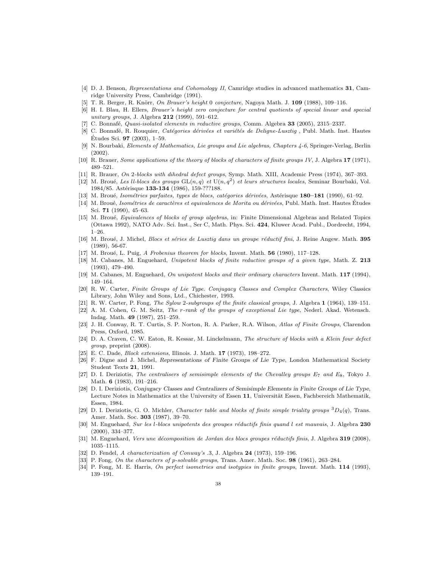- <span id="page-38-10"></span>[4] D. J. Benson, Representations and Cohomology II, Camridge studies in advanced mathematics 31, Camridge University Press, Cambridge (1991).
- <span id="page-38-21"></span><span id="page-38-3"></span>[5] T. R. Berger, R. Knörr, On Brauer's height 0 conjecture, Nagoya Math. J. 109 (1988), 109-116.
- [6] H. I. Blau, H. Ellers, Brauer's height zero conjecture for central quotients of special linear and special unitary groups, J. Algebra 212 (1999), 591-612.
- <span id="page-38-27"></span><span id="page-38-11"></span>[7] C. Bonnafé, Quasi-isolated elements in reductive groups, Comm. Algebra 33 (2005), 2315–2337.
- [8] C. Bonnafé, R. Rouquier, Catégories dérivées et variétés de Deligne-Lusztig, Publ. Math. Inst. Hautes Etudes Sci.  $97$  (2003), 1–59.
- <span id="page-38-26"></span>[9] N. Bourbaki, Elements of Mathematics, Lie groups and Lie algebras, Chapters 4-6, Springer-Verlag, Berlin (2002).
- <span id="page-38-2"></span><span id="page-38-1"></span>[10] R. Brauer, Some applications of the theory of blocks of characters of finite groups IV, J. Algebra 17 (1971), 489–521.
- <span id="page-38-22"></span>[11] R. Brauer, On 2-blocks with dihedral defect groups, Symp. Math. XIII, Academic Press (1974), 367–393.
- [12] M. Broué, Les ll-blocs des groups  $GL(n, q)$  et  $U(n, q^2)$  et leurs structures locales, Seminar Bourbaki, Vol. 1984/85. Astérisque 133-134 (1986), 159-???188.
- <span id="page-38-13"></span><span id="page-38-12"></span>[13] M. Broué, Isométries parfaites, types de blocs, catégories dérivées, Astérisque 180–181 (1990), 61–92.
- [14] M. Broué, Isométries de caractères et equivalences de Morita ou dérivées, Publ. Math. Inst. Hautes Études Sci. 71 (1990), 45–63.
- <span id="page-38-9"></span>[15] M. Broué, Equivalences of blocks of group algebras, in: Finite Dimensional Algebras and Related Topics (Ottawa 1992), NATO Adv. Sci. Inst., Ser C, Math. Phys. Sci. 424, Kluwer Acad. Publ., Dordrecht, 1994, 1–26.
- <span id="page-38-17"></span><span id="page-38-8"></span>[16] M. Broué, J. Michel, *Blocs et séries de Lusztig dans un groupe réductif fini*, J. Reine Angew. Math. 395 (1989), 56-67.
- <span id="page-38-18"></span>[17] M. Broué, L. Puig, A Frobenius theorem for blocks, Invent. Math.  $56$  (1980), 117–128.
- [18] M. Cabanes, M. Enguehard, Unipotent blocks of finite reductive groups of a given type, Math. Z. 213 (1993), 479–490.
- <span id="page-38-24"></span><span id="page-38-16"></span>[19] M. Cabanes, M. Enguehard, On unipotent blocks and their ordinary characters Invent. Math. 117 (1994), 149–164.
- [20] R. W. Carter, Finite Groups of Lie Type. Conjugacy Classes and Complex Characters, Wiley Classics Library, John Wiley and Sons, Ltd., Chichester, 1993.
- <span id="page-38-20"></span><span id="page-38-4"></span>[21] R. W. Carter, P. Fong, The Sylow 2-subgroups of the finite classical groups, J. Algebra 1 (1964), 139–151.
- [22] A. M. Cohen, G. M. Seitz, The r-rank of the groups of exceptional Lie type, Nederl. Akad. Wetensch. Indag. Math. 49 (1987), 251–259.
- <span id="page-38-14"></span>[23] J. H. Conway, R. T. Curtis, S. P. Norton, R. A. Parker, R.A. Wilson, Atlas of Finite Groups, Clarendon Press, Oxford, 1985.
- <span id="page-38-6"></span>[24] D. A. Craven, C. W. Eaton, R. Kessar, M. Linckelmann, The structure of blocks with a Klein four defect group, preprint (2008).
- <span id="page-38-15"></span><span id="page-38-7"></span>[25] E. C. Dade, Block extensions, Illinois. J. Math. 17 (1973), 198–272.
- [26] F. Digne and J. Michel, Representations of Finite Groups of Lie Type, London Mathematical Society Student Texts 21, 1991.
- <span id="page-38-29"></span>[27] D. I. Deriziotis, The centralisers of semisimple elements of the Chevalley groups  $E_7$  and  $E_8$ , Tokyo J. Math. **6** (1983), 191-216.
- <span id="page-38-25"></span>[28] D. I. Deriziotis, Conjugacy Classes and Centralizers of Semisimple Elements in Finite Groups of Lie Type, Lecture Notes in Mathematics at the University of Essen 11, Universität Essen, Fachbereich Mathematik, Essen, 1984.
- <span id="page-38-23"></span>[29] D. I. Deriziotis, G. O. Michler, Character table and blocks of finite simple triality groups  ${}^{3}D_4(q)$ , Trans. Amer. Math. Soc. 303 (1987), 39–70.
- <span id="page-38-28"></span>[30] M. Enguehard, Sur les l-blocs unipotents des groupes réductifs finis quand l est mauvais, J. Algebra 230 (2000), 334–377.
- <span id="page-38-19"></span>[31] M. Enguehard, Vers une décomposition de Jordan des blocs groupes réductifs finis, J. Algebra 319 (2008), 1035–1115.
- <span id="page-38-5"></span>[32] D. Fendel, A characterization of Conway's .3, J. Algebra 24 (1973), 159-196.
- <span id="page-38-0"></span>[33] P. Fong, On the characters of p-solvable groups, Trans. Amer. Math. Soc. 98 (1961), 263–284.
- [34] P. Fong, M. E. Harris, On perfect isometries and isotypies in finite groups, Invent. Math. 114 (1993), 139–191.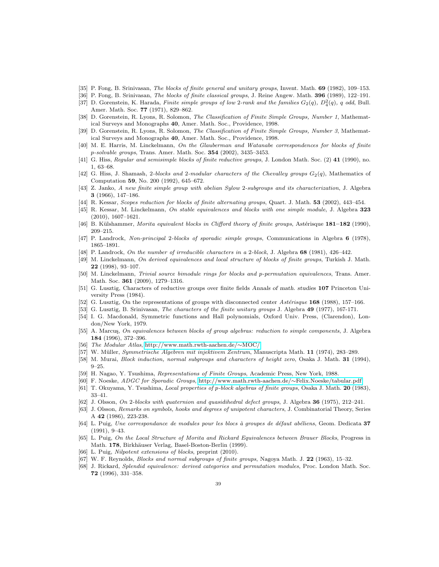- <span id="page-39-23"></span><span id="page-39-22"></span>[35] P. Fong, B. Srinivasan, The blocks of finite general and unitary groups, Invent. Math. 69 (1982), 109–153.
- <span id="page-39-24"></span>[36] P. Fong, B. Srinivasan, The blocks of finite classical groups, J. Reine Angew. Math. 396 (1989), 122–191.
- [37] D. Gorenstein, K. Harada, Finite simple groups of low 2-rank and the families  $G_2(q)$ ,  $D_4^2(q)$ , q odd, Bull. Amer. Math. Soc. 77 (1971), 829–862.
- <span id="page-39-14"></span>[38] D. Gorenstein, R. Lyons, R. Solomon, The Classification of Finite Simple Groups, Number 1, Mathematical Surveys and Monographs 40, Amer. Math. Soc., Providence, 1998.
- <span id="page-39-13"></span><span id="page-39-3"></span>[39] D. Gorenstein, R. Lyons, R. Solomon, The Classification of Finite Simple Groups, Number 3, Mathematical Surveys and Monographs 40, Amer. Math. Soc., Providence, 1998.
- [40] M. E. Harris, M. Linckelmann, On the Glauberman and Watanabe correspondences for blocks of finite p-solvable groups, Trans. Amer. Math. Soc. 354 (2002), 3435–3453.
- <span id="page-39-18"></span>[41] G. Hiss, Regular and semisimple blocks of finite reductive groups, J. London Math. Soc. (2) 41 (1990), no. 1, 63–68.
- <span id="page-39-25"></span>[42] G. Hiss, J. Shamash, 2-blocks and 2-modular characters of the Chevalley groups  $G_2(q)$ , Mathematics of Computation 59, No. 200 (1992), 645–672.
- [43] Z. Janko, A new finite simple group with abelian Sylow 2-subgroups and its characterization, J. Algebra 3 (1966), 147–186.
- <span id="page-39-15"></span><span id="page-39-7"></span>[44] R. Kessar, Scopes reduction for blocks of finite alternating groups, Quart. J. Math. 53 (2002), 443–454.
- [45] R. Kessar, M. Linckelmann, On stable equivalences and blocks with one simple module, J. Algebra 323 (2010), 1607–1621.
- <span id="page-39-4"></span>[46] B. Külshammer, Morita equivalent blocks in Clifford theory of finite groups, Astérisque 181–182 (1990), 209–215.
- <span id="page-39-0"></span>[47] P. Landrock, Non-principal 2-blocks of sporadic simple groups, Communications in Algebra 6 (1978), 1865–1891.
- <span id="page-39-31"></span>[48] P. Landrock, On the number of irreducible characters in a 2-block, J. Algebra 68 (1981), 426–442.
- [49] M. Linckelmann, On derived equivalences and local structure of blocks of finite groups, Turkish J. Math. 22 (1998), 93–107.
- <span id="page-39-9"></span>[50] M. Linckelmann, Trivial source bimodule rings for blocks and p-permutation equivalences, Trans. Amer. Math. Soc. 361 (2009), 1279–1316.
- <span id="page-39-16"></span>[51] G. Lusztig, Characters of reductive groups over finite fields Annals of math. studies 107 Princeton University Press (1984).
- <span id="page-39-28"></span><span id="page-39-17"></span>[52] G. Lusztig, On the representations of groups with disconnected center Astérisque 168 (1988), 157–166.
- <span id="page-39-27"></span>[53] G. Lusztig, B. Srinivasan, The characters of the finite unitary groups J. Algebra 49 (1977), 167-171.
- [54] I. G. Macdonald, Symmetric functions and Hall polynomials, Oxford Univ. Press, (Clarendon), London/New York, 1979.
- <span id="page-39-30"></span>[55] A. Marcuş, On equivalences between blocks of group algebras: reduction to simple components, J. Algebra 184 (1996), 372–396.
- <span id="page-39-20"></span><span id="page-39-12"></span>[56] The Modular Atlas, [http://www.math.rwth-aachen.de/](http://www.math.rwth-aachen.de/~MOC/)∼MOC/
- <span id="page-39-8"></span>[57] W. Müller, Symmetrische Algebren mit injektivem Zentrum, Manuscripta Math. 11 (1974), 283–289.
- <span id="page-39-10"></span>[58] M. Murai, *Block induction, normal subgroups and characters of height zero*, Osaka J. Math. **31** (1994),  $9 - 25.$
- <span id="page-39-11"></span>[59] H. Nagao, Y. Tsushima, Representations of Finite Groups, Academic Press, New York, 1988.
- <span id="page-39-19"></span>[60] F. Noeske, ADGC for Sporadic Groups, [http://www.math.rwth-aachen.de/](http://www.math.rwth-aachen.de/~Felix.Noeske/tabular.pdf)∼Felix.Noeske/tabular.pdf
- <span id="page-39-1"></span>[61] T. Okuyama, Y. Tsushima, Local properties of p-block algebras of finite groups, Osaka J. Math. 20 (1983), 33–41.
- <span id="page-39-26"></span>[62] J. Olsson, On 2-blocks with quaternion and quasidihedral defect groups, J. Algebra 36 (1975), 212–241.
- [63] J. Olsson, Remarks on symbols, hooks and degrees of unipotent characters, J. Combinatorial Theory, Series A 42 (1986), 223-238.
- <span id="page-39-6"></span>[64] L. Puig, Une correspondance de modules pour les blocs à groupes de défaut abéliens, Geom. Dedicata 37 (1991), 9–43.
- <span id="page-39-21"></span>[65] L. Puig, On the Local Structure of Morita and Rickard Equivalences between Brauer Blocks, Progress in Math. 178, Birkhäuser Verlag, Basel-Boston-Berlin (1999).
- <span id="page-39-5"></span><span id="page-39-2"></span>[66] L. Puig, Nilpotent extensions of blocks, preprint (2010).
- <span id="page-39-29"></span>[67] W. F. Reynolds, Blocks and normal subgroups of finite groups, Nagoya Math. J. 22 (1963), 15–32.
- [68] J. Rickard, Splendid equivalence: derived categories and permutation modules, Proc. London Math. Soc. 72 (1996), 331–358.